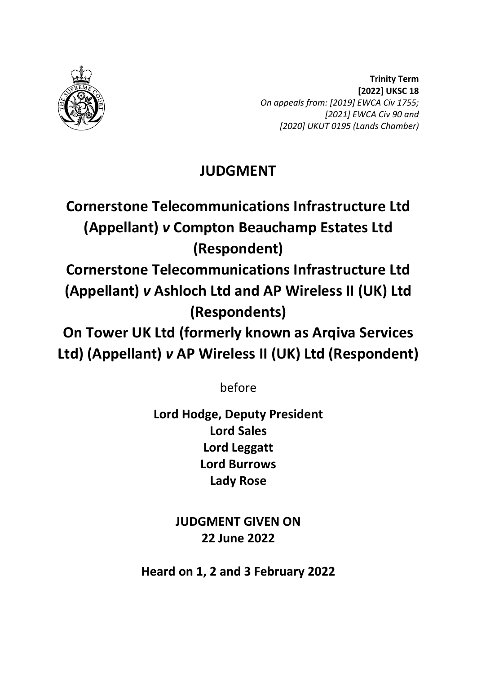

**Trinity Term [2022] UKSC 18** *On appeals from: [2019] EWCA Civ 1755; [2021] EWCA Civ 90 and [2020] UKUT 0195 (Lands Chamber)*

# **JUDGMENT**

# **Cornerstone Telecommunications Infrastructure Ltd (Appellant)** *v* **Compton Beauchamp Estates Ltd (Respondent)**

**Cornerstone Telecommunications Infrastructure Ltd (Appellant)** *v* **Ashloch Ltd and AP Wireless II (UK) Ltd (Respondents)**

**On Tower UK Ltd (formerly known as Arqiva Services Ltd) (Appellant)** *v* **AP Wireless II (UK) Ltd (Respondent)**

before

**Lord Hodge, Deputy President Lord Sales Lord Leggatt Lord Burrows Lady Rose**

> **JUDGMENT GIVEN ON 22 June 2022**

**Heard on 1, 2 and 3 February 2022**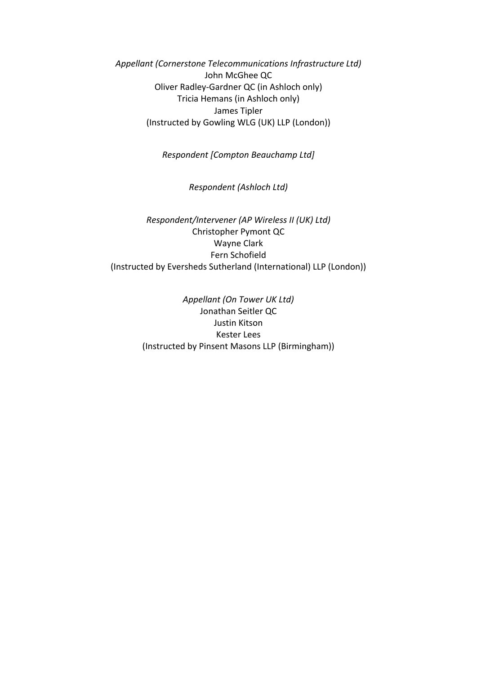*Appellant (Cornerstone Telecommunications Infrastructure Ltd)* John McGhee QC Oliver Radley-Gardner QC (in Ashloch only) Tricia Hemans (in Ashloch only) James Tipler (Instructed by Gowling WLG (UK) LLP (London))

*Respondent [Compton Beauchamp Ltd]*

*Respondent (Ashloch Ltd)*

*Respondent/Intervener (AP Wireless II (UK) Ltd)* Christopher Pymont QC Wayne Clark Fern Schofield (Instructed by Eversheds Sutherland (International) LLP (London))

> *Appellant (On Tower UK Ltd)* Jonathan Seitler QC Justin Kitson Kester Lees (Instructed by Pinsent Masons LLP (Birmingham))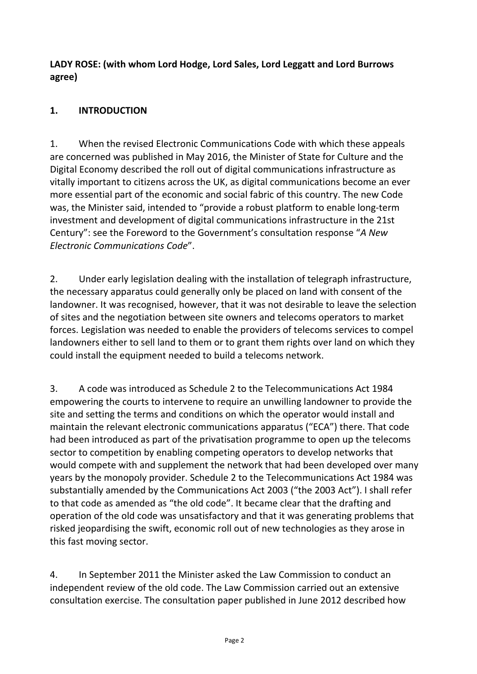**LADY ROSE: (with whom Lord Hodge, Lord Sales, Lord Leggatt and Lord Burrows agree)**

# **1. INTRODUCTION**

1. When the revised Electronic Communications Code with which these appeals are concerned was published in May 2016, the Minister of State for Culture and the Digital Economy described the roll out of digital communications infrastructure as vitally important to citizens across the UK, as digital communications become an ever more essential part of the economic and social fabric of this country. The new Code was, the Minister said, intended to "provide a robust platform to enable long-term investment and development of digital communications infrastructure in the 21st Century": see the Foreword to the Government's consultation response "*A New Electronic Communications Code*".

2. Under early legislation dealing with the installation of telegraph infrastructure, the necessary apparatus could generally only be placed on land with consent of the landowner. It was recognised, however, that it was not desirable to leave the selection of sites and the negotiation between site owners and telecoms operators to market forces. Legislation was needed to enable the providers of telecoms services to compel landowners either to sell land to them or to grant them rights over land on which they could install the equipment needed to build a telecoms network.

3. A code was introduced as Schedule 2 to the Telecommunications Act 1984 empowering the courts to intervene to require an unwilling landowner to provide the site and setting the terms and conditions on which the operator would install and maintain the relevant electronic communications apparatus ("ECA") there. That code had been introduced as part of the privatisation programme to open up the telecoms sector to competition by enabling competing operators to develop networks that would compete with and supplement the network that had been developed over many years by the monopoly provider. Schedule 2 to the Telecommunications Act 1984 was substantially amended by the Communications Act 2003 ("the 2003 Act"). I shall refer to that code as amended as "the old code". It became clear that the drafting and operation of the old code was unsatisfactory and that it was generating problems that risked jeopardising the swift, economic roll out of new technologies as they arose in this fast moving sector.

4. In September 2011 the Minister asked the Law Commission to conduct an independent review of the old code. The Law Commission carried out an extensive consultation exercise. The consultation paper published in June 2012 described how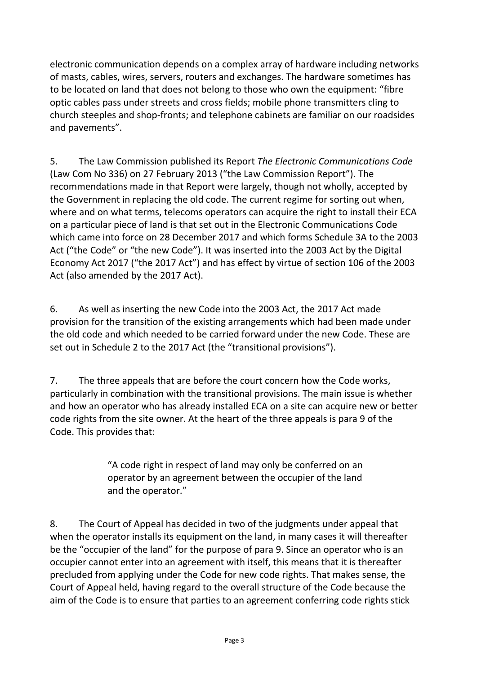electronic communication depends on a complex array of hardware including networks of masts, cables, wires, servers, routers and exchanges. The hardware sometimes has to be located on land that does not belong to those who own the equipment: "fibre optic cables pass under streets and cross fields; mobile phone transmitters cling to church steeples and shop-fronts; and telephone cabinets are familiar on our roadsides and pavements".

5. The Law Commission published its Report *The Electronic Communications Code*  (Law Com No 336) on 27 February 2013 ("the Law Commission Report"). The recommendations made in that Report were largely, though not wholly, accepted by the Government in replacing the old code. The current regime for sorting out when, where and on what terms, telecoms operators can acquire the right to install their ECA on a particular piece of land is that set out in the Electronic Communications Code which came into force on 28 December 2017 and which forms Schedule 3A to the 2003 Act ("the Code" or "the new Code"). It was inserted into the 2003 Act by the Digital Economy Act 2017 ("the 2017 Act") and has effect by virtue of section 106 of the 2003 Act (also amended by the 2017 Act).

6. As well as inserting the new Code into the 2003 Act, the 2017 Act made provision for the transition of the existing arrangements which had been made under the old code and which needed to be carried forward under the new Code. These are set out in Schedule 2 to the 2017 Act (the "transitional provisions").

7. The three appeals that are before the court concern how the Code works, particularly in combination with the transitional provisions. The main issue is whether and how an operator who has already installed ECA on a site can acquire new or better code rights from the site owner. At the heart of the three appeals is para 9 of the Code. This provides that:

> "A code right in respect of land may only be conferred on an operator by an agreement between the occupier of the land and the operator."

8. The Court of Appeal has decided in two of the judgments under appeal that when the operator installs its equipment on the land, in many cases it will thereafter be the "occupier of the land" for the purpose of para 9. Since an operator who is an occupier cannot enter into an agreement with itself, this means that it is thereafter precluded from applying under the Code for new code rights. That makes sense, the Court of Appeal held, having regard to the overall structure of the Code because the aim of the Code is to ensure that parties to an agreement conferring code rights stick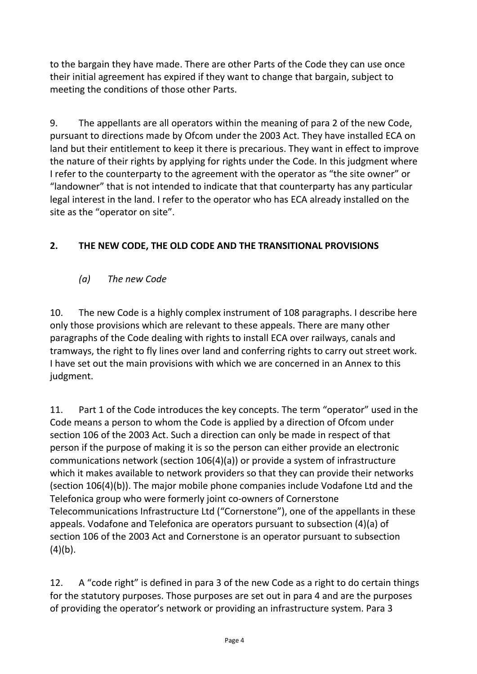to the bargain they have made. There are other Parts of the Code they can use once their initial agreement has expired if they want to change that bargain, subject to meeting the conditions of those other Parts.

9. The appellants are all operators within the meaning of para 2 of the new Code, pursuant to directions made by Ofcom under the 2003 Act. They have installed ECA on land but their entitlement to keep it there is precarious. They want in effect to improve the nature of their rights by applying for rights under the Code. In this judgment where I refer to the counterparty to the agreement with the operator as "the site owner" or "landowner" that is not intended to indicate that that counterparty has any particular legal interest in the land. I refer to the operator who has ECA already installed on the site as the "operator on site".

# **2. THE NEW CODE, THE OLD CODE AND THE TRANSITIONAL PROVISIONS**

## *(a) The new Code*

10. The new Code is a highly complex instrument of 108 paragraphs. I describe here only those provisions which are relevant to these appeals. There are many other paragraphs of the Code dealing with rights to install ECA over railways, canals and tramways, the right to fly lines over land and conferring rights to carry out street work. I have set out the main provisions with which we are concerned in an Annex to this judgment.

11. Part 1 of the Code introduces the key concepts. The term "operator" used in the Code means a person to whom the Code is applied by a direction of Ofcom under section 106 of the 2003 Act. Such a direction can only be made in respect of that person if the purpose of making it is so the person can either provide an electronic communications network (section 106(4)(a)) or provide a system of infrastructure which it makes available to network providers so that they can provide their networks (section 106(4)(b)). The major mobile phone companies include Vodafone Ltd and the Telefonica group who were formerly joint co-owners of Cornerstone Telecommunications Infrastructure Ltd ("Cornerstone"), one of the appellants in these appeals. Vodafone and Telefonica are operators pursuant to subsection (4)(a) of section 106 of the 2003 Act and Cornerstone is an operator pursuant to subsection  $(4)(b)$ .

12. A "code right" is defined in para 3 of the new Code as a right to do certain things for the statutory purposes. Those purposes are set out in para 4 and are the purposes of providing the operator's network or providing an infrastructure system. Para 3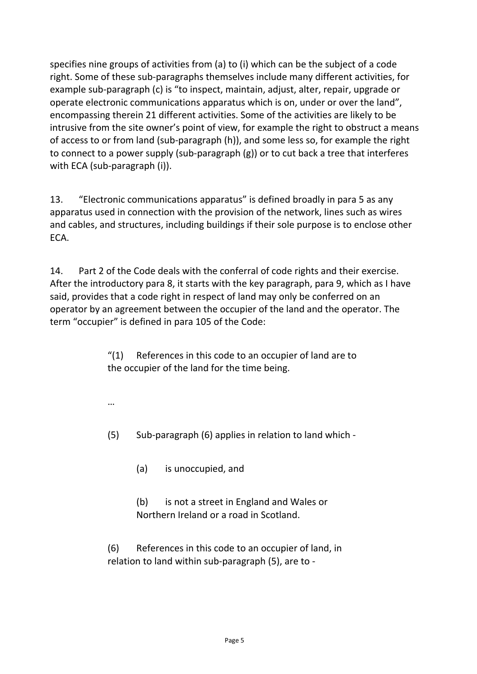specifies nine groups of activities from (a) to (i) which can be the subject of a code right. Some of these sub-paragraphs themselves include many different activities, for example sub-paragraph (c) is "to inspect, maintain, adjust, alter, repair, upgrade or operate electronic communications apparatus which is on, under or over the land", encompassing therein 21 different activities. Some of the activities are likely to be intrusive from the site owner's point of view, for example the right to obstruct a means of access to or from land (sub-paragraph (h)), and some less so, for example the right to connect to a power supply (sub-paragraph (g)) or to cut back a tree that interferes with ECA (sub-paragraph (i)).

13. "Electronic communications apparatus" is defined broadly in para 5 as any apparatus used in connection with the provision of the network, lines such as wires and cables, and structures, including buildings if their sole purpose is to enclose other ECA.

14. Part 2 of the Code deals with the conferral of code rights and their exercise. After the introductory para 8, it starts with the key paragraph, para 9, which as I have said, provides that a code right in respect of land may only be conferred on an operator by an agreement between the occupier of the land and the operator. The term "occupier" is defined in para 105 of the Code:

> "(1) References in this code to an occupier of land are to the occupier of the land for the time being.

…

(5) Sub-paragraph (6) applies in relation to land which -

(a) is unoccupied, and

(b) is not a street in England and Wales or Northern Ireland or a road in Scotland.

(6) References in this code to an occupier of land, in relation to land within sub-paragraph (5), are to -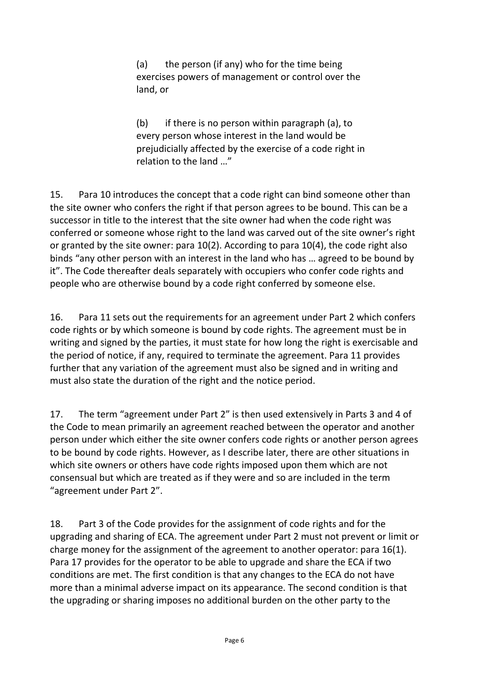(a) the person (if any) who for the time being exercises powers of management or control over the land, or

(b) if there is no person within paragraph (a), to every person whose interest in the land would be prejudicially affected by the exercise of a code right in relation to the land …"

15. Para 10 introduces the concept that a code right can bind someone other than the site owner who confers the right if that person agrees to be bound. This can be a successor in title to the interest that the site owner had when the code right was conferred or someone whose right to the land was carved out of the site owner's right or granted by the site owner: para 10(2). According to para 10(4), the code right also binds "any other person with an interest in the land who has … agreed to be bound by it". The Code thereafter deals separately with occupiers who confer code rights and people who are otherwise bound by a code right conferred by someone else.

16. Para 11 sets out the requirements for an agreement under Part 2 which confers code rights or by which someone is bound by code rights. The agreement must be in writing and signed by the parties, it must state for how long the right is exercisable and the period of notice, if any, required to terminate the agreement. Para 11 provides further that any variation of the agreement must also be signed and in writing and must also state the duration of the right and the notice period.

17. The term "agreement under Part 2" is then used extensively in Parts 3 and 4 of the Code to mean primarily an agreement reached between the operator and another person under which either the site owner confers code rights or another person agrees to be bound by code rights. However, as I describe later, there are other situations in which site owners or others have code rights imposed upon them which are not consensual but which are treated as if they were and so are included in the term "agreement under Part 2".

18. Part 3 of the Code provides for the assignment of code rights and for the upgrading and sharing of ECA. The agreement under Part 2 must not prevent or limit or charge money for the assignment of the agreement to another operator: para 16(1). Para 17 provides for the operator to be able to upgrade and share the ECA if two conditions are met. The first condition is that any changes to the ECA do not have more than a minimal adverse impact on its appearance. The second condition is that the upgrading or sharing imposes no additional burden on the other party to the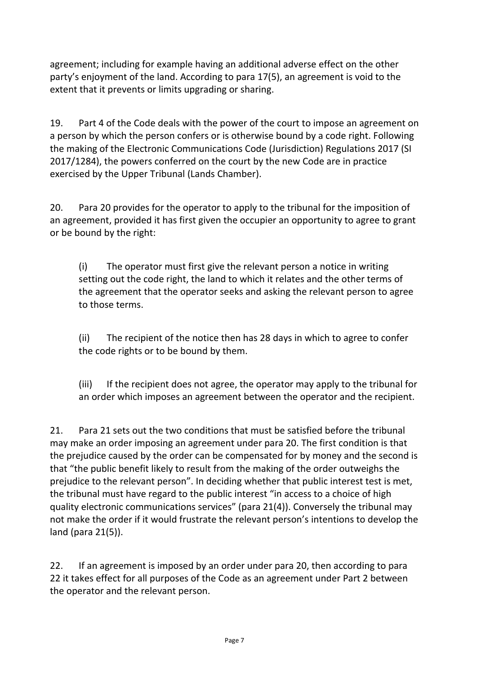agreement; including for example having an additional adverse effect on the other party's enjoyment of the land. According to para 17(5), an agreement is void to the extent that it prevents or limits upgrading or sharing.

19. Part 4 of the Code deals with the power of the court to impose an agreement on a person by which the person confers or is otherwise bound by a code right. Following the making of the Electronic Communications Code (Jurisdiction) Regulations 2017 (SI 2017/1284), the powers conferred on the court by the new Code are in practice exercised by the Upper Tribunal (Lands Chamber).

20. Para 20 provides for the operator to apply to the tribunal for the imposition of an agreement, provided it has first given the occupier an opportunity to agree to grant or be bound by the right:

(i) The operator must first give the relevant person a notice in writing setting out the code right, the land to which it relates and the other terms of the agreement that the operator seeks and asking the relevant person to agree to those terms.

(ii) The recipient of the notice then has 28 days in which to agree to confer the code rights or to be bound by them.

(iii) If the recipient does not agree, the operator may apply to the tribunal for an order which imposes an agreement between the operator and the recipient.

21. Para 21 sets out the two conditions that must be satisfied before the tribunal may make an order imposing an agreement under para 20. The first condition is that the prejudice caused by the order can be compensated for by money and the second is that "the public benefit likely to result from the making of the order outweighs the prejudice to the relevant person". In deciding whether that public interest test is met, the tribunal must have regard to the public interest "in access to a choice of high quality electronic communications services" (para 21(4)). Conversely the tribunal may not make the order if it would frustrate the relevant person's intentions to develop the land (para 21(5)).

22. If an agreement is imposed by an order under para 20, then according to para 22 it takes effect for all purposes of the Code as an agreement under Part 2 between the operator and the relevant person.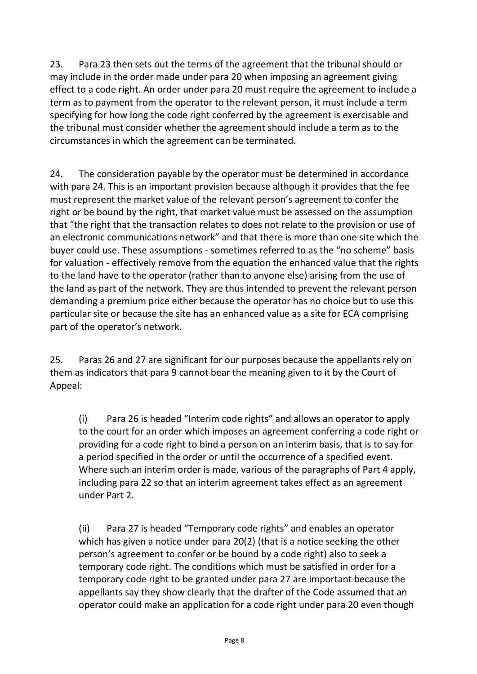23. Para 23 then sets out the terms of the agreement that the tribunal should or may include in the order made under para 20 when imposing an agreement giving effect to a code right. An order under para 20 must require the agreement to include a term as to payment from the operator to the relevant person, it must include a term specifying for how long the code right conferred by the agreement is exercisable and the tribunal must consider whether the agreement should include a term as to the circumstances in which the agreement can be terminated.

24. The consideration payable by the operator must be determined in accordance with para 24. This is an important provision because although it provides that the fee must represent the market value of the relevant person's agreement to confer the right or be bound by the right, that market value must be assessed on the assumption that "the right that the transaction relates to does not relate to the provision or use of an electronic communications network" and that there is more than one site which the buyer could use. These assumptions - sometimes referred to as the "no scheme" basis for valuation - effectively remove from the equation the enhanced value that the rights to the land have to the operator (rather than to anyone else) arising from the use of the land as part of the network. They are thus intended to prevent the relevant person demanding a premium price either because the operator has no choice but to use this particular site or because the site has an enhanced value as a site for ECA comprising part of the operator's network.

25. Paras 26 and 27 are significant for our purposes because the appellants rely on them as indicators that para 9 cannot bear the meaning given to it by the Court of Appeal:

(i) Para 26 is headed "Interim code rights" and allows an operator to apply to the court for an order which imposes an agreement conferring a code right or providing for a code right to bind a person on an interim basis, that is to say for a period specified in the order or until the occurrence of a specified event. Where such an interim order is made, various of the paragraphs of Part 4 apply, including para 22 so that an interim agreement takes effect as an agreement under Part 2.

(ii) Para 27 is headed "Temporary code rights" and enables an operator which has given a notice under para 20(2) (that is a notice seeking the other person's agreement to confer or be bound by a code right) also to seek a temporary code right. The conditions which must be satisfied in order for a temporary code right to be granted under para 27 are important because the appellants say they show clearly that the drafter of the Code assumed that an operator could make an application for a code right under para 20 even though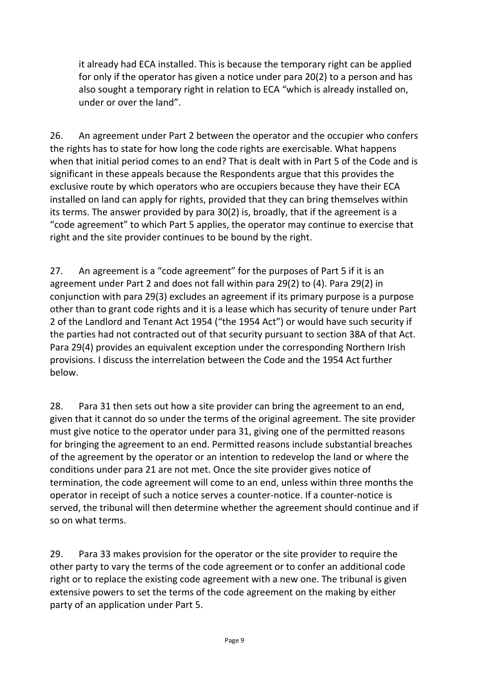it already had ECA installed. This is because the temporary right can be applied for only if the operator has given a notice under para 20(2) to a person and has also sought a temporary right in relation to ECA "which is already installed on, under or over the land".

26. An agreement under Part 2 between the operator and the occupier who confers the rights has to state for how long the code rights are exercisable. What happens when that initial period comes to an end? That is dealt with in Part 5 of the Code and is significant in these appeals because the Respondents argue that this provides the exclusive route by which operators who are occupiers because they have their ECA installed on land can apply for rights, provided that they can bring themselves within its terms. The answer provided by para 30(2) is, broadly, that if the agreement is a "code agreement" to which Part 5 applies, the operator may continue to exercise that right and the site provider continues to be bound by the right.

27. An agreement is a "code agreement" for the purposes of Part 5 if it is an agreement under Part 2 and does not fall within para 29(2) to (4). Para 29(2) in conjunction with para 29(3) excludes an agreement if its primary purpose is a purpose other than to grant code rights and it is a lease which has security of tenure under Part 2 of the Landlord and Tenant Act 1954 ("the 1954 Act") or would have such security if the parties had not contracted out of that security pursuant to section 38A of that Act. Para 29(4) provides an equivalent exception under the corresponding Northern Irish provisions. I discuss the interrelation between the Code and the 1954 Act further below.

28. Para 31 then sets out how a site provider can bring the agreement to an end, given that it cannot do so under the terms of the original agreement. The site provider must give notice to the operator under para 31, giving one of the permitted reasons for bringing the agreement to an end. Permitted reasons include substantial breaches of the agreement by the operator or an intention to redevelop the land or where the conditions under para 21 are not met. Once the site provider gives notice of termination, the code agreement will come to an end, unless within three months the operator in receipt of such a notice serves a counter-notice. If a counter-notice is served, the tribunal will then determine whether the agreement should continue and if so on what terms.

29. Para 33 makes provision for the operator or the site provider to require the other party to vary the terms of the code agreement or to confer an additional code right or to replace the existing code agreement with a new one. The tribunal is given extensive powers to set the terms of the code agreement on the making by either party of an application under Part 5.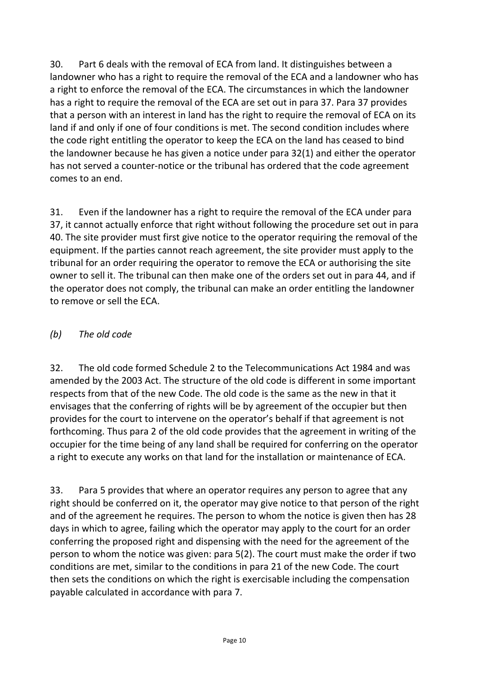30. Part 6 deals with the removal of ECA from land. It distinguishes between a landowner who has a right to require the removal of the ECA and a landowner who has a right to enforce the removal of the ECA. The circumstances in which the landowner has a right to require the removal of the ECA are set out in para 37. Para 37 provides that a person with an interest in land has the right to require the removal of ECA on its land if and only if one of four conditions is met. The second condition includes where the code right entitling the operator to keep the ECA on the land has ceased to bind the landowner because he has given a notice under para 32(1) and either the operator has not served a counter-notice or the tribunal has ordered that the code agreement comes to an end.

31. Even if the landowner has a right to require the removal of the ECA under para 37, it cannot actually enforce that right without following the procedure set out in para 40. The site provider must first give notice to the operator requiring the removal of the equipment. If the parties cannot reach agreement, the site provider must apply to the tribunal for an order requiring the operator to remove the ECA or authorising the site owner to sell it. The tribunal can then make one of the orders set out in para 44, and if the operator does not comply, the tribunal can make an order entitling the landowner to remove or sell the ECA.

## *(b) The old code*

32. The old code formed Schedule 2 to the Telecommunications Act 1984 and was amended by the 2003 Act. The structure of the old code is different in some important respects from that of the new Code. The old code is the same as the new in that it envisages that the conferring of rights will be by agreement of the occupier but then provides for the court to intervene on the operator's behalf if that agreement is not forthcoming. Thus para 2 of the old code provides that the agreement in writing of the occupier for the time being of any land shall be required for conferring on the operator a right to execute any works on that land for the installation or maintenance of ECA.

33. Para 5 provides that where an operator requires any person to agree that any right should be conferred on it, the operator may give notice to that person of the right and of the agreement he requires. The person to whom the notice is given then has 28 days in which to agree, failing which the operator may apply to the court for an order conferring the proposed right and dispensing with the need for the agreement of the person to whom the notice was given: para 5(2). The court must make the order if two conditions are met, similar to the conditions in para 21 of the new Code. The court then sets the conditions on which the right is exercisable including the compensation payable calculated in accordance with para 7.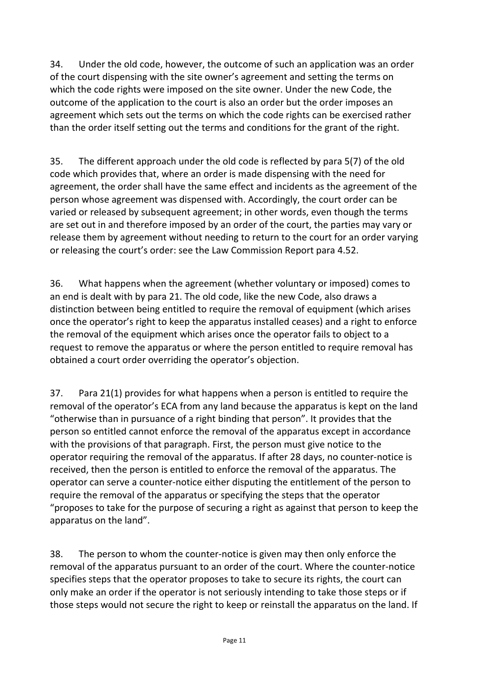34. Under the old code, however, the outcome of such an application was an order of the court dispensing with the site owner's agreement and setting the terms on which the code rights were imposed on the site owner. Under the new Code, the outcome of the application to the court is also an order but the order imposes an agreement which sets out the terms on which the code rights can be exercised rather than the order itself setting out the terms and conditions for the grant of the right.

35. The different approach under the old code is reflected by para 5(7) of the old code which provides that, where an order is made dispensing with the need for agreement, the order shall have the same effect and incidents as the agreement of the person whose agreement was dispensed with. Accordingly, the court order can be varied or released by subsequent agreement; in other words, even though the terms are set out in and therefore imposed by an order of the court, the parties may vary or release them by agreement without needing to return to the court for an order varying or releasing the court's order: see the Law Commission Report para 4.52.

36. What happens when the agreement (whether voluntary or imposed) comes to an end is dealt with by para 21. The old code, like the new Code, also draws a distinction between being entitled to require the removal of equipment (which arises once the operator's right to keep the apparatus installed ceases) and a right to enforce the removal of the equipment which arises once the operator fails to object to a request to remove the apparatus or where the person entitled to require removal has obtained a court order overriding the operator's objection.

37. Para 21(1) provides for what happens when a person is entitled to require the removal of the operator's ECA from any land because the apparatus is kept on the land "otherwise than in pursuance of a right binding that person". It provides that the person so entitled cannot enforce the removal of the apparatus except in accordance with the provisions of that paragraph. First, the person must give notice to the operator requiring the removal of the apparatus. If after 28 days, no counter-notice is received, then the person is entitled to enforce the removal of the apparatus. The operator can serve a counter-notice either disputing the entitlement of the person to require the removal of the apparatus or specifying the steps that the operator "proposes to take for the purpose of securing a right as against that person to keep the apparatus on the land".

38. The person to whom the counter-notice is given may then only enforce the removal of the apparatus pursuant to an order of the court. Where the counter-notice specifies steps that the operator proposes to take to secure its rights, the court can only make an order if the operator is not seriously intending to take those steps or if those steps would not secure the right to keep or reinstall the apparatus on the land. If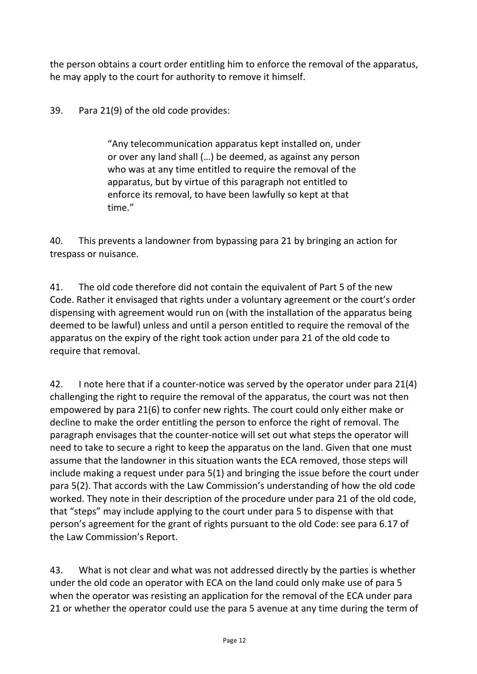the person obtains a court order entitling him to enforce the removal of the apparatus, he may apply to the court for authority to remove it himself.

39. Para 21(9) of the old code provides:

"Any telecommunication apparatus kept installed on, under or over any land shall (…) be deemed, as against any person who was at any time entitled to require the removal of the apparatus, but by virtue of this paragraph not entitled to enforce its removal, to have been lawfully so kept at that time."

40. This prevents a landowner from bypassing para 21 by bringing an action for trespass or nuisance.

41. The old code therefore did not contain the equivalent of Part 5 of the new Code. Rather it envisaged that rights under a voluntary agreement or the court's order dispensing with agreement would run on (with the installation of the apparatus being deemed to be lawful) unless and until a person entitled to require the removal of the apparatus on the expiry of the right took action under para 21 of the old code to require that removal.

42. I note here that if a counter-notice was served by the operator under para 21(4) challenging the right to require the removal of the apparatus, the court was not then empowered by para 21(6) to confer new rights. The court could only either make or decline to make the order entitling the person to enforce the right of removal. The paragraph envisages that the counter-notice will set out what steps the operator will need to take to secure a right to keep the apparatus on the land. Given that one must assume that the landowner in this situation wants the ECA removed, those steps will include making a request under para 5(1) and bringing the issue before the court under para 5(2). That accords with the Law Commission's understanding of how the old code worked. They note in their description of the procedure under para 21 of the old code, that "steps" may include applying to the court under para 5 to dispense with that person's agreement for the grant of rights pursuant to the old Code: see para 6.17 of the Law Commission's Report.

43. What is not clear and what was not addressed directly by the parties is whether under the old code an operator with ECA on the land could only make use of para 5 when the operator was resisting an application for the removal of the ECA under para 21 or whether the operator could use the para 5 avenue at any time during the term of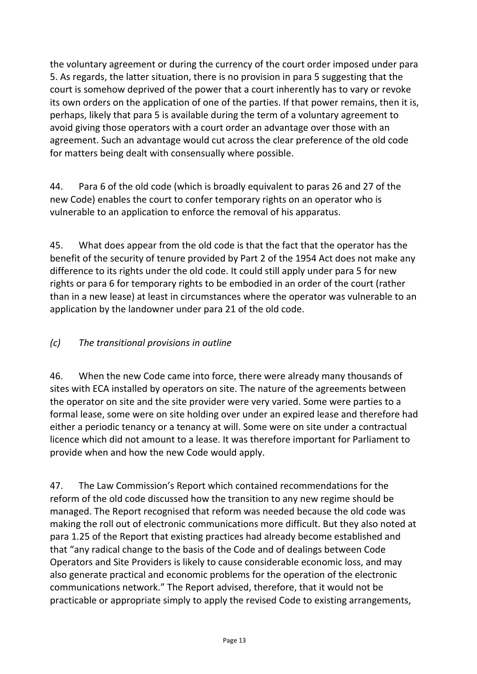the voluntary agreement or during the currency of the court order imposed under para 5. As regards, the latter situation, there is no provision in para 5 suggesting that the court is somehow deprived of the power that a court inherently has to vary or revoke its own orders on the application of one of the parties. If that power remains, then it is, perhaps, likely that para 5 is available during the term of a voluntary agreement to avoid giving those operators with a court order an advantage over those with an agreement. Such an advantage would cut across the clear preference of the old code for matters being dealt with consensually where possible.

44. Para 6 of the old code (which is broadly equivalent to paras 26 and 27 of the new Code) enables the court to confer temporary rights on an operator who is vulnerable to an application to enforce the removal of his apparatus.

45. What does appear from the old code is that the fact that the operator has the benefit of the security of tenure provided by Part 2 of the 1954 Act does not make any difference to its rights under the old code. It could still apply under para 5 for new rights or para 6 for temporary rights to be embodied in an order of the court (rather than in a new lease) at least in circumstances where the operator was vulnerable to an application by the landowner under para 21 of the old code.

#### *(c) The transitional provisions in outline*

46. When the new Code came into force, there were already many thousands of sites with ECA installed by operators on site. The nature of the agreements between the operator on site and the site provider were very varied. Some were parties to a formal lease, some were on site holding over under an expired lease and therefore had either a periodic tenancy or a tenancy at will. Some were on site under a contractual licence which did not amount to a lease. It was therefore important for Parliament to provide when and how the new Code would apply.

47. The Law Commission's Report which contained recommendations for the reform of the old code discussed how the transition to any new regime should be managed. The Report recognised that reform was needed because the old code was making the roll out of electronic communications more difficult. But they also noted at para 1.25 of the Report that existing practices had already become established and that "any radical change to the basis of the Code and of dealings between Code Operators and Site Providers is likely to cause considerable economic loss, and may also generate practical and economic problems for the operation of the electronic communications network." The Report advised, therefore, that it would not be practicable or appropriate simply to apply the revised Code to existing arrangements,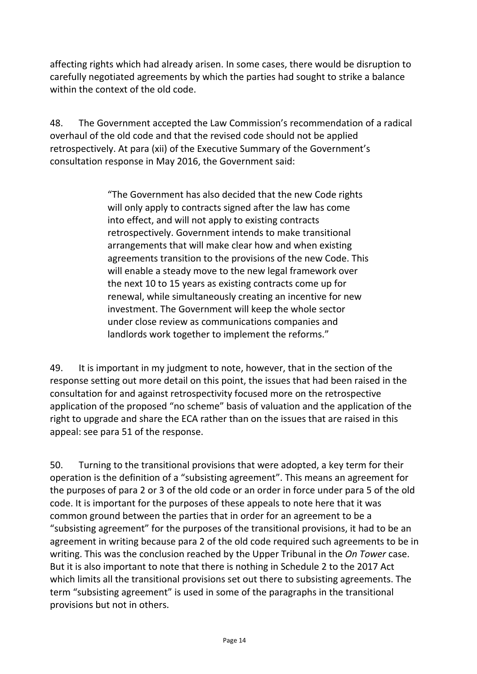affecting rights which had already arisen. In some cases, there would be disruption to carefully negotiated agreements by which the parties had sought to strike a balance within the context of the old code.

48. The Government accepted the Law Commission's recommendation of a radical overhaul of the old code and that the revised code should not be applied retrospectively. At para (xii) of the Executive Summary of the Government's consultation response in May 2016, the Government said:

> "The Government has also decided that the new Code rights will only apply to contracts signed after the law has come into effect, and will not apply to existing contracts retrospectively. Government intends to make transitional arrangements that will make clear how and when existing agreements transition to the provisions of the new Code. This will enable a steady move to the new legal framework over the next 10 to 15 years as existing contracts come up for renewal, while simultaneously creating an incentive for new investment. The Government will keep the whole sector under close review as communications companies and landlords work together to implement the reforms."

49. It is important in my judgment to note, however, that in the section of the response setting out more detail on this point, the issues that had been raised in the consultation for and against retrospectivity focused more on the retrospective application of the proposed "no scheme" basis of valuation and the application of the right to upgrade and share the ECA rather than on the issues that are raised in this appeal: see para 51 of the response.

50. Turning to the transitional provisions that were adopted, a key term for their operation is the definition of a "subsisting agreement". This means an agreement for the purposes of para 2 or 3 of the old code or an order in force under para 5 of the old code. It is important for the purposes of these appeals to note here that it was common ground between the parties that in order for an agreement to be a "subsisting agreement" for the purposes of the transitional provisions, it had to be an agreement in writing because para 2 of the old code required such agreements to be in writing. This was the conclusion reached by the Upper Tribunal in the *On Tower* case. But it is also important to note that there is nothing in Schedule 2 to the 2017 Act which limits all the transitional provisions set out there to subsisting agreements. The term "subsisting agreement" is used in some of the paragraphs in the transitional provisions but not in others.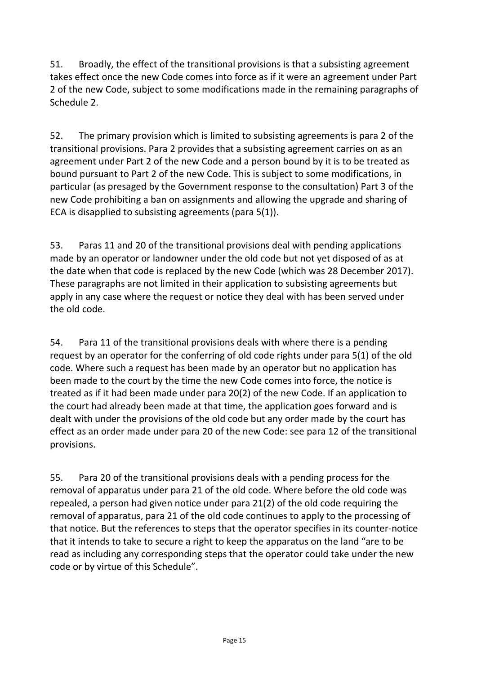51. Broadly, the effect of the transitional provisions is that a subsisting agreement takes effect once the new Code comes into force as if it were an agreement under Part 2 of the new Code, subject to some modifications made in the remaining paragraphs of Schedule 2.

52. The primary provision which is limited to subsisting agreements is para 2 of the transitional provisions. Para 2 provides that a subsisting agreement carries on as an agreement under Part 2 of the new Code and a person bound by it is to be treated as bound pursuant to Part 2 of the new Code. This is subject to some modifications, in particular (as presaged by the Government response to the consultation) Part 3 of the new Code prohibiting a ban on assignments and allowing the upgrade and sharing of ECA is disapplied to subsisting agreements (para 5(1)).

53. Paras 11 and 20 of the transitional provisions deal with pending applications made by an operator or landowner under the old code but not yet disposed of as at the date when that code is replaced by the new Code (which was 28 December 2017). These paragraphs are not limited in their application to subsisting agreements but apply in any case where the request or notice they deal with has been served under the old code.

54. Para 11 of the transitional provisions deals with where there is a pending request by an operator for the conferring of old code rights under para 5(1) of the old code. Where such a request has been made by an operator but no application has been made to the court by the time the new Code comes into force, the notice is treated as if it had been made under para 20(2) of the new Code. If an application to the court had already been made at that time, the application goes forward and is dealt with under the provisions of the old code but any order made by the court has effect as an order made under para 20 of the new Code: see para 12 of the transitional provisions.

55. Para 20 of the transitional provisions deals with a pending process for the removal of apparatus under para 21 of the old code. Where before the old code was repealed, a person had given notice under para 21(2) of the old code requiring the removal of apparatus, para 21 of the old code continues to apply to the processing of that notice. But the references to steps that the operator specifies in its counter-notice that it intends to take to secure a right to keep the apparatus on the land "are to be read as including any corresponding steps that the operator could take under the new code or by virtue of this Schedule".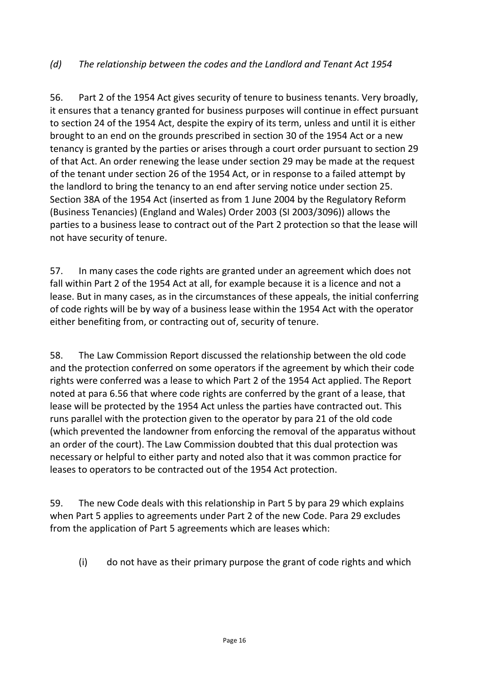56. Part 2 of the 1954 Act gives security of tenure to business tenants. Very broadly, it ensures that a tenancy granted for business purposes will continue in effect pursuant to section 24 of the 1954 Act, despite the expiry of its term, unless and until it is either brought to an end on the grounds prescribed in section 30 of the 1954 Act or a new tenancy is granted by the parties or arises through a court order pursuant to section 29 of that Act. An order renewing the lease under section 29 may be made at the request of the tenant under section 26 of the 1954 Act, or in response to a failed attempt by the landlord to bring the tenancy to an end after serving notice under section 25. Section 38A of the 1954 Act (inserted as from 1 June 2004 by the Regulatory Reform (Business Tenancies) (England and Wales) Order 2003 (SI 2003/3096)) allows the parties to a business lease to contract out of the Part 2 protection so that the lease will not have security of tenure.

57. In many cases the code rights are granted under an agreement which does not fall within Part 2 of the 1954 Act at all, for example because it is a licence and not a lease. But in many cases, as in the circumstances of these appeals, the initial conferring of code rights will be by way of a business lease within the 1954 Act with the operator either benefiting from, or contracting out of, security of tenure.

58. The Law Commission Report discussed the relationship between the old code and the protection conferred on some operators if the agreement by which their code rights were conferred was a lease to which Part 2 of the 1954 Act applied. The Report noted at para 6.56 that where code rights are conferred by the grant of a lease, that lease will be protected by the 1954 Act unless the parties have contracted out. This runs parallel with the protection given to the operator by para 21 of the old code (which prevented the landowner from enforcing the removal of the apparatus without an order of the court). The Law Commission doubted that this dual protection was necessary or helpful to either party and noted also that it was common practice for leases to operators to be contracted out of the 1954 Act protection.

59. The new Code deals with this relationship in Part 5 by para 29 which explains when Part 5 applies to agreements under Part 2 of the new Code. Para 29 excludes from the application of Part 5 agreements which are leases which:

(i) do not have as their primary purpose the grant of code rights and which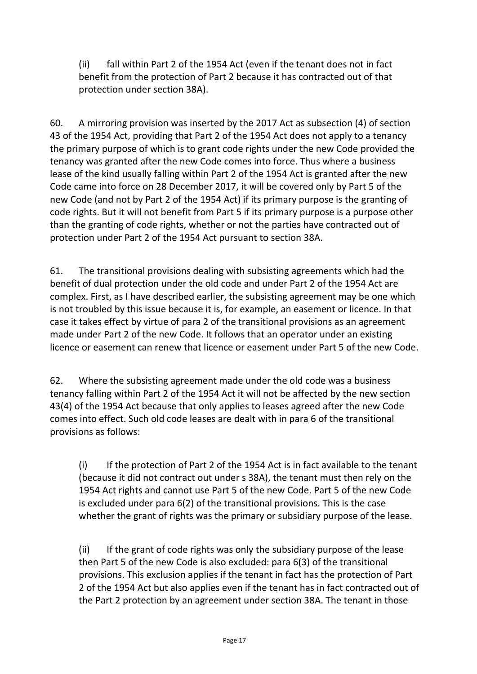(ii) fall within Part 2 of the 1954 Act (even if the tenant does not in fact benefit from the protection of Part 2 because it has contracted out of that protection under section 38A).

60. A mirroring provision was inserted by the 2017 Act as subsection (4) of section 43 of the 1954 Act, providing that Part 2 of the 1954 Act does not apply to a tenancy the primary purpose of which is to grant code rights under the new Code provided the tenancy was granted after the new Code comes into force. Thus where a business lease of the kind usually falling within Part 2 of the 1954 Act is granted after the new Code came into force on 28 December 2017, it will be covered only by Part 5 of the new Code (and not by Part 2 of the 1954 Act) if its primary purpose is the granting of code rights. But it will not benefit from Part 5 if its primary purpose is a purpose other than the granting of code rights, whether or not the parties have contracted out of protection under Part 2 of the 1954 Act pursuant to section 38A.

61. The transitional provisions dealing with subsisting agreements which had the benefit of dual protection under the old code and under Part 2 of the 1954 Act are complex. First, as I have described earlier, the subsisting agreement may be one which is not troubled by this issue because it is, for example, an easement or licence. In that case it takes effect by virtue of para 2 of the transitional provisions as an agreement made under Part 2 of the new Code. It follows that an operator under an existing licence or easement can renew that licence or easement under Part 5 of the new Code.

62. Where the subsisting agreement made under the old code was a business tenancy falling within Part 2 of the 1954 Act it will not be affected by the new section 43(4) of the 1954 Act because that only applies to leases agreed after the new Code comes into effect. Such old code leases are dealt with in para 6 of the transitional provisions as follows:

 $(i)$  If the protection of Part 2 of the 1954 Act is in fact available to the tenant (because it did not contract out under s 38A), the tenant must then rely on the 1954 Act rights and cannot use Part 5 of the new Code. Part 5 of the new Code is excluded under para 6(2) of the transitional provisions. This is the case whether the grant of rights was the primary or subsidiary purpose of the lease.

(ii) If the grant of code rights was only the subsidiary purpose of the lease then Part 5 of the new Code is also excluded: para 6(3) of the transitional provisions. This exclusion applies if the tenant in fact has the protection of Part 2 of the 1954 Act but also applies even if the tenant has in fact contracted out of the Part 2 protection by an agreement under section 38A. The tenant in those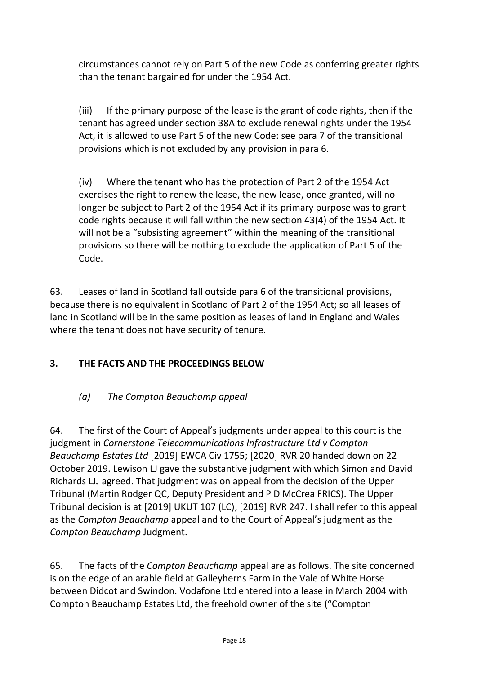circumstances cannot rely on Part 5 of the new Code as conferring greater rights than the tenant bargained for under the 1954 Act.

(iii) If the primary purpose of the lease is the grant of code rights, then if the tenant has agreed under section 38A to exclude renewal rights under the 1954 Act, it is allowed to use Part 5 of the new Code: see para 7 of the transitional provisions which is not excluded by any provision in para 6.

(iv) Where the tenant who has the protection of Part 2 of the 1954 Act exercises the right to renew the lease, the new lease, once granted, will no longer be subject to Part 2 of the 1954 Act if its primary purpose was to grant code rights because it will fall within the new section 43(4) of the 1954 Act. It will not be a "subsisting agreement" within the meaning of the transitional provisions so there will be nothing to exclude the application of Part 5 of the Code.

63. Leases of land in Scotland fall outside para 6 of the transitional provisions, because there is no equivalent in Scotland of Part 2 of the 1954 Act; so all leases of land in Scotland will be in the same position as leases of land in England and Wales where the tenant does not have security of tenure.

#### **3. THE FACTS AND THE PROCEEDINGS BELOW**

#### *(a) The Compton Beauchamp appeal*

64. The first of the Court of Appeal's judgments under appeal to this court is the judgment in *Cornerstone Telecommunications Infrastructure Ltd v Compton Beauchamp Estates Ltd* [2019] EWCA Civ 1755; [2020] RVR 20 handed down on 22 October 2019. Lewison LJ gave the substantive judgment with which Simon and David Richards LJJ agreed. That judgment was on appeal from the decision of the Upper Tribunal (Martin Rodger QC, Deputy President and P D McCrea FRICS). The Upper Tribunal decision is at [2019] UKUT 107 (LC); [2019] RVR 247. I shall refer to this appeal as the *Compton Beauchamp* appeal and to the Court of Appeal's judgment as the *Compton Beauchamp* Judgment.

65. The facts of the *Compton Beauchamp* appeal are as follows. The site concerned is on the edge of an arable field at Galleyherns Farm in the Vale of White Horse between Didcot and Swindon. Vodafone Ltd entered into a lease in March 2004 with Compton Beauchamp Estates Ltd, the freehold owner of the site ("Compton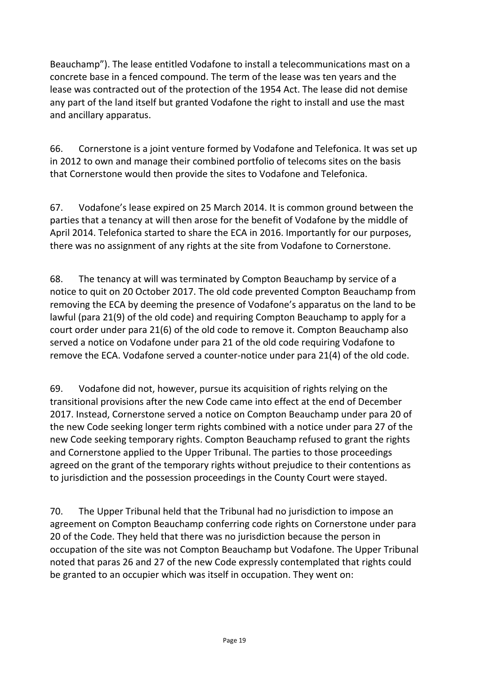Beauchamp"). The lease entitled Vodafone to install a telecommunications mast on a concrete base in a fenced compound. The term of the lease was ten years and the lease was contracted out of the protection of the 1954 Act. The lease did not demise any part of the land itself but granted Vodafone the right to install and use the mast and ancillary apparatus.

66. Cornerstone is a joint venture formed by Vodafone and Telefonica. It was set up in 2012 to own and manage their combined portfolio of telecoms sites on the basis that Cornerstone would then provide the sites to Vodafone and Telefonica.

67. Vodafone's lease expired on 25 March 2014. It is common ground between the parties that a tenancy at will then arose for the benefit of Vodafone by the middle of April 2014. Telefonica started to share the ECA in 2016. Importantly for our purposes, there was no assignment of any rights at the site from Vodafone to Cornerstone.

68. The tenancy at will was terminated by Compton Beauchamp by service of a notice to quit on 20 October 2017. The old code prevented Compton Beauchamp from removing the ECA by deeming the presence of Vodafone's apparatus on the land to be lawful (para 21(9) of the old code) and requiring Compton Beauchamp to apply for a court order under para 21(6) of the old code to remove it. Compton Beauchamp also served a notice on Vodafone under para 21 of the old code requiring Vodafone to remove the ECA. Vodafone served a counter-notice under para 21(4) of the old code.

69. Vodafone did not, however, pursue its acquisition of rights relying on the transitional provisions after the new Code came into effect at the end of December 2017. Instead, Cornerstone served a notice on Compton Beauchamp under para 20 of the new Code seeking longer term rights combined with a notice under para 27 of the new Code seeking temporary rights. Compton Beauchamp refused to grant the rights and Cornerstone applied to the Upper Tribunal. The parties to those proceedings agreed on the grant of the temporary rights without prejudice to their contentions as to jurisdiction and the possession proceedings in the County Court were stayed.

70. The Upper Tribunal held that the Tribunal had no jurisdiction to impose an agreement on Compton Beauchamp conferring code rights on Cornerstone under para 20 of the Code. They held that there was no jurisdiction because the person in occupation of the site was not Compton Beauchamp but Vodafone. The Upper Tribunal noted that paras 26 and 27 of the new Code expressly contemplated that rights could be granted to an occupier which was itself in occupation. They went on: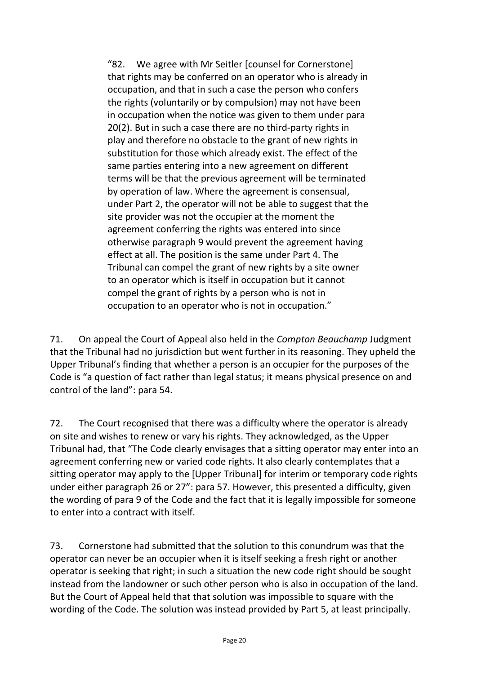"82. We agree with Mr Seitler [counsel for Cornerstone] that rights may be conferred on an operator who is already in occupation, and that in such a case the person who confers the rights (voluntarily or by compulsion) may not have been in occupation when the notice was given to them under para 20(2). But in such a case there are no third-party rights in play and therefore no obstacle to the grant of new rights in substitution for those which already exist. The effect of the same parties entering into a new agreement on different terms will be that the previous agreement will be terminated by operation of law. Where the agreement is consensual, under Part 2, the operator will not be able to suggest that the site provider was not the occupier at the moment the agreement conferring the rights was entered into since otherwise paragraph 9 would prevent the agreement having effect at all. The position is the same under Part 4. The Tribunal can compel the grant of new rights by a site owner to an operator which is itself in occupation but it cannot compel the grant of rights by a person who is not in occupation to an operator who is not in occupation."

71. On appeal the Court of Appeal also held in the *Compton Beauchamp* Judgment that the Tribunal had no jurisdiction but went further in its reasoning. They upheld the Upper Tribunal's finding that whether a person is an occupier for the purposes of the Code is "a question of fact rather than legal status; it means physical presence on and control of the land": para 54.

72. The Court recognised that there was a difficulty where the operator is already on site and wishes to renew or vary his rights. They acknowledged, as the Upper Tribunal had, that "The Code clearly envisages that a sitting operator may enter into an agreement conferring new or varied code rights. It also clearly contemplates that a sitting operator may apply to the [Upper Tribunal] for interim or temporary code rights under either paragraph 26 or 27": para 57. However, this presented a difficulty, given the wording of para 9 of the Code and the fact that it is legally impossible for someone to enter into a contract with itself.

73. Cornerstone had submitted that the solution to this conundrum was that the operator can never be an occupier when it is itself seeking a fresh right or another operator is seeking that right; in such a situation the new code right should be sought instead from the landowner or such other person who is also in occupation of the land. But the Court of Appeal held that that solution was impossible to square with the wording of the Code. The solution was instead provided by Part 5, at least principally.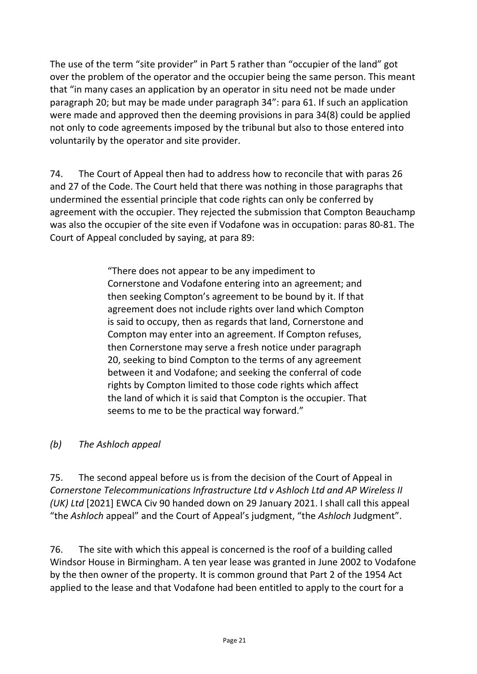The use of the term "site provider" in Part 5 rather than "occupier of the land" got over the problem of the operator and the occupier being the same person. This meant that "in many cases an application by an operator in situ need not be made under paragraph 20; but may be made under paragraph 34": para 61. If such an application were made and approved then the deeming provisions in para 34(8) could be applied not only to code agreements imposed by the tribunal but also to those entered into voluntarily by the operator and site provider.

74. The Court of Appeal then had to address how to reconcile that with paras 26 and 27 of the Code. The Court held that there was nothing in those paragraphs that undermined the essential principle that code rights can only be conferred by agreement with the occupier. They rejected the submission that Compton Beauchamp was also the occupier of the site even if Vodafone was in occupation: paras 80-81. The Court of Appeal concluded by saying, at para 89:

> "There does not appear to be any impediment to Cornerstone and Vodafone entering into an agreement; and then seeking Compton's agreement to be bound by it. If that agreement does not include rights over land which Compton is said to occupy, then as regards that land, Cornerstone and Compton may enter into an agreement. If Compton refuses, then Cornerstone may serve a fresh notice under paragraph 20, seeking to bind Compton to the terms of any agreement between it and Vodafone; and seeking the conferral of code rights by Compton limited to those code rights which affect the land of which it is said that Compton is the occupier. That seems to me to be the practical way forward."

#### *(b) The Ashloch appeal*

75. The second appeal before us is from the decision of the Court of Appeal in *Cornerstone Telecommunications Infrastructure Ltd v Ashloch Ltd and AP Wireless II (UK) Ltd* [2021] EWCA Civ 90 handed down on 29 January 2021. I shall call this appeal "the *Ashloch* appeal" and the Court of Appeal's judgment, "the *Ashloch* Judgment".

76. The site with which this appeal is concerned is the roof of a building called Windsor House in Birmingham. A ten year lease was granted in June 2002 to Vodafone by the then owner of the property. It is common ground that Part 2 of the 1954 Act applied to the lease and that Vodafone had been entitled to apply to the court for a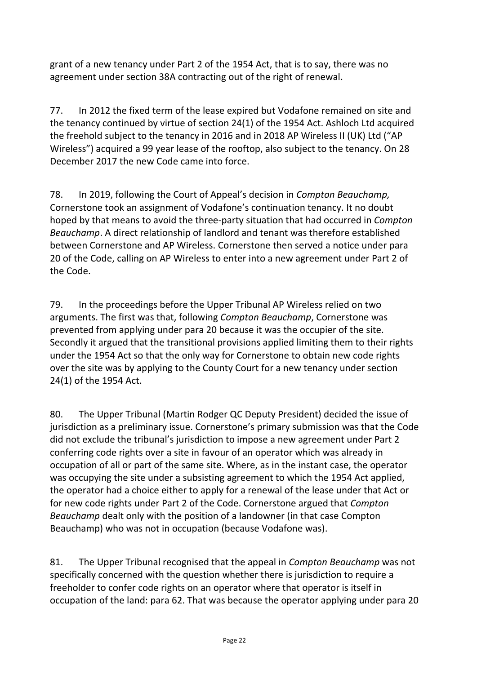grant of a new tenancy under Part 2 of the 1954 Act, that is to say, there was no agreement under section 38A contracting out of the right of renewal.

77. In 2012 the fixed term of the lease expired but Vodafone remained on site and the tenancy continued by virtue of section 24(1) of the 1954 Act. Ashloch Ltd acquired the freehold subject to the tenancy in 2016 and in 2018 AP Wireless II (UK) Ltd ("AP Wireless") acquired a 99 year lease of the rooftop, also subject to the tenancy. On 28 December 2017 the new Code came into force.

78. In 2019, following the Court of Appeal's decision in *Compton Beauchamp,*  Cornerstone took an assignment of Vodafone's continuation tenancy. It no doubt hoped by that means to avoid the three-party situation that had occurred in *Compton Beauchamp*. A direct relationship of landlord and tenant was therefore established between Cornerstone and AP Wireless. Cornerstone then served a notice under para 20 of the Code, calling on AP Wireless to enter into a new agreement under Part 2 of the Code.

79. In the proceedings before the Upper Tribunal AP Wireless relied on two arguments. The first was that, following *Compton Beauchamp*, Cornerstone was prevented from applying under para 20 because it was the occupier of the site. Secondly it argued that the transitional provisions applied limiting them to their rights under the 1954 Act so that the only way for Cornerstone to obtain new code rights over the site was by applying to the County Court for a new tenancy under section 24(1) of the 1954 Act.

80. The Upper Tribunal (Martin Rodger QC Deputy President) decided the issue of jurisdiction as a preliminary issue. Cornerstone's primary submission was that the Code did not exclude the tribunal's jurisdiction to impose a new agreement under Part 2 conferring code rights over a site in favour of an operator which was already in occupation of all or part of the same site. Where, as in the instant case, the operator was occupying the site under a subsisting agreement to which the 1954 Act applied, the operator had a choice either to apply for a renewal of the lease under that Act or for new code rights under Part 2 of the Code. Cornerstone argued that *Compton Beauchamp* dealt only with the position of a landowner (in that case Compton Beauchamp) who was not in occupation (because Vodafone was).

81. The Upper Tribunal recognised that the appeal in *Compton Beauchamp* was not specifically concerned with the question whether there is jurisdiction to require a freeholder to confer code rights on an operator where that operator is itself in occupation of the land: para 62. That was because the operator applying under para 20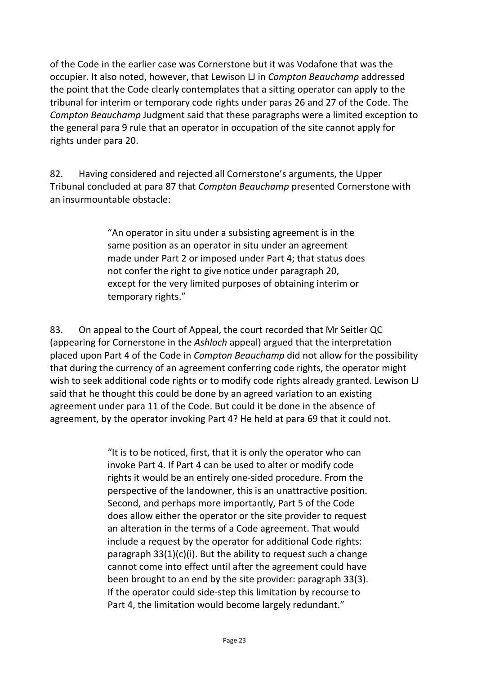of the Code in the earlier case was Cornerstone but it was Vodafone that was the occupier. It also noted, however, that Lewison LJ in *Compton Beauchamp* addressed the point that the Code clearly contemplates that a sitting operator can apply to the tribunal for interim or temporary code rights under paras 26 and 27 of the Code. The *Compton Beauchamp* Judgment said that these paragraphs were a limited exception to the general para 9 rule that an operator in occupation of the site cannot apply for rights under para 20.

82. Having considered and rejected all Cornerstone's arguments, the Upper Tribunal concluded at para 87 that *Compton Beauchamp* presented Cornerstone with an insurmountable obstacle:

> "An operator in situ under a subsisting agreement is in the same position as an operator in situ under an agreement made under Part 2 or imposed under Part 4; that status does not confer the right to give notice under paragraph 20, except for the very limited purposes of obtaining interim or temporary rights."

83. On appeal to the Court of Appeal, the court recorded that Mr Seitler QC (appearing for Cornerstone in the *Ashloch* appeal) argued that the interpretation placed upon Part 4 of the Code in *Compton Beauchamp* did not allow for the possibility that during the currency of an agreement conferring code rights, the operator might wish to seek additional code rights or to modify code rights already granted. Lewison LJ said that he thought this could be done by an agreed variation to an existing agreement under para 11 of the Code. But could it be done in the absence of agreement, by the operator invoking Part 4? He held at para 69 that it could not.

> "It is to be noticed, first, that it is only the operator who can invoke Part 4. If Part 4 can be used to alter or modify code rights it would be an entirely one-sided procedure. From the perspective of the landowner, this is an unattractive position. Second, and perhaps more importantly, Part 5 of the Code does allow either the operator or the site provider to request an alteration in the terms of a Code agreement. That would include a request by the operator for additional Code rights: paragraph  $33(1)(c)(i)$ . But the ability to request such a change cannot come into effect until after the agreement could have been brought to an end by the site provider: paragraph 33(3). If the operator could side-step this limitation by recourse to Part 4, the limitation would become largely redundant."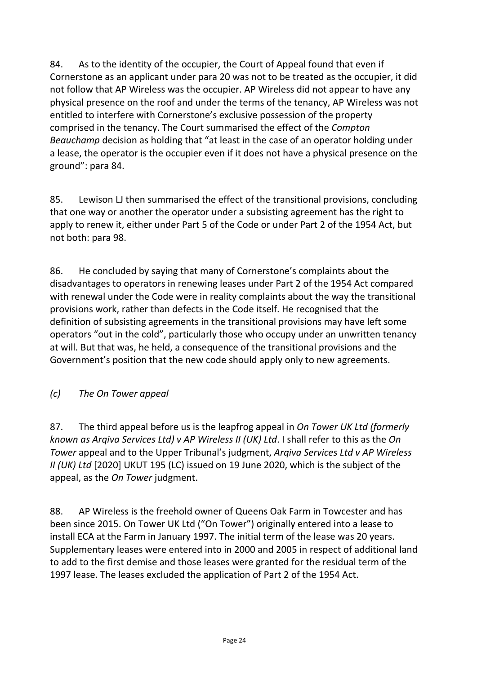84. As to the identity of the occupier, the Court of Appeal found that even if Cornerstone as an applicant under para 20 was not to be treated as the occupier, it did not follow that AP Wireless was the occupier. AP Wireless did not appear to have any physical presence on the roof and under the terms of the tenancy, AP Wireless was not entitled to interfere with Cornerstone's exclusive possession of the property comprised in the tenancy. The Court summarised the effect of the *Compton Beauchamp* decision as holding that "at least in the case of an operator holding under a lease, the operator is the occupier even if it does not have a physical presence on the ground": para 84.

85. Lewison LJ then summarised the effect of the transitional provisions, concluding that one way or another the operator under a subsisting agreement has the right to apply to renew it, either under Part 5 of the Code or under Part 2 of the 1954 Act, but not both: para 98.

86. He concluded by saying that many of Cornerstone's complaints about the disadvantages to operators in renewing leases under Part 2 of the 1954 Act compared with renewal under the Code were in reality complaints about the way the transitional provisions work, rather than defects in the Code itself. He recognised that the definition of subsisting agreements in the transitional provisions may have left some operators "out in the cold", particularly those who occupy under an unwritten tenancy at will. But that was, he held, a consequence of the transitional provisions and the Government's position that the new code should apply only to new agreements.

# *(c) The On Tower appeal*

87. The third appeal before us is the leapfrog appeal in *On Tower UK Ltd (formerly known as Arqiva Services Ltd) v AP Wireless II (UK) Ltd*. I shall refer to this as the *On Tower* appeal and to the Upper Tribunal's judgment, *Arqiva Services Ltd v AP Wireless II (UK) Ltd* [2020] UKUT 195 (LC) issued on 19 June 2020, which is the subject of the appeal, as the *On Tower* judgment.

88. AP Wireless is the freehold owner of Queens Oak Farm in Towcester and has been since 2015. On Tower UK Ltd ("On Tower") originally entered into a lease to install ECA at the Farm in January 1997. The initial term of the lease was 20 years. Supplementary leases were entered into in 2000 and 2005 in respect of additional land to add to the first demise and those leases were granted for the residual term of the 1997 lease. The leases excluded the application of Part 2 of the 1954 Act.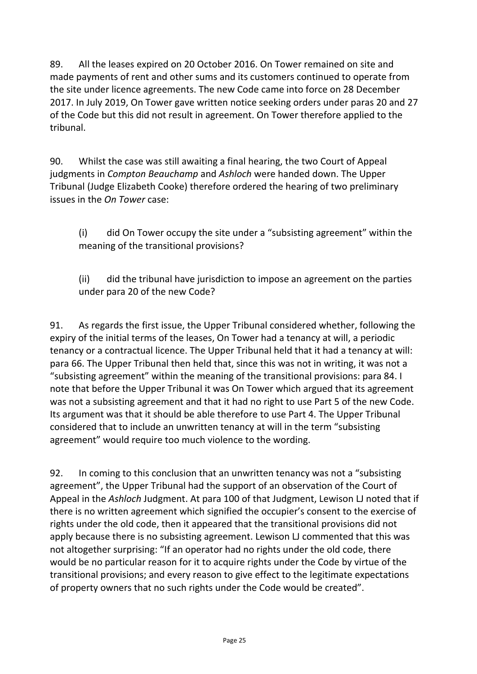89. All the leases expired on 20 October 2016. On Tower remained on site and made payments of rent and other sums and its customers continued to operate from the site under licence agreements. The new Code came into force on 28 December 2017. In July 2019, On Tower gave written notice seeking orders under paras 20 and 27 of the Code but this did not result in agreement. On Tower therefore applied to the tribunal.

90. Whilst the case was still awaiting a final hearing, the two Court of Appeal judgments in *Compton Beauchamp* and *Ashloch* were handed down. The Upper Tribunal (Judge Elizabeth Cooke) therefore ordered the hearing of two preliminary issues in the *On Tower* case:

(i) did On Tower occupy the site under a "subsisting agreement" within the meaning of the transitional provisions?

(ii) did the tribunal have jurisdiction to impose an agreement on the parties under para 20 of the new Code?

91. As regards the first issue, the Upper Tribunal considered whether, following the expiry of the initial terms of the leases, On Tower had a tenancy at will, a periodic tenancy or a contractual licence. The Upper Tribunal held that it had a tenancy at will: para 66. The Upper Tribunal then held that, since this was not in writing, it was not a "subsisting agreement" within the meaning of the transitional provisions: para 84. I note that before the Upper Tribunal it was On Tower which argued that its agreement was not a subsisting agreement and that it had no right to use Part 5 of the new Code. Its argument was that it should be able therefore to use Part 4. The Upper Tribunal considered that to include an unwritten tenancy at will in the term "subsisting agreement" would require too much violence to the wording.

92. In coming to this conclusion that an unwritten tenancy was not a "subsisting agreement", the Upper Tribunal had the support of an observation of the Court of Appeal in the *Ashloch* Judgment. At para 100 of that Judgment, Lewison LJ noted that if there is no written agreement which signified the occupier's consent to the exercise of rights under the old code, then it appeared that the transitional provisions did not apply because there is no subsisting agreement. Lewison LJ commented that this was not altogether surprising: "If an operator had no rights under the old code, there would be no particular reason for it to acquire rights under the Code by virtue of the transitional provisions; and every reason to give effect to the legitimate expectations of property owners that no such rights under the Code would be created".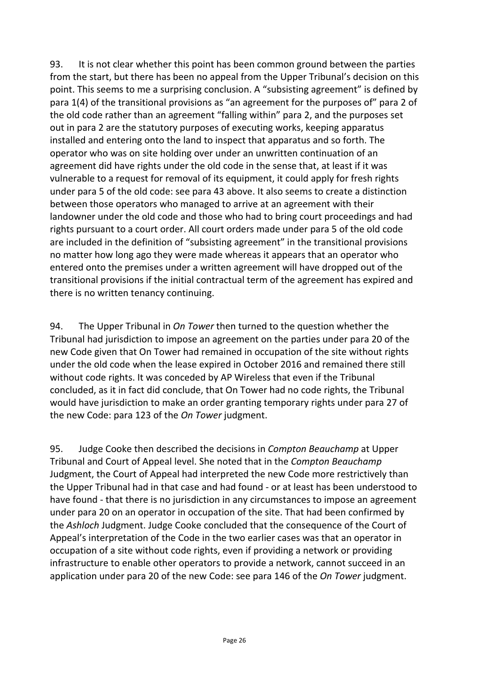93. It is not clear whether this point has been common ground between the parties from the start, but there has been no appeal from the Upper Tribunal's decision on this point. This seems to me a surprising conclusion. A "subsisting agreement" is defined by para 1(4) of the transitional provisions as "an agreement for the purposes of" para 2 of the old code rather than an agreement "falling within" para 2, and the purposes set out in para 2 are the statutory purposes of executing works, keeping apparatus installed and entering onto the land to inspect that apparatus and so forth. The operator who was on site holding over under an unwritten continuation of an agreement did have rights under the old code in the sense that, at least if it was vulnerable to a request for removal of its equipment, it could apply for fresh rights under para 5 of the old code: see para 43 above. It also seems to create a distinction between those operators who managed to arrive at an agreement with their landowner under the old code and those who had to bring court proceedings and had rights pursuant to a court order. All court orders made under para 5 of the old code are included in the definition of "subsisting agreement" in the transitional provisions no matter how long ago they were made whereas it appears that an operator who entered onto the premises under a written agreement will have dropped out of the transitional provisions if the initial contractual term of the agreement has expired and there is no written tenancy continuing.

94. The Upper Tribunal in *On Tower* then turned to the question whether the Tribunal had jurisdiction to impose an agreement on the parties under para 20 of the new Code given that On Tower had remained in occupation of the site without rights under the old code when the lease expired in October 2016 and remained there still without code rights. It was conceded by AP Wireless that even if the Tribunal concluded, as it in fact did conclude, that On Tower had no code rights, the Tribunal would have jurisdiction to make an order granting temporary rights under para 27 of the new Code: para 123 of the *On Tower* judgment.

95. Judge Cooke then described the decisions in *Compton Beauchamp* at Upper Tribunal and Court of Appeal level. She noted that in the *Compton Beauchamp*  Judgment, the Court of Appeal had interpreted the new Code more restrictively than the Upper Tribunal had in that case and had found - or at least has been understood to have found - that there is no jurisdiction in any circumstances to impose an agreement under para 20 on an operator in occupation of the site. That had been confirmed by the *Ashloch* Judgment. Judge Cooke concluded that the consequence of the Court of Appeal's interpretation of the Code in the two earlier cases was that an operator in occupation of a site without code rights, even if providing a network or providing infrastructure to enable other operators to provide a network, cannot succeed in an application under para 20 of the new Code: see para 146 of the *On Tower* judgment.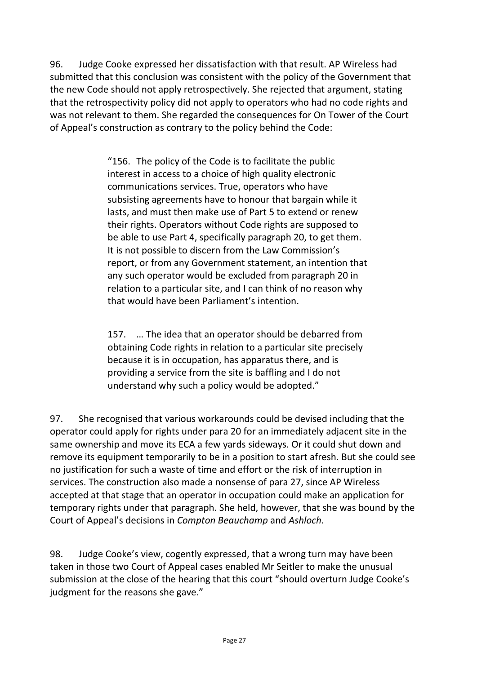96. Judge Cooke expressed her dissatisfaction with that result. AP Wireless had submitted that this conclusion was consistent with the policy of the Government that the new Code should not apply retrospectively. She rejected that argument, stating that the retrospectivity policy did not apply to operators who had no code rights and was not relevant to them. She regarded the consequences for On Tower of the Court of Appeal's construction as contrary to the policy behind the Code:

> "156. The policy of the Code is to facilitate the public interest in access to a choice of high quality electronic communications services. True, operators who have subsisting agreements have to honour that bargain while it lasts, and must then make use of Part 5 to extend or renew their rights. Operators without Code rights are supposed to be able to use Part 4, specifically paragraph 20, to get them. It is not possible to discern from the Law Commission's report, or from any Government statement, an intention that any such operator would be excluded from paragraph 20 in relation to a particular site, and I can think of no reason why that would have been Parliament's intention.

157. … The idea that an operator should be debarred from obtaining Code rights in relation to a particular site precisely because it is in occupation, has apparatus there, and is providing a service from the site is baffling and I do not understand why such a policy would be adopted."

97. She recognised that various workarounds could be devised including that the operator could apply for rights under para 20 for an immediately adjacent site in the same ownership and move its ECA a few yards sideways. Or it could shut down and remove its equipment temporarily to be in a position to start afresh. But she could see no justification for such a waste of time and effort or the risk of interruption in services. The construction also made a nonsense of para 27, since AP Wireless accepted at that stage that an operator in occupation could make an application for temporary rights under that paragraph. She held, however, that she was bound by the Court of Appeal's decisions in *Compton Beauchamp* and *Ashloch*.

98. Judge Cooke's view, cogently expressed, that a wrong turn may have been taken in those two Court of Appeal cases enabled Mr Seitler to make the unusual submission at the close of the hearing that this court "should overturn Judge Cooke's judgment for the reasons she gave."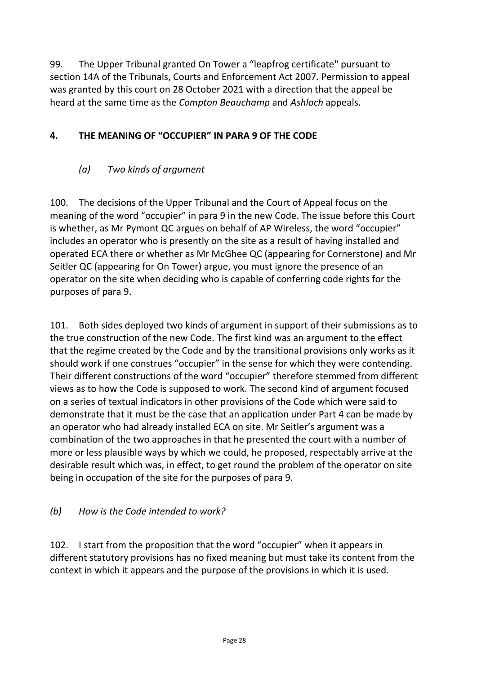99. The Upper Tribunal granted On Tower a "leapfrog certificate" pursuant to section 14A of the Tribunals, Courts and Enforcement Act 2007. Permission to appeal was granted by this court on 28 October 2021 with a direction that the appeal be heard at the same time as the *Compton Beauchamp* and *Ashloch* appeals.

# **4. THE MEANING OF "OCCUPIER" IN PARA 9 OF THE CODE**

#### *(a) Two kinds of argument*

100. The decisions of the Upper Tribunal and the Court of Appeal focus on the meaning of the word "occupier" in para 9 in the new Code. The issue before this Court is whether, as Mr Pymont QC argues on behalf of AP Wireless, the word "occupier" includes an operator who is presently on the site as a result of having installed and operated ECA there or whether as Mr McGhee QC (appearing for Cornerstone) and Mr Seitler QC (appearing for On Tower) argue, you must ignore the presence of an operator on the site when deciding who is capable of conferring code rights for the purposes of para 9.

101. Both sides deployed two kinds of argument in support of their submissions as to the true construction of the new Code. The first kind was an argument to the effect that the regime created by the Code and by the transitional provisions only works as it should work if one construes "occupier" in the sense for which they were contending. Their different constructions of the word "occupier" therefore stemmed from different views as to how the Code is supposed to work. The second kind of argument focused on a series of textual indicators in other provisions of the Code which were said to demonstrate that it must be the case that an application under Part 4 can be made by an operator who had already installed ECA on site. Mr Seitler's argument was a combination of the two approaches in that he presented the court with a number of more or less plausible ways by which we could, he proposed, respectably arrive at the desirable result which was, in effect, to get round the problem of the operator on site being in occupation of the site for the purposes of para 9.

# *(b) How is the Code intended to work?*

102. I start from the proposition that the word "occupier" when it appears in different statutory provisions has no fixed meaning but must take its content from the context in which it appears and the purpose of the provisions in which it is used.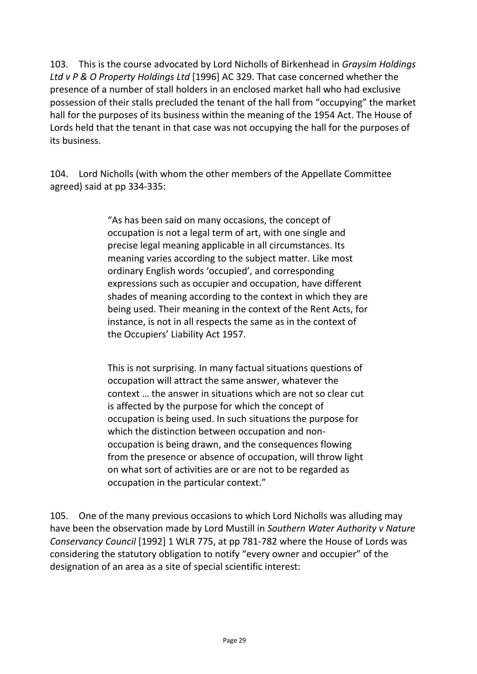103. This is the course advocated by Lord Nicholls of Birkenhead in *Graysim Holdings Ltd v P & O Property Holdings Ltd* [1996] AC 329. That case concerned whether the presence of a number of stall holders in an enclosed market hall who had exclusive possession of their stalls precluded the tenant of the hall from "occupying" the market hall for the purposes of its business within the meaning of the 1954 Act. The House of Lords held that the tenant in that case was not occupying the hall for the purposes of its business.

104. Lord Nicholls (with whom the other members of the Appellate Committee agreed) said at pp 334-335:

> "As has been said on many occasions, the concept of occupation is not a legal term of art, with one single and precise legal meaning applicable in all circumstances. Its meaning varies according to the subject matter. Like most ordinary English words 'occupied', and corresponding expressions such as occupier and occupation, have different shades of meaning according to the context in which they are being used. Their meaning in the context of the Rent Acts, for instance, is not in all respects the same as in the context of the Occupiers' Liability Act 1957.

This is not surprising. In many factual situations questions of occupation will attract the same answer, whatever the context … the answer in situations which are not so clear cut is affected by the purpose for which the concept of occupation is being used. In such situations the purpose for which the distinction between occupation and nonoccupation is being drawn, and the consequences flowing from the presence or absence of occupation, will throw light on what sort of activities are or are not to be regarded as occupation in the particular context."

105. One of the many previous occasions to which Lord Nicholls was alluding may have been the observation made by Lord Mustill in *Southern Water Authority v Nature Conservancy Council* [1992] 1 WLR 775, at pp 781-782 where the House of Lords was considering the statutory obligation to notify "every owner and occupier" of the designation of an area as a site of special scientific interest: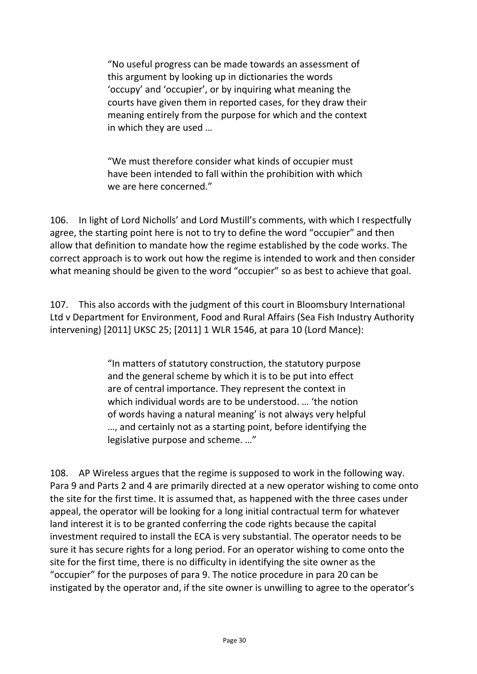"No useful progress can be made towards an assessment of this argument by looking up in dictionaries the words 'occupy' and 'occupier', or by inquiring what meaning the courts have given them in reported cases, for they draw their meaning entirely from the purpose for which and the context in which they are used …

"We must therefore consider what kinds of occupier must have been intended to fall within the prohibition with which we are here concerned."

106. In light of Lord Nicholls' and Lord Mustill's comments, with which I respectfully agree, the starting point here is not to try to define the word "occupier" and then allow that definition to mandate how the regime established by the code works. The correct approach is to work out how the regime is intended to work and then consider what meaning should be given to the word "occupier" so as best to achieve that goal.

107. This also accords with the judgment of this court in Bloomsbury International Ltd v Department for Environment, Food and Rural Affairs (Sea Fish Industry Authority intervening) [2011] UKSC 25; [2011] 1 WLR 1546, at para 10 (Lord Mance):

> "In matters of statutory construction, the statutory purpose and the general scheme by which it is to be put into effect are of central importance. They represent the context in which individual words are to be understood. … 'the notion of words having a natural meaning' is not always very helpful …, and certainly not as a starting point, before identifying the legislative purpose and scheme. …"

108. AP Wireless argues that the regime is supposed to work in the following way. Para 9 and Parts 2 and 4 are primarily directed at a new operator wishing to come onto the site for the first time. It is assumed that, as happened with the three cases under appeal, the operator will be looking for a long initial contractual term for whatever land interest it is to be granted conferring the code rights because the capital investment required to install the ECA is very substantial. The operator needs to be sure it has secure rights for a long period. For an operator wishing to come onto the site for the first time, there is no difficulty in identifying the site owner as the "occupier" for the purposes of para 9. The notice procedure in para 20 can be instigated by the operator and, if the site owner is unwilling to agree to the operator's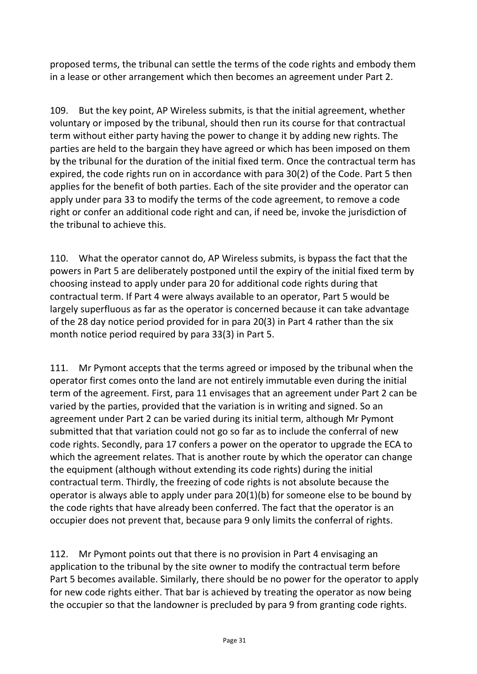proposed terms, the tribunal can settle the terms of the code rights and embody them in a lease or other arrangement which then becomes an agreement under Part 2.

109. But the key point, AP Wireless submits, is that the initial agreement, whether voluntary or imposed by the tribunal, should then run its course for that contractual term without either party having the power to change it by adding new rights. The parties are held to the bargain they have agreed or which has been imposed on them by the tribunal for the duration of the initial fixed term. Once the contractual term has expired, the code rights run on in accordance with para 30(2) of the Code. Part 5 then applies for the benefit of both parties. Each of the site provider and the operator can apply under para 33 to modify the terms of the code agreement, to remove a code right or confer an additional code right and can, if need be, invoke the jurisdiction of the tribunal to achieve this.

110. What the operator cannot do, AP Wireless submits, is bypass the fact that the powers in Part 5 are deliberately postponed until the expiry of the initial fixed term by choosing instead to apply under para 20 for additional code rights during that contractual term. If Part 4 were always available to an operator, Part 5 would be largely superfluous as far as the operator is concerned because it can take advantage of the 28 day notice period provided for in para 20(3) in Part 4 rather than the six month notice period required by para 33(3) in Part 5.

111. Mr Pymont accepts that the terms agreed or imposed by the tribunal when the operator first comes onto the land are not entirely immutable even during the initial term of the agreement. First, para 11 envisages that an agreement under Part 2 can be varied by the parties, provided that the variation is in writing and signed. So an agreement under Part 2 can be varied during its initial term, although Mr Pymont submitted that that variation could not go so far as to include the conferral of new code rights. Secondly, para 17 confers a power on the operator to upgrade the ECA to which the agreement relates. That is another route by which the operator can change the equipment (although without extending its code rights) during the initial contractual term. Thirdly, the freezing of code rights is not absolute because the operator is always able to apply under para 20(1)(b) for someone else to be bound by the code rights that have already been conferred. The fact that the operator is an occupier does not prevent that, because para 9 only limits the conferral of rights.

112. Mr Pymont points out that there is no provision in Part 4 envisaging an application to the tribunal by the site owner to modify the contractual term before Part 5 becomes available. Similarly, there should be no power for the operator to apply for new code rights either. That bar is achieved by treating the operator as now being the occupier so that the landowner is precluded by para 9 from granting code rights.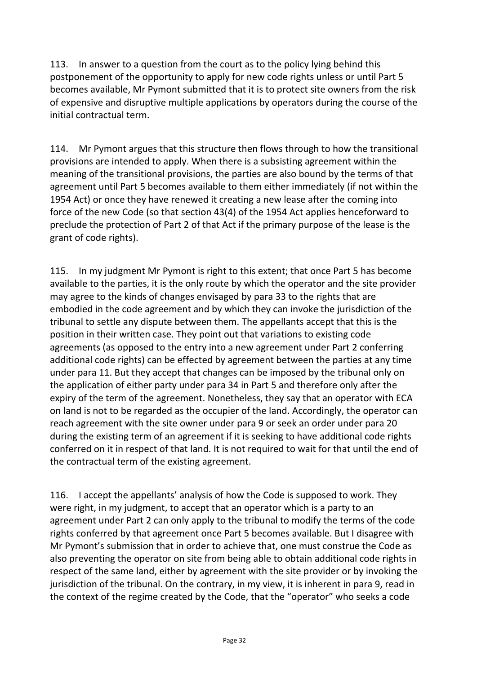113. In answer to a question from the court as to the policy lying behind this postponement of the opportunity to apply for new code rights unless or until Part 5 becomes available, Mr Pymont submitted that it is to protect site owners from the risk of expensive and disruptive multiple applications by operators during the course of the initial contractual term.

114. Mr Pymont argues that this structure then flows through to how the transitional provisions are intended to apply. When there is a subsisting agreement within the meaning of the transitional provisions, the parties are also bound by the terms of that agreement until Part 5 becomes available to them either immediately (if not within the 1954 Act) or once they have renewed it creating a new lease after the coming into force of the new Code (so that section 43(4) of the 1954 Act applies henceforward to preclude the protection of Part 2 of that Act if the primary purpose of the lease is the grant of code rights).

115. In my judgment Mr Pymont is right to this extent; that once Part 5 has become available to the parties, it is the only route by which the operator and the site provider may agree to the kinds of changes envisaged by para 33 to the rights that are embodied in the code agreement and by which they can invoke the jurisdiction of the tribunal to settle any dispute between them. The appellants accept that this is the position in their written case. They point out that variations to existing code agreements (as opposed to the entry into a new agreement under Part 2 conferring additional code rights) can be effected by agreement between the parties at any time under para 11. But they accept that changes can be imposed by the tribunal only on the application of either party under para 34 in Part 5 and therefore only after the expiry of the term of the agreement. Nonetheless, they say that an operator with ECA on land is not to be regarded as the occupier of the land. Accordingly, the operator can reach agreement with the site owner under para 9 or seek an order under para 20 during the existing term of an agreement if it is seeking to have additional code rights conferred on it in respect of that land. It is not required to wait for that until the end of the contractual term of the existing agreement.

116. I accept the appellants' analysis of how the Code is supposed to work. They were right, in my judgment, to accept that an operator which is a party to an agreement under Part 2 can only apply to the tribunal to modify the terms of the code rights conferred by that agreement once Part 5 becomes available. But I disagree with Mr Pymont's submission that in order to achieve that, one must construe the Code as also preventing the operator on site from being able to obtain additional code rights in respect of the same land, either by agreement with the site provider or by invoking the jurisdiction of the tribunal. On the contrary, in my view, it is inherent in para 9, read in the context of the regime created by the Code, that the "operator" who seeks a code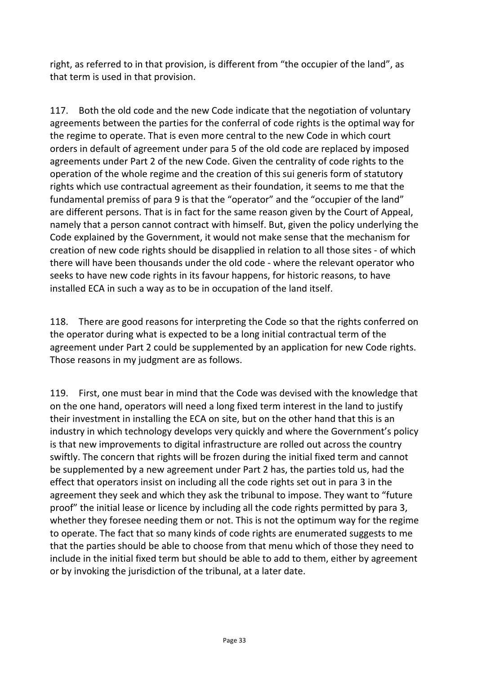right, as referred to in that provision, is different from "the occupier of the land", as that term is used in that provision.

117. Both the old code and the new Code indicate that the negotiation of voluntary agreements between the parties for the conferral of code rights is the optimal way for the regime to operate. That is even more central to the new Code in which court orders in default of agreement under para 5 of the old code are replaced by imposed agreements under Part 2 of the new Code. Given the centrality of code rights to the operation of the whole regime and the creation of this sui generis form of statutory rights which use contractual agreement as their foundation, it seems to me that the fundamental premiss of para 9 is that the "operator" and the "occupier of the land" are different persons. That is in fact for the same reason given by the Court of Appeal, namely that a person cannot contract with himself. But, given the policy underlying the Code explained by the Government, it would not make sense that the mechanism for creation of new code rights should be disapplied in relation to all those sites - of which there will have been thousands under the old code - where the relevant operator who seeks to have new code rights in its favour happens, for historic reasons, to have installed ECA in such a way as to be in occupation of the land itself.

118. There are good reasons for interpreting the Code so that the rights conferred on the operator during what is expected to be a long initial contractual term of the agreement under Part 2 could be supplemented by an application for new Code rights. Those reasons in my judgment are as follows.

119. First, one must bear in mind that the Code was devised with the knowledge that on the one hand, operators will need a long fixed term interest in the land to justify their investment in installing the ECA on site, but on the other hand that this is an industry in which technology develops very quickly and where the Government's policy is that new improvements to digital infrastructure are rolled out across the country swiftly. The concern that rights will be frozen during the initial fixed term and cannot be supplemented by a new agreement under Part 2 has, the parties told us, had the effect that operators insist on including all the code rights set out in para 3 in the agreement they seek and which they ask the tribunal to impose. They want to "future proof" the initial lease or licence by including all the code rights permitted by para 3, whether they foresee needing them or not. This is not the optimum way for the regime to operate. The fact that so many kinds of code rights are enumerated suggests to me that the parties should be able to choose from that menu which of those they need to include in the initial fixed term but should be able to add to them, either by agreement or by invoking the jurisdiction of the tribunal, at a later date.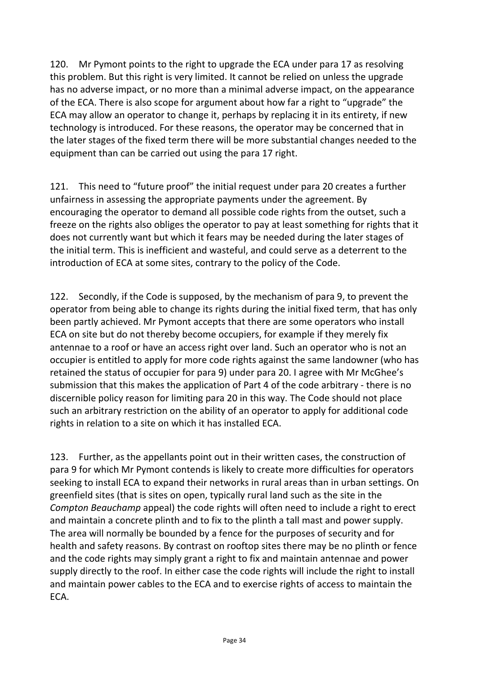120. Mr Pymont points to the right to upgrade the ECA under para 17 as resolving this problem. But this right is very limited. It cannot be relied on unless the upgrade has no adverse impact, or no more than a minimal adverse impact, on the appearance of the ECA. There is also scope for argument about how far a right to "upgrade" the ECA may allow an operator to change it, perhaps by replacing it in its entirety, if new technology is introduced. For these reasons, the operator may be concerned that in the later stages of the fixed term there will be more substantial changes needed to the equipment than can be carried out using the para 17 right.

121. This need to "future proof" the initial request under para 20 creates a further unfairness in assessing the appropriate payments under the agreement. By encouraging the operator to demand all possible code rights from the outset, such a freeze on the rights also obliges the operator to pay at least something for rights that it does not currently want but which it fears may be needed during the later stages of the initial term. This is inefficient and wasteful, and could serve as a deterrent to the introduction of ECA at some sites, contrary to the policy of the Code.

122. Secondly, if the Code is supposed, by the mechanism of para 9, to prevent the operator from being able to change its rights during the initial fixed term, that has only been partly achieved. Mr Pymont accepts that there are some operators who install ECA on site but do not thereby become occupiers, for example if they merely fix antennae to a roof or have an access right over land. Such an operator who is not an occupier is entitled to apply for more code rights against the same landowner (who has retained the status of occupier for para 9) under para 20. I agree with Mr McGhee's submission that this makes the application of Part 4 of the code arbitrary - there is no discernible policy reason for limiting para 20 in this way. The Code should not place such an arbitrary restriction on the ability of an operator to apply for additional code rights in relation to a site on which it has installed ECA.

123. Further, as the appellants point out in their written cases, the construction of para 9 for which Mr Pymont contends is likely to create more difficulties for operators seeking to install ECA to expand their networks in rural areas than in urban settings. On greenfield sites (that is sites on open, typically rural land such as the site in the *Compton Beauchamp* appeal) the code rights will often need to include a right to erect and maintain a concrete plinth and to fix to the plinth a tall mast and power supply. The area will normally be bounded by a fence for the purposes of security and for health and safety reasons. By contrast on rooftop sites there may be no plinth or fence and the code rights may simply grant a right to fix and maintain antennae and power supply directly to the roof. In either case the code rights will include the right to install and maintain power cables to the ECA and to exercise rights of access to maintain the ECA.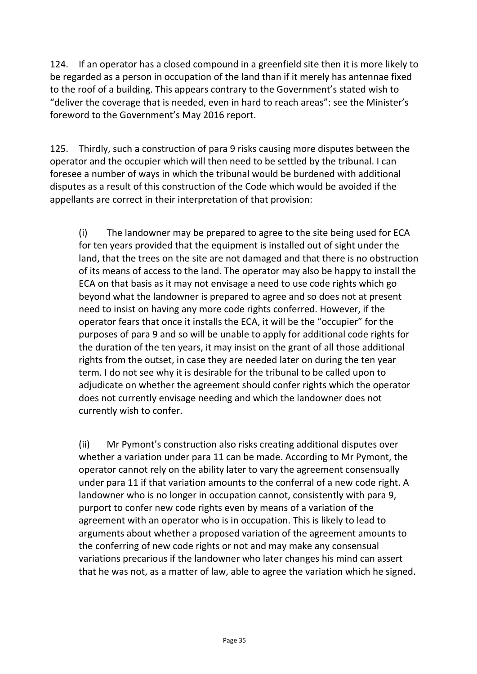124. If an operator has a closed compound in a greenfield site then it is more likely to be regarded as a person in occupation of the land than if it merely has antennae fixed to the roof of a building. This appears contrary to the Government's stated wish to "deliver the coverage that is needed, even in hard to reach areas": see the Minister's foreword to the Government's May 2016 report.

125. Thirdly, such a construction of para 9 risks causing more disputes between the operator and the occupier which will then need to be settled by the tribunal. I can foresee a number of ways in which the tribunal would be burdened with additional disputes as a result of this construction of the Code which would be avoided if the appellants are correct in their interpretation of that provision:

(i) The landowner may be prepared to agree to the site being used for ECA for ten years provided that the equipment is installed out of sight under the land, that the trees on the site are not damaged and that there is no obstruction of its means of access to the land. The operator may also be happy to install the ECA on that basis as it may not envisage a need to use code rights which go beyond what the landowner is prepared to agree and so does not at present need to insist on having any more code rights conferred. However, if the operator fears that once it installs the ECA, it will be the "occupier" for the purposes of para 9 and so will be unable to apply for additional code rights for the duration of the ten years, it may insist on the grant of all those additional rights from the outset, in case they are needed later on during the ten year term. I do not see why it is desirable for the tribunal to be called upon to adjudicate on whether the agreement should confer rights which the operator does not currently envisage needing and which the landowner does not currently wish to confer.

(ii) Mr Pymont's construction also risks creating additional disputes over whether a variation under para 11 can be made. According to Mr Pymont, the operator cannot rely on the ability later to vary the agreement consensually under para 11 if that variation amounts to the conferral of a new code right. A landowner who is no longer in occupation cannot, consistently with para 9, purport to confer new code rights even by means of a variation of the agreement with an operator who is in occupation. This is likely to lead to arguments about whether a proposed variation of the agreement amounts to the conferring of new code rights or not and may make any consensual variations precarious if the landowner who later changes his mind can assert that he was not, as a matter of law, able to agree the variation which he signed.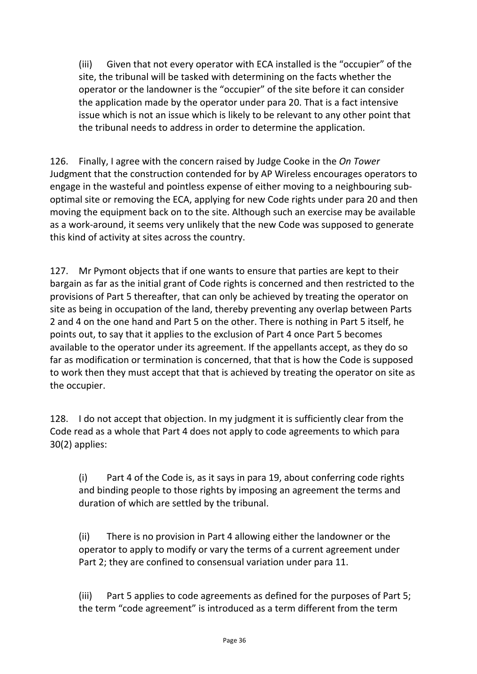(iii) Given that not every operator with ECA installed is the "occupier" of the site, the tribunal will be tasked with determining on the facts whether the operator or the landowner is the "occupier" of the site before it can consider the application made by the operator under para 20. That is a fact intensive issue which is not an issue which is likely to be relevant to any other point that the tribunal needs to address in order to determine the application.

126. Finally, I agree with the concern raised by Judge Cooke in the *On Tower*  Judgment that the construction contended for by AP Wireless encourages operators to engage in the wasteful and pointless expense of either moving to a neighbouring suboptimal site or removing the ECA, applying for new Code rights under para 20 and then moving the equipment back on to the site. Although such an exercise may be available as a work-around, it seems very unlikely that the new Code was supposed to generate this kind of activity at sites across the country.

127. Mr Pymont objects that if one wants to ensure that parties are kept to their bargain as far as the initial grant of Code rights is concerned and then restricted to the provisions of Part 5 thereafter, that can only be achieved by treating the operator on site as being in occupation of the land, thereby preventing any overlap between Parts 2 and 4 on the one hand and Part 5 on the other. There is nothing in Part 5 itself, he points out, to say that it applies to the exclusion of Part 4 once Part 5 becomes available to the operator under its agreement. If the appellants accept, as they do so far as modification or termination is concerned, that that is how the Code is supposed to work then they must accept that that is achieved by treating the operator on site as the occupier.

128. I do not accept that objection. In my judgment it is sufficiently clear from the Code read as a whole that Part 4 does not apply to code agreements to which para 30(2) applies:

(i) Part 4 of the Code is, as it says in para 19, about conferring code rights and binding people to those rights by imposing an agreement the terms and duration of which are settled by the tribunal.

(ii) There is no provision in Part 4 allowing either the landowner or the operator to apply to modify or vary the terms of a current agreement under Part 2; they are confined to consensual variation under para 11.

(iii) Part 5 applies to code agreements as defined for the purposes of Part 5; the term "code agreement" is introduced as a term different from the term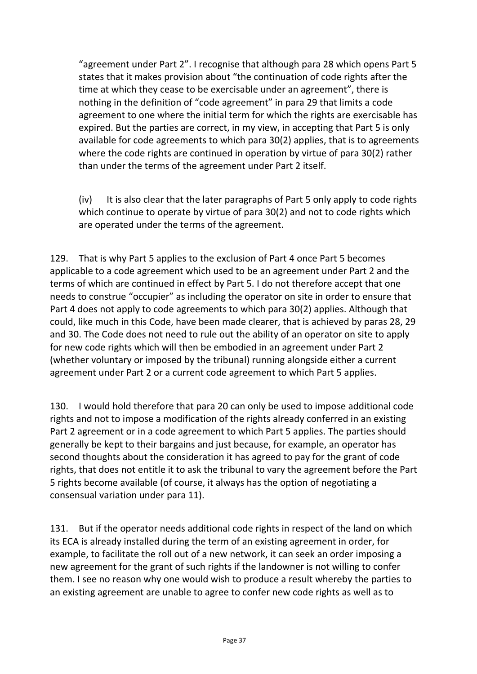"agreement under Part 2". I recognise that although para 28 which opens Part 5 states that it makes provision about "the continuation of code rights after the time at which they cease to be exercisable under an agreement", there is nothing in the definition of "code agreement" in para 29 that limits a code agreement to one where the initial term for which the rights are exercisable has expired. But the parties are correct, in my view, in accepting that Part 5 is only available for code agreements to which para 30(2) applies, that is to agreements where the code rights are continued in operation by virtue of para 30(2) rather than under the terms of the agreement under Part 2 itself.

(iv) It is also clear that the later paragraphs of Part 5 only apply to code rights which continue to operate by virtue of para 30(2) and not to code rights which are operated under the terms of the agreement.

129. That is why Part 5 applies to the exclusion of Part 4 once Part 5 becomes applicable to a code agreement which used to be an agreement under Part 2 and the terms of which are continued in effect by Part 5. I do not therefore accept that one needs to construe "occupier" as including the operator on site in order to ensure that Part 4 does not apply to code agreements to which para 30(2) applies. Although that could, like much in this Code, have been made clearer, that is achieved by paras 28, 29 and 30. The Code does not need to rule out the ability of an operator on site to apply for new code rights which will then be embodied in an agreement under Part 2 (whether voluntary or imposed by the tribunal) running alongside either a current agreement under Part 2 or a current code agreement to which Part 5 applies.

130. I would hold therefore that para 20 can only be used to impose additional code rights and not to impose a modification of the rights already conferred in an existing Part 2 agreement or in a code agreement to which Part 5 applies. The parties should generally be kept to their bargains and just because, for example, an operator has second thoughts about the consideration it has agreed to pay for the grant of code rights, that does not entitle it to ask the tribunal to vary the agreement before the Part 5 rights become available (of course, it always has the option of negotiating a consensual variation under para 11).

131. But if the operator needs additional code rights in respect of the land on which its ECA is already installed during the term of an existing agreement in order, for example, to facilitate the roll out of a new network, it can seek an order imposing a new agreement for the grant of such rights if the landowner is not willing to confer them. I see no reason why one would wish to produce a result whereby the parties to an existing agreement are unable to agree to confer new code rights as well as to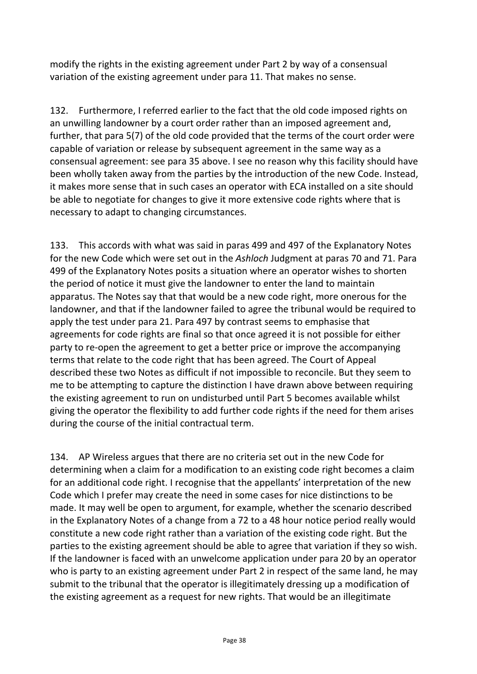modify the rights in the existing agreement under Part 2 by way of a consensual variation of the existing agreement under para 11. That makes no sense.

132. Furthermore, I referred earlier to the fact that the old code imposed rights on an unwilling landowner by a court order rather than an imposed agreement and, further, that para 5(7) of the old code provided that the terms of the court order were capable of variation or release by subsequent agreement in the same way as a consensual agreement: see para [35](#page-11-0) above. I see no reason why this facility should have been wholly taken away from the parties by the introduction of the new Code. Instead, it makes more sense that in such cases an operator with ECA installed on a site should be able to negotiate for changes to give it more extensive code rights where that is necessary to adapt to changing circumstances.

133. This accords with what was said in paras 499 and 497 of the Explanatory Notes for the new Code which were set out in the *Ashloch* Judgment at paras 70 and 71. Para 499 of the Explanatory Notes posits a situation where an operator wishes to shorten the period of notice it must give the landowner to enter the land to maintain apparatus. The Notes say that that would be a new code right, more onerous for the landowner, and that if the landowner failed to agree the tribunal would be required to apply the test under para 21. Para 497 by contrast seems to emphasise that agreements for code rights are final so that once agreed it is not possible for either party to re-open the agreement to get a better price or improve the accompanying terms that relate to the code right that has been agreed. The Court of Appeal described these two Notes as difficult if not impossible to reconcile. But they seem to me to be attempting to capture the distinction I have drawn above between requiring the existing agreement to run on undisturbed until Part 5 becomes available whilst giving the operator the flexibility to add further code rights if the need for them arises during the course of the initial contractual term.

134. AP Wireless argues that there are no criteria set out in the new Code for determining when a claim for a modification to an existing code right becomes a claim for an additional code right. I recognise that the appellants' interpretation of the new Code which I prefer may create the need in some cases for nice distinctions to be made. It may well be open to argument, for example, whether the scenario described in the Explanatory Notes of a change from a 72 to a 48 hour notice period really would constitute a new code right rather than a variation of the existing code right. But the parties to the existing agreement should be able to agree that variation if they so wish. If the landowner is faced with an unwelcome application under para 20 by an operator who is party to an existing agreement under Part 2 in respect of the same land, he may submit to the tribunal that the operator is illegitimately dressing up a modification of the existing agreement as a request for new rights. That would be an illegitimate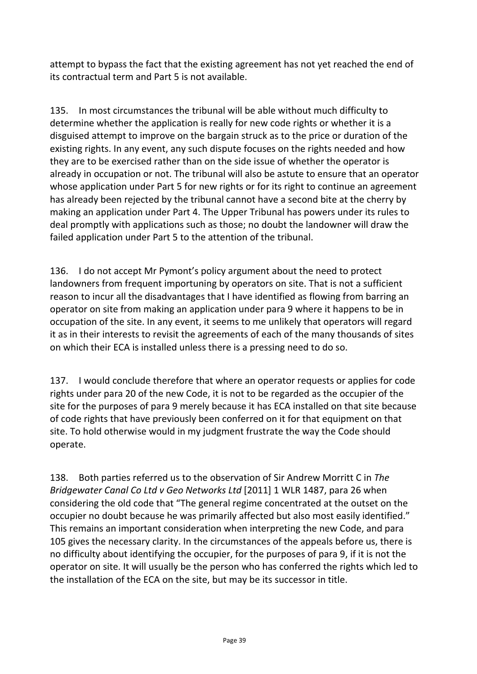attempt to bypass the fact that the existing agreement has not yet reached the end of its contractual term and Part 5 is not available.

135. In most circumstances the tribunal will be able without much difficulty to determine whether the application is really for new code rights or whether it is a disguised attempt to improve on the bargain struck as to the price or duration of the existing rights. In any event, any such dispute focuses on the rights needed and how they are to be exercised rather than on the side issue of whether the operator is already in occupation or not. The tribunal will also be astute to ensure that an operator whose application under Part 5 for new rights or for its right to continue an agreement has already been rejected by the tribunal cannot have a second bite at the cherry by making an application under Part 4. The Upper Tribunal has powers under its rules to deal promptly with applications such as those; no doubt the landowner will draw the failed application under Part 5 to the attention of the tribunal.

136. I do not accept Mr Pymont's policy argument about the need to protect landowners from frequent importuning by operators on site. That is not a sufficient reason to incur all the disadvantages that I have identified as flowing from barring an operator on site from making an application under para 9 where it happens to be in occupation of the site. In any event, it seems to me unlikely that operators will regard it as in their interests to revisit the agreements of each of the many thousands of sites on which their ECA is installed unless there is a pressing need to do so.

137. I would conclude therefore that where an operator requests or applies for code rights under para 20 of the new Code, it is not to be regarded as the occupier of the site for the purposes of para 9 merely because it has ECA installed on that site because of code rights that have previously been conferred on it for that equipment on that site. To hold otherwise would in my judgment frustrate the way the Code should operate.

138. Both parties referred us to the observation of Sir Andrew Morritt C in *The Bridgewater Canal Co Ltd v Geo Networks Ltd* [2011] 1 WLR 1487, para 26 when considering the old code that "The general regime concentrated at the outset on the occupier no doubt because he was primarily affected but also most easily identified." This remains an important consideration when interpreting the new Code, and para 105 gives the necessary clarity. In the circumstances of the appeals before us, there is no difficulty about identifying the occupier, for the purposes of para 9, if it is not the operator on site. It will usually be the person who has conferred the rights which led to the installation of the ECA on the site, but may be its successor in title.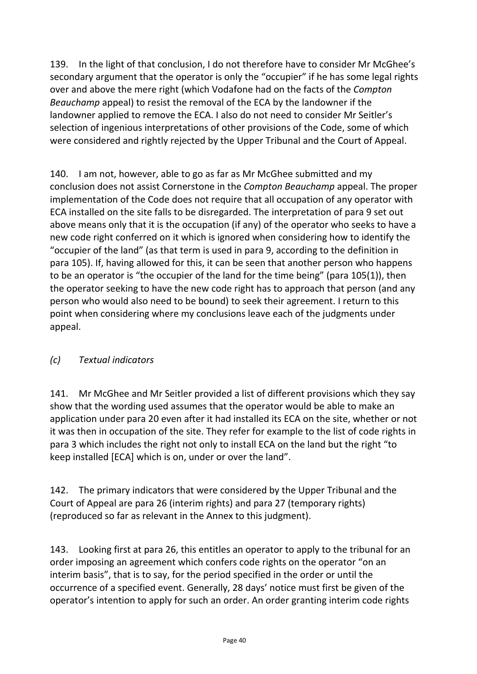139. In the light of that conclusion, I do not therefore have to consider Mr McGhee's secondary argument that the operator is only the "occupier" if he has some legal rights over and above the mere right (which Vodafone had on the facts of the *Compton Beauchamp* appeal) to resist the removal of the ECA by the landowner if the landowner applied to remove the ECA. I also do not need to consider Mr Seitler's selection of ingenious interpretations of other provisions of the Code, some of which were considered and rightly rejected by the Upper Tribunal and the Court of Appeal.

140. I am not, however, able to go as far as Mr McGhee submitted and my conclusion does not assist Cornerstone in the *Compton Beauchamp* appeal. The proper implementation of the Code does not require that all occupation of any operator with ECA installed on the site falls to be disregarded. The interpretation of para 9 set out above means only that it is the occupation (if any) of the operator who seeks to have a new code right conferred on it which is ignored when considering how to identify the "occupier of the land" (as that term is used in para 9, according to the definition in para 105). If, having allowed for this, it can be seen that another person who happens to be an operator is "the occupier of the land for the time being" (para 105(1)), then the operator seeking to have the new code right has to approach that person (and any person who would also need to be bound) to seek their agreement. I return to this point when considering where my conclusions leave each of the judgments under appeal.

## *(c) Textual indicators*

141. Mr McGhee and Mr Seitler provided a list of different provisions which they say show that the wording used assumes that the operator would be able to make an application under para 20 even after it had installed its ECA on the site, whether or not it was then in occupation of the site. They refer for example to the list of code rights in para 3 which includes the right not only to install ECA on the land but the right "to keep installed [ECA] which is on, under or over the land".

142. The primary indicators that were considered by the Upper Tribunal and the Court of Appeal are para 26 (interim rights) and para 27 (temporary rights) (reproduced so far as relevant in the Annex to this judgment).

143. Looking first at para 26, this entitles an operator to apply to the tribunal for an order imposing an agreement which confers code rights on the operator "on an interim basis", that is to say, for the period specified in the order or until the occurrence of a specified event. Generally, 28 days' notice must first be given of the operator's intention to apply for such an order. An order granting interim code rights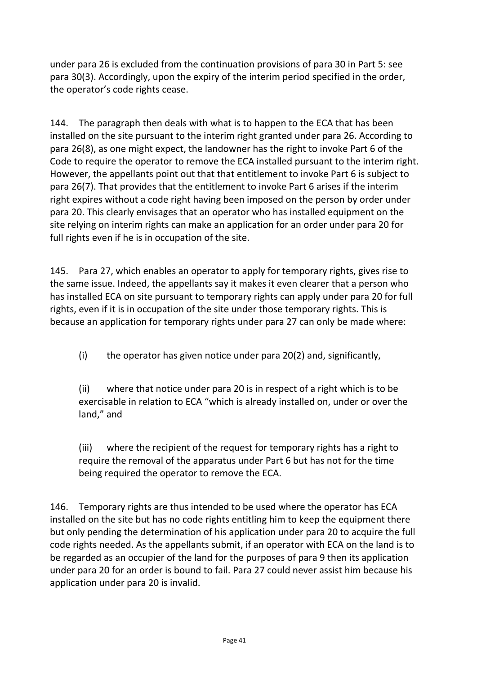under para 26 is excluded from the continuation provisions of para 30 in Part 5: see para 30(3). Accordingly, upon the expiry of the interim period specified in the order, the operator's code rights cease.

144. The paragraph then deals with what is to happen to the ECA that has been installed on the site pursuant to the interim right granted under para 26. According to para 26(8), as one might expect, the landowner has the right to invoke Part 6 of the Code to require the operator to remove the ECA installed pursuant to the interim right. However, the appellants point out that that entitlement to invoke Part 6 is subject to para 26(7). That provides that the entitlement to invoke Part 6 arises if the interim right expires without a code right having been imposed on the person by order under para 20. This clearly envisages that an operator who has installed equipment on the site relying on interim rights can make an application for an order under para 20 for full rights even if he is in occupation of the site.

145. Para 27, which enables an operator to apply for temporary rights, gives rise to the same issue. Indeed, the appellants say it makes it even clearer that a person who has installed ECA on site pursuant to temporary rights can apply under para 20 for full rights, even if it is in occupation of the site under those temporary rights. This is because an application for temporary rights under para 27 can only be made where:

(i) the operator has given notice under para 20(2) and, significantly,

(ii) where that notice under para 20 is in respect of a right which is to be exercisable in relation to ECA "which is already installed on, under or over the land," and

(iii) where the recipient of the request for temporary rights has a right to require the removal of the apparatus under Part 6 but has not for the time being required the operator to remove the ECA.

146. Temporary rights are thus intended to be used where the operator has ECA installed on the site but has no code rights entitling him to keep the equipment there but only pending the determination of his application under para 20 to acquire the full code rights needed. As the appellants submit, if an operator with ECA on the land is to be regarded as an occupier of the land for the purposes of para 9 then its application under para 20 for an order is bound to fail. Para 27 could never assist him because his application under para 20 is invalid.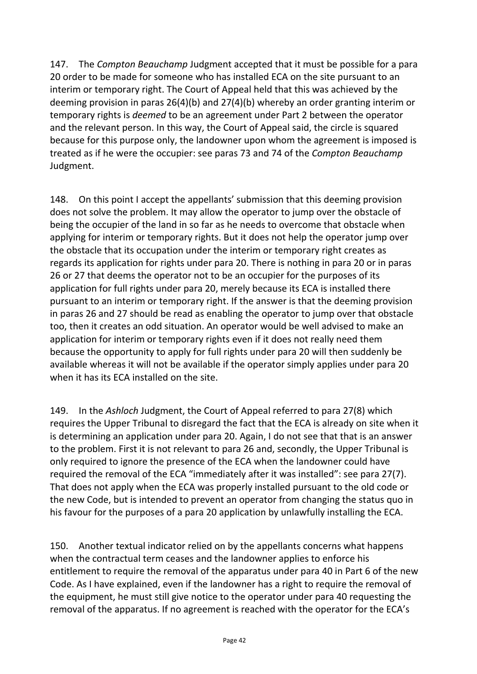147. The *Compton Beauchamp* Judgment accepted that it must be possible for a para 20 order to be made for someone who has installed ECA on the site pursuant to an interim or temporary right. The Court of Appeal held that this was achieved by the deeming provision in paras 26(4)(b) and 27(4)(b) whereby an order granting interim or temporary rights is *deemed* to be an agreement under Part 2 between the operator and the relevant person. In this way, the Court of Appeal said, the circle is squared because for this purpose only, the landowner upon whom the agreement is imposed is treated as if he were the occupier: see paras 73 and 74 of the *Compton Beauchamp*  Judgment.

148. On this point I accept the appellants' submission that this deeming provision does not solve the problem. It may allow the operator to jump over the obstacle of being the occupier of the land in so far as he needs to overcome that obstacle when applying for interim or temporary rights. But it does not help the operator jump over the obstacle that its occupation under the interim or temporary right creates as regards its application for rights under para 20. There is nothing in para 20 or in paras 26 or 27 that deems the operator not to be an occupier for the purposes of its application for full rights under para 20, merely because its ECA is installed there pursuant to an interim or temporary right. If the answer is that the deeming provision in paras 26 and 27 should be read as enabling the operator to jump over that obstacle too, then it creates an odd situation. An operator would be well advised to make an application for interim or temporary rights even if it does not really need them because the opportunity to apply for full rights under para 20 will then suddenly be available whereas it will not be available if the operator simply applies under para 20 when it has its ECA installed on the site.

149. In the *Ashloch* Judgment, the Court of Appeal referred to para 27(8) which requires the Upper Tribunal to disregard the fact that the ECA is already on site when it is determining an application under para 20. Again, I do not see that that is an answer to the problem. First it is not relevant to para 26 and, secondly, the Upper Tribunal is only required to ignore the presence of the ECA when the landowner could have required the removal of the ECA "immediately after it was installed": see para 27(7). That does not apply when the ECA was properly installed pursuant to the old code or the new Code, but is intended to prevent an operator from changing the status quo in his favour for the purposes of a para 20 application by unlawfully installing the ECA.

150. Another textual indicator relied on by the appellants concerns what happens when the contractual term ceases and the landowner applies to enforce his entitlement to require the removal of the apparatus under para 40 in Part 6 of the new Code. As I have explained, even if the landowner has a right to require the removal of the equipment, he must still give notice to the operator under para 40 requesting the removal of the apparatus. If no agreement is reached with the operator for the ECA's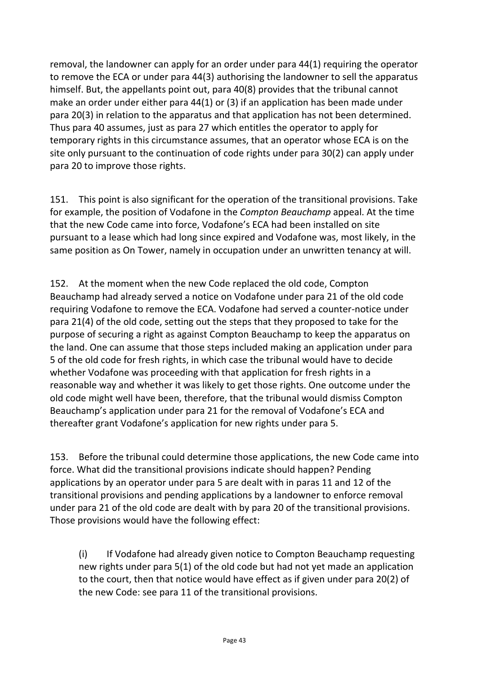removal, the landowner can apply for an order under para 44(1) requiring the operator to remove the ECA or under para 44(3) authorising the landowner to sell the apparatus himself. But, the appellants point out, para 40(8) provides that the tribunal cannot make an order under either para 44(1) or (3) if an application has been made under para 20(3) in relation to the apparatus and that application has not been determined. Thus para 40 assumes, just as para 27 which entitles the operator to apply for temporary rights in this circumstance assumes, that an operator whose ECA is on the site only pursuant to the continuation of code rights under para 30(2) can apply under para 20 to improve those rights.

151. This point is also significant for the operation of the transitional provisions. Take for example, the position of Vodafone in the *Compton Beauchamp* appeal. At the time that the new Code came into force, Vodafone's ECA had been installed on site pursuant to a lease which had long since expired and Vodafone was, most likely, in the same position as On Tower, namely in occupation under an unwritten tenancy at will.

152. At the moment when the new Code replaced the old code, Compton Beauchamp had already served a notice on Vodafone under para 21 of the old code requiring Vodafone to remove the ECA. Vodafone had served a counter-notice under para 21(4) of the old code, setting out the steps that they proposed to take for the purpose of securing a right as against Compton Beauchamp to keep the apparatus on the land. One can assume that those steps included making an application under para 5 of the old code for fresh rights, in which case the tribunal would have to decide whether Vodafone was proceeding with that application for fresh rights in a reasonable way and whether it was likely to get those rights. One outcome under the old code might well have been, therefore, that the tribunal would dismiss Compton Beauchamp's application under para 21 for the removal of Vodafone's ECA and thereafter grant Vodafone's application for new rights under para 5.

153. Before the tribunal could determine those applications, the new Code came into force. What did the transitional provisions indicate should happen? Pending applications by an operator under para 5 are dealt with in paras 11 and 12 of the transitional provisions and pending applications by a landowner to enforce removal under para 21 of the old code are dealt with by para 20 of the transitional provisions. Those provisions would have the following effect:

(i) If Vodafone had already given notice to Compton Beauchamp requesting new rights under para 5(1) of the old code but had not yet made an application to the court, then that notice would have effect as if given under para 20(2) of the new Code: see para 11 of the transitional provisions.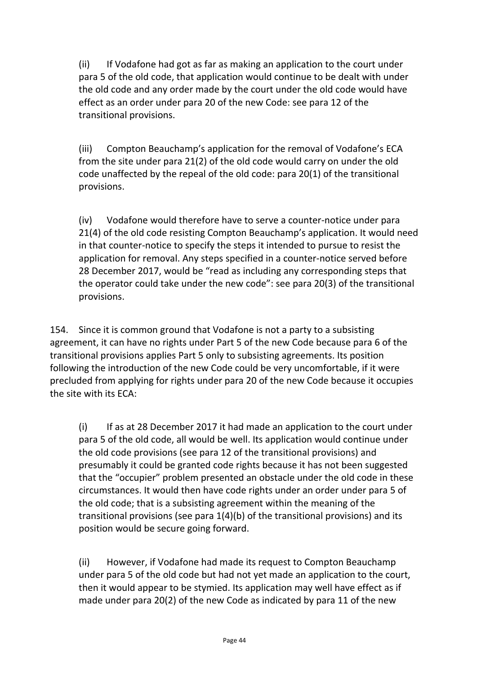(ii) If Vodafone had got as far as making an application to the court under para 5 of the old code, that application would continue to be dealt with under the old code and any order made by the court under the old code would have effect as an order under para 20 of the new Code: see para 12 of the transitional provisions.

(iii) Compton Beauchamp's application for the removal of Vodafone's ECA from the site under para 21(2) of the old code would carry on under the old code unaffected by the repeal of the old code: para 20(1) of the transitional provisions.

(iv) Vodafone would therefore have to serve a counter-notice under para 21(4) of the old code resisting Compton Beauchamp's application. It would need in that counter-notice to specify the steps it intended to pursue to resist the application for removal. Any steps specified in a counter-notice served before 28 December 2017, would be "read as including any corresponding steps that the operator could take under the new code": see para 20(3) of the transitional provisions.

154. Since it is common ground that Vodafone is not a party to a subsisting agreement, it can have no rights under Part 5 of the new Code because para 6 of the transitional provisions applies Part 5 only to subsisting agreements. Its position following the introduction of the new Code could be very uncomfortable, if it were precluded from applying for rights under para 20 of the new Code because it occupies the site with its ECA:

(i) If as at 28 December 2017 it had made an application to the court under para 5 of the old code, all would be well. Its application would continue under the old code provisions (see para 12 of the transitional provisions) and presumably it could be granted code rights because it has not been suggested that the "occupier" problem presented an obstacle under the old code in these circumstances. It would then have code rights under an order under para 5 of the old code; that is a subsisting agreement within the meaning of the transitional provisions (see para 1(4)(b) of the transitional provisions) and its position would be secure going forward.

(ii) However, if Vodafone had made its request to Compton Beauchamp under para 5 of the old code but had not yet made an application to the court, then it would appear to be stymied. Its application may well have effect as if made under para 20(2) of the new Code as indicated by para 11 of the new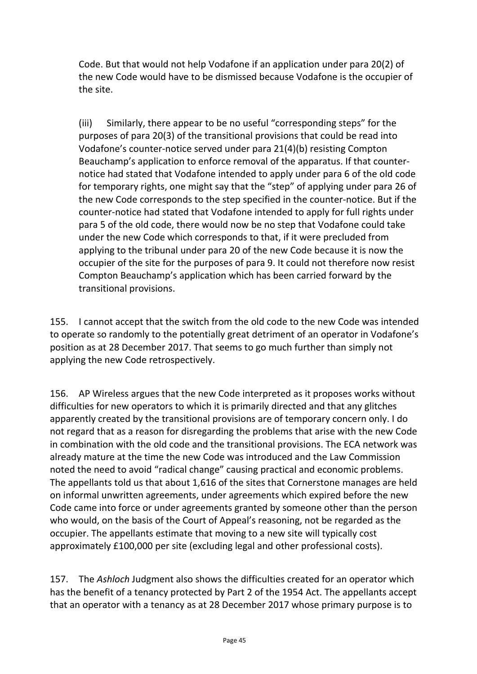Code. But that would not help Vodafone if an application under para 20(2) of the new Code would have to be dismissed because Vodafone is the occupier of the site.

(iii) Similarly, there appear to be no useful "corresponding steps" for the purposes of para 20(3) of the transitional provisions that could be read into Vodafone's counter-notice served under para 21(4)(b) resisting Compton Beauchamp's application to enforce removal of the apparatus. If that counternotice had stated that Vodafone intended to apply under para 6 of the old code for temporary rights, one might say that the "step" of applying under para 26 of the new Code corresponds to the step specified in the counter-notice. But if the counter-notice had stated that Vodafone intended to apply for full rights under para 5 of the old code, there would now be no step that Vodafone could take under the new Code which corresponds to that, if it were precluded from applying to the tribunal under para 20 of the new Code because it is now the occupier of the site for the purposes of para 9. It could not therefore now resist Compton Beauchamp's application which has been carried forward by the transitional provisions.

155. I cannot accept that the switch from the old code to the new Code was intended to operate so randomly to the potentially great detriment of an operator in Vodafone's position as at 28 December 2017. That seems to go much further than simply not applying the new Code retrospectively.

156. AP Wireless argues that the new Code interpreted as it proposes works without difficulties for new operators to which it is primarily directed and that any glitches apparently created by the transitional provisions are of temporary concern only. I do not regard that as a reason for disregarding the problems that arise with the new Code in combination with the old code and the transitional provisions. The ECA network was already mature at the time the new Code was introduced and the Law Commission noted the need to avoid "radical change" causing practical and economic problems. The appellants told us that about 1,616 of the sites that Cornerstone manages are held on informal unwritten agreements, under agreements which expired before the new Code came into force or under agreements granted by someone other than the person who would, on the basis of the Court of Appeal's reasoning, not be regarded as the occupier. The appellants estimate that moving to a new site will typically cost approximately £100,000 per site (excluding legal and other professional costs).

157. The *Ashloch* Judgment also shows the difficulties created for an operator which has the benefit of a tenancy protected by Part 2 of the 1954 Act. The appellants accept that an operator with a tenancy as at 28 December 2017 whose primary purpose is to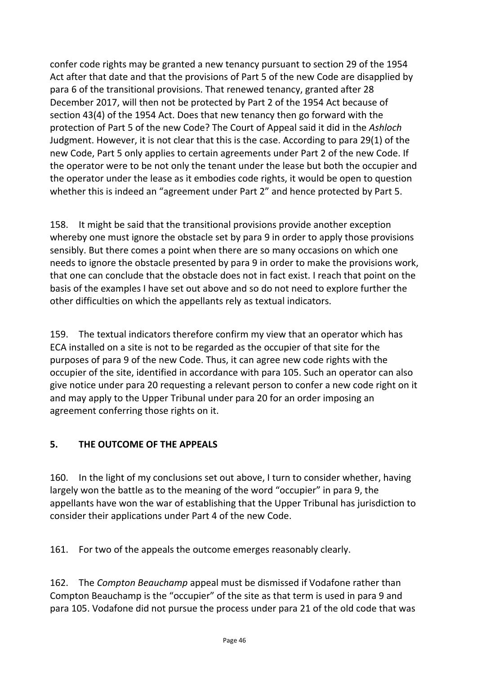confer code rights may be granted a new tenancy pursuant to section 29 of the 1954 Act after that date and that the provisions of Part 5 of the new Code are disapplied by para 6 of the transitional provisions. That renewed tenancy, granted after 28 December 2017, will then not be protected by Part 2 of the 1954 Act because of section 43(4) of the 1954 Act. Does that new tenancy then go forward with the protection of Part 5 of the new Code? The Court of Appeal said it did in the *Ashloch*  Judgment. However, it is not clear that this is the case. According to para 29(1) of the new Code, Part 5 only applies to certain agreements under Part 2 of the new Code. If the operator were to be not only the tenant under the lease but both the occupier and the operator under the lease as it embodies code rights, it would be open to question whether this is indeed an "agreement under Part 2" and hence protected by Part 5.

158. It might be said that the transitional provisions provide another exception whereby one must ignore the obstacle set by para 9 in order to apply those provisions sensibly. But there comes a point when there are so many occasions on which one needs to ignore the obstacle presented by para 9 in order to make the provisions work, that one can conclude that the obstacle does not in fact exist. I reach that point on the basis of the examples I have set out above and so do not need to explore further the other difficulties on which the appellants rely as textual indicators.

159. The textual indicators therefore confirm my view that an operator which has ECA installed on a site is not to be regarded as the occupier of that site for the purposes of para 9 of the new Code. Thus, it can agree new code rights with the occupier of the site, identified in accordance with para 105. Such an operator can also give notice under para 20 requesting a relevant person to confer a new code right on it and may apply to the Upper Tribunal under para 20 for an order imposing an agreement conferring those rights on it.

## **5. THE OUTCOME OF THE APPEALS**

160. In the light of my conclusions set out above, I turn to consider whether, having largely won the battle as to the meaning of the word "occupier" in para 9, the appellants have won the war of establishing that the Upper Tribunal has jurisdiction to consider their applications under Part 4 of the new Code.

161. For two of the appeals the outcome emerges reasonably clearly.

162. The *Compton Beauchamp* appeal must be dismissed if Vodafone rather than Compton Beauchamp is the "occupier" of the site as that term is used in para 9 and para 105. Vodafone did not pursue the process under para 21 of the old code that was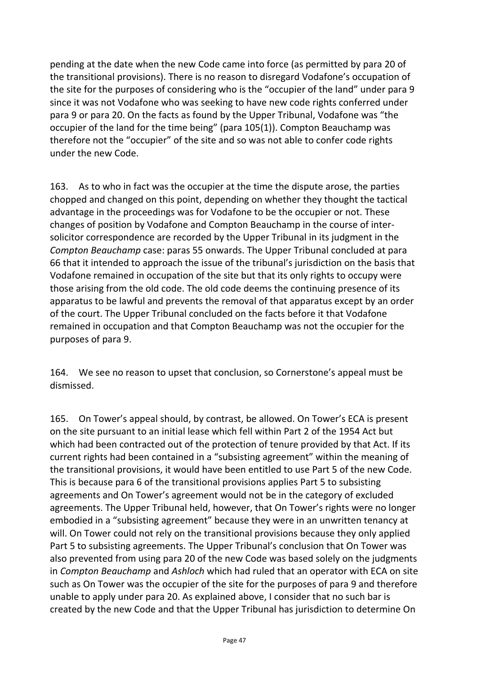pending at the date when the new Code came into force (as permitted by para 20 of the transitional provisions). There is no reason to disregard Vodafone's occupation of the site for the purposes of considering who is the "occupier of the land" under para 9 since it was not Vodafone who was seeking to have new code rights conferred under para 9 or para 20. On the facts as found by the Upper Tribunal, Vodafone was "the occupier of the land for the time being" (para 105(1)). Compton Beauchamp was therefore not the "occupier" of the site and so was not able to confer code rights under the new Code.

163. As to who in fact was the occupier at the time the dispute arose, the parties chopped and changed on this point, depending on whether they thought the tactical advantage in the proceedings was for Vodafone to be the occupier or not. These changes of position by Vodafone and Compton Beauchamp in the course of intersolicitor correspondence are recorded by the Upper Tribunal in its judgment in the *Compton Beauchamp* case: paras 55 onwards. The Upper Tribunal concluded at para 66 that it intended to approach the issue of the tribunal's jurisdiction on the basis that Vodafone remained in occupation of the site but that its only rights to occupy were those arising from the old code. The old code deems the continuing presence of its apparatus to be lawful and prevents the removal of that apparatus except by an order of the court. The Upper Tribunal concluded on the facts before it that Vodafone remained in occupation and that Compton Beauchamp was not the occupier for the purposes of para 9.

164. We see no reason to upset that conclusion, so Cornerstone's appeal must be dismissed.

165. On Tower's appeal should, by contrast, be allowed. On Tower's ECA is present on the site pursuant to an initial lease which fell within Part 2 of the 1954 Act but which had been contracted out of the protection of tenure provided by that Act. If its current rights had been contained in a "subsisting agreement" within the meaning of the transitional provisions, it would have been entitled to use Part 5 of the new Code. This is because para 6 of the transitional provisions applies Part 5 to subsisting agreements and On Tower's agreement would not be in the category of excluded agreements. The Upper Tribunal held, however, that On Tower's rights were no longer embodied in a "subsisting agreement" because they were in an unwritten tenancy at will. On Tower could not rely on the transitional provisions because they only applied Part 5 to subsisting agreements. The Upper Tribunal's conclusion that On Tower was also prevented from using para 20 of the new Code was based solely on the judgments in *Compton Beauchamp* and *Ashloch* which had ruled that an operator with ECA on site such as On Tower was the occupier of the site for the purposes of para 9 and therefore unable to apply under para 20. As explained above, I consider that no such bar is created by the new Code and that the Upper Tribunal has jurisdiction to determine On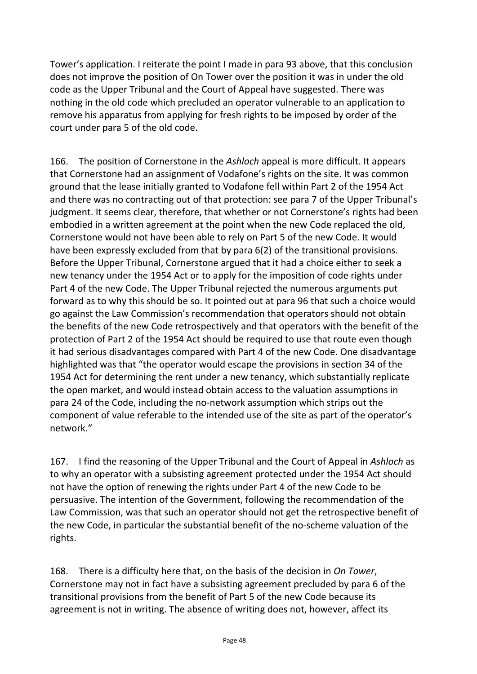Tower's application. I reiterate the point I made in para [93](#page-26-0) above, that this conclusion does not improve the position of On Tower over the position it was in under the old code as the Upper Tribunal and the Court of Appeal have suggested. There was nothing in the old code which precluded an operator vulnerable to an application to remove his apparatus from applying for fresh rights to be imposed by order of the court under para 5 of the old code.

166. The position of Cornerstone in the *Ashloch* appeal is more difficult. It appears that Cornerstone had an assignment of Vodafone's rights on the site. It was common ground that the lease initially granted to Vodafone fell within Part 2 of the 1954 Act and there was no contracting out of that protection: see para 7 of the Upper Tribunal's judgment. It seems clear, therefore, that whether or not Cornerstone's rights had been embodied in a written agreement at the point when the new Code replaced the old, Cornerstone would not have been able to rely on Part 5 of the new Code. It would have been expressly excluded from that by para 6(2) of the transitional provisions. Before the Upper Tribunal, Cornerstone argued that it had a choice either to seek a new tenancy under the 1954 Act or to apply for the imposition of code rights under Part 4 of the new Code. The Upper Tribunal rejected the numerous arguments put forward as to why this should be so. It pointed out at para 96 that such a choice would go against the Law Commission's recommendation that operators should not obtain the benefits of the new Code retrospectively and that operators with the benefit of the protection of Part 2 of the 1954 Act should be required to use that route even though it had serious disadvantages compared with Part 4 of the new Code. One disadvantage highlighted was that "the operator would escape the provisions in section 34 of the 1954 Act for determining the rent under a new tenancy, which substantially replicate the open market, and would instead obtain access to the valuation assumptions in para 24 of the Code, including the no-network assumption which strips out the component of value referable to the intended use of the site as part of the operator's network."

167. I find the reasoning of the Upper Tribunal and the Court of Appeal in *Ashloch* as to why an operator with a subsisting agreement protected under the 1954 Act should not have the option of renewing the rights under Part 4 of the new Code to be persuasive. The intention of the Government, following the recommendation of the Law Commission, was that such an operator should not get the retrospective benefit of the new Code, in particular the substantial benefit of the no-scheme valuation of the rights.

168. There is a difficulty here that, on the basis of the decision in *On Tower*, Cornerstone may not in fact have a subsisting agreement precluded by para 6 of the transitional provisions from the benefit of Part 5 of the new Code because its agreement is not in writing. The absence of writing does not, however, affect its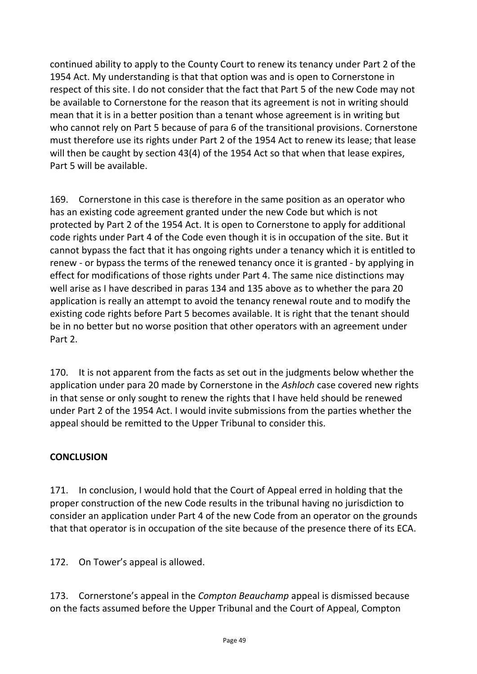continued ability to apply to the County Court to renew its tenancy under Part 2 of the 1954 Act. My understanding is that that option was and is open to Cornerstone in respect of this site. I do not consider that the fact that Part 5 of the new Code may not be available to Cornerstone for the reason that its agreement is not in writing should mean that it is in a better position than a tenant whose agreement is in writing but who cannot rely on Part 5 because of para 6 of the transitional provisions. Cornerstone must therefore use its rights under Part 2 of the 1954 Act to renew its lease; that lease will then be caught by section 43(4) of the 1954 Act so that when that lease expires, Part 5 will be available.

169. Cornerstone in this case is therefore in the same position as an operator who has an existing code agreement granted under the new Code but which is not protected by Part 2 of the 1954 Act. It is open to Cornerstone to apply for additional code rights under Part 4 of the Code even though it is in occupation of the site. But it cannot bypass the fact that it has ongoing rights under a tenancy which it is entitled to renew - or bypass the terms of the renewed tenancy once it is granted - by applying in effect for modifications of those rights under Part 4. The same nice distinctions may well arise as I have described in paras 134 and 135 above as to whether the para 20 application is really an attempt to avoid the tenancy renewal route and to modify the existing code rights before Part 5 becomes available. It is right that the tenant should be in no better but no worse position that other operators with an agreement under Part 2.

170. It is not apparent from the facts as set out in the judgments below whether the application under para 20 made by Cornerstone in the *Ashloch* case covered new rights in that sense or only sought to renew the rights that I have held should be renewed under Part 2 of the 1954 Act. I would invite submissions from the parties whether the appeal should be remitted to the Upper Tribunal to consider this.

## **CONCLUSION**

171. In conclusion, I would hold that the Court of Appeal erred in holding that the proper construction of the new Code results in the tribunal having no jurisdiction to consider an application under Part 4 of the new Code from an operator on the grounds that that operator is in occupation of the site because of the presence there of its ECA.

172. On Tower's appeal is allowed.

173. Cornerstone's appeal in the *Compton Beauchamp* appeal is dismissed because on the facts assumed before the Upper Tribunal and the Court of Appeal, Compton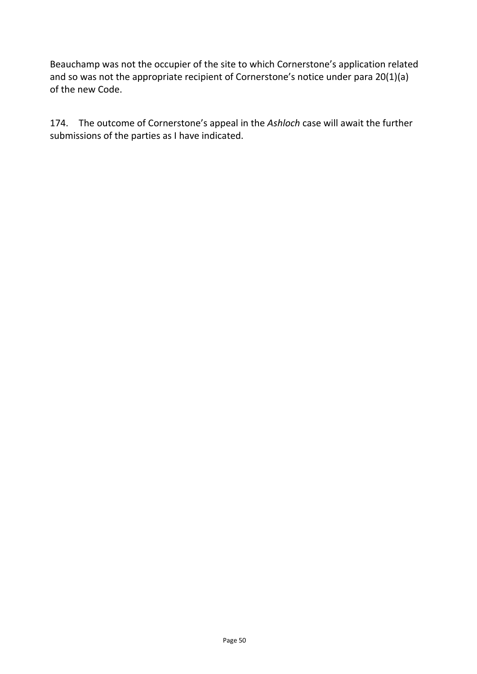Beauchamp was not the occupier of the site to which Cornerstone's application related and so was not the appropriate recipient of Cornerstone's notice under para 20(1)(a) of the new Code.

174. The outcome of Cornerstone's appeal in the *Ashloch* case will await the further submissions of the parties as I have indicated.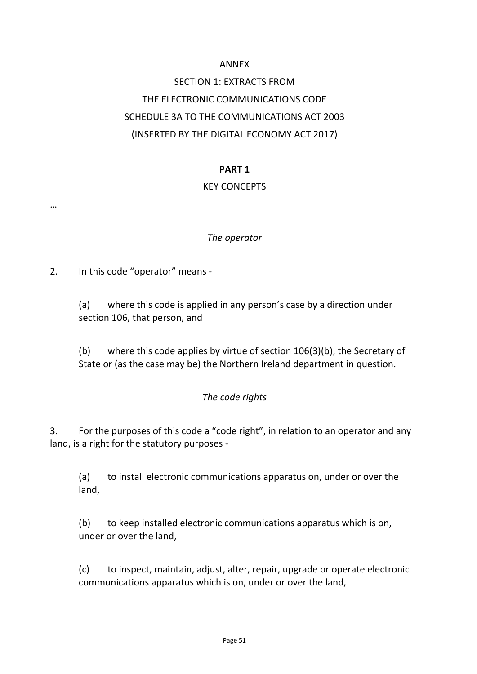#### ANNEX

# SECTION 1: EXTRACTS FROM THE ELECTRONIC COMMUNICATIONS CODE SCHEDULE 3A TO THE COMMUNICATIONS ACT 2003 (INSERTED BY THE DIGITAL ECONOMY ACT 2017)

#### **PART 1**

#### KEY CONCEPTS

#### *The operator*

2. In this code "operator" means -

…

(a) where this code is applied in any person's case by a direction under section 106, that person, and

(b) where this code applies by virtue of section 106(3)(b), the Secretary of State or (as the case may be) the Northern Ireland department in question.

#### *The code rights*

3. For the purposes of this code a "code right", in relation to an operator and any land, is a right for the statutory purposes -

(a) to install electronic communications apparatus on, under or over the land,

(b) to keep installed electronic communications apparatus which is on, under or over the land,

(c) to inspect, maintain, adjust, alter, repair, upgrade or operate electronic communications apparatus which is on, under or over the land,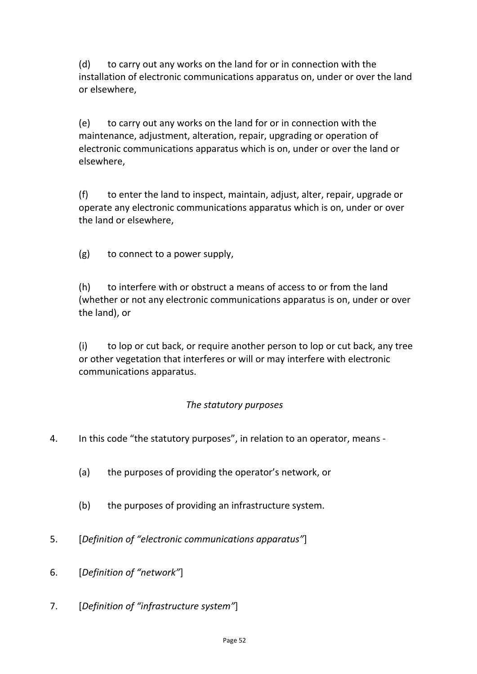(d) to carry out any works on the land for or in connection with the installation of electronic communications apparatus on, under or over the land or elsewhere,

(e) to carry out any works on the land for or in connection with the maintenance, adjustment, alteration, repair, upgrading or operation of electronic communications apparatus which is on, under or over the land or elsewhere,

(f) to enter the land to inspect, maintain, adjust, alter, repair, upgrade or operate any electronic communications apparatus which is on, under or over the land or elsewhere,

(g) to connect to a power supply,

(h) to interfere with or obstruct a means of access to or from the land (whether or not any electronic communications apparatus is on, under or over the land), or

(i) to lop or cut back, or require another person to lop or cut back, any tree or other vegetation that interferes or will or may interfere with electronic communications apparatus.

#### *The statutory purposes*

- 4. In this code "the statutory purposes", in relation to an operator, means
	- (a) the purposes of providing the operator's network, or
	- (b) the purposes of providing an infrastructure system.
- 5. [*Definition of "electronic communications apparatus"*]
- 6. [*Definition of "network"*]
- 7. [*Definition of "infrastructure system"*]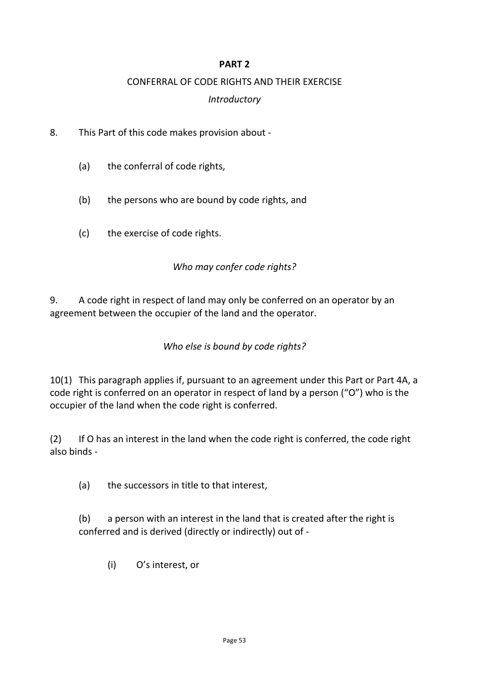#### **PART 2**

## CONFERRAL OF CODE RIGHTS AND THEIR EXERCISE

## *Introductory*

- 8. This Part of this code makes provision about
	- (a) the conferral of code rights,
	- (b) the persons who are bound by code rights, and
	- (c) the exercise of code rights.

#### *Who may confer code rights?*

9. A code right in respect of land may only be conferred on an operator by an agreement between the occupier of the land and the operator.

## *Who else is bound by code rights?*

10(1) This paragraph applies if, pursuant to an agreement under this Part or Part 4A, a code right is conferred on an operator in respect of land by a person ("O") who is the occupier of the land when the code right is conferred.

(2) If O has an interest in the land when the code right is conferred, the code right also binds -

(a) the successors in title to that interest,

(b) a person with an interest in the land that is created after the right is conferred and is derived (directly or indirectly) out of -

(i) O's interest, or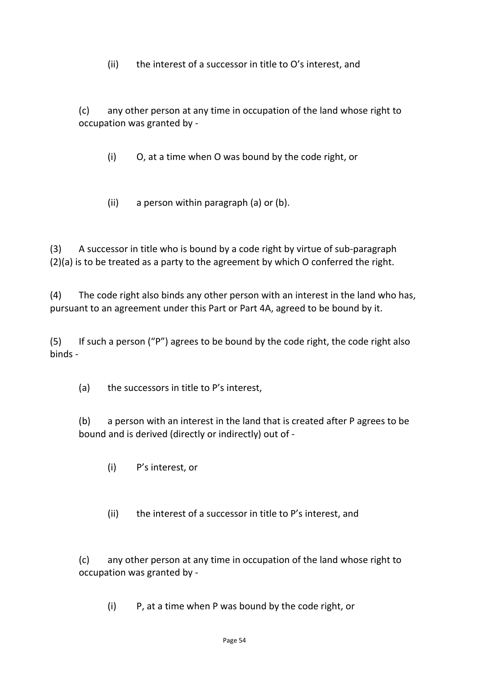(ii) the interest of a successor in title to O's interest, and

(c) any other person at any time in occupation of the land whose right to occupation was granted by -

(i) O, at a time when O was bound by the code right, or

(ii) a person within paragraph (a) or (b).

(3) A successor in title who is bound by a code right by virtue of sub-paragraph (2)(a) is to be treated as a party to the agreement by which O conferred the right.

(4) The code right also binds any other person with an interest in the land who has, pursuant to an agreement under this Part or Part 4A, agreed to be bound by it.

(5) If such a person ("P") agrees to be bound by the code right, the code right also binds -

(a) the successors in title to P's interest,

(b) a person with an interest in the land that is created after P agrees to be bound and is derived (directly or indirectly) out of -

- (i) P's interest, or
- (ii) the interest of a successor in title to P's interest, and

(c) any other person at any time in occupation of the land whose right to occupation was granted by -

(i) P, at a time when P was bound by the code right, or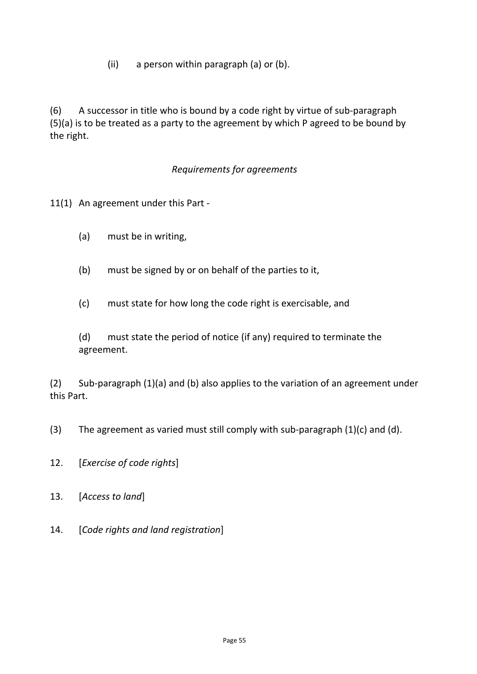(ii) a person within paragraph (a) or (b).

(6) A successor in title who is bound by a code right by virtue of sub-paragraph (5)(a) is to be treated as a party to the agreement by which P agreed to be bound by the right.

#### *Requirements for agreements*

11(1) An agreement under this Part -

- (a) must be in writing,
- (b) must be signed by or on behalf of the parties to it,
- (c) must state for how long the code right is exercisable, and
- (d) must state the period of notice (if any) required to terminate the agreement.

(2) Sub-paragraph (1)(a) and (b) also applies to the variation of an agreement under this Part.

- (3) The agreement as varied must still comply with sub-paragraph  $(1)(c)$  and  $(d)$ .
- 12. [*Exercise of code rights*]
- 13. [*Access to land*]
- 14. [*Code rights and land registration*]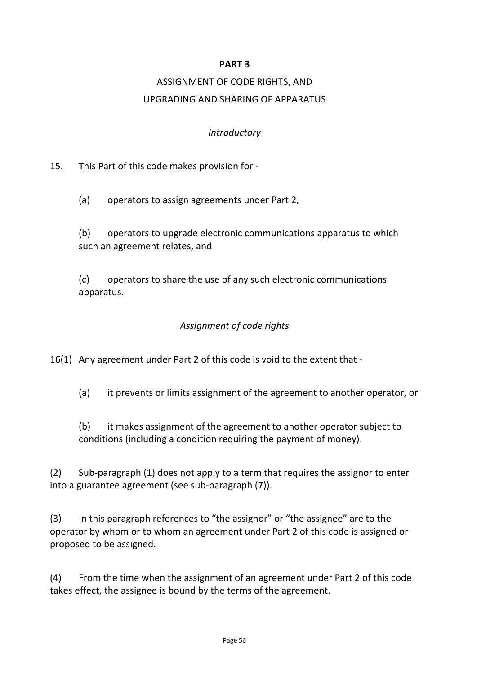#### **PART 3**

## ASSIGNMENT OF CODE RIGHTS, AND UPGRADING AND SHARING OF APPARATUS

#### *Introductory*

15. This Part of this code makes provision for -

(a) operators to assign agreements under Part 2,

(b) operators to upgrade electronic communications apparatus to which such an agreement relates, and

(c) operators to share the use of any such electronic communications apparatus.

#### *Assignment of code rights*

16(1) Any agreement under Part 2 of this code is void to the extent that -

(a) it prevents or limits assignment of the agreement to another operator, or

(b) it makes assignment of the agreement to another operator subject to conditions (including a condition requiring the payment of money).

(2) Sub-paragraph (1) does not apply to a term that requires the assignor to enter into a guarantee agreement (see sub-paragraph (7)).

(3) In this paragraph references to "the assignor" or "the assignee" are to the operator by whom or to whom an agreement under Part 2 of this code is assigned or proposed to be assigned.

(4) From the time when the assignment of an agreement under Part 2 of this code takes effect, the assignee is bound by the terms of the agreement.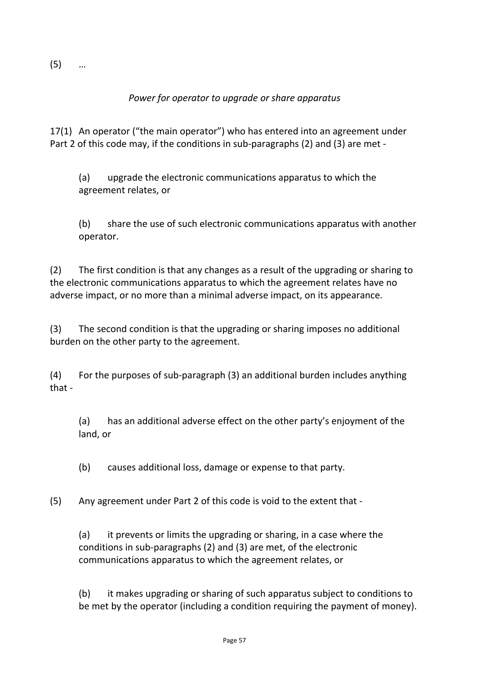(5) …

## *Power for operator to upgrade or share apparatus*

17(1) An operator ("the main operator") who has entered into an agreement under Part 2 of this code may, if the conditions in sub-paragraphs (2) and (3) are met -

(a) upgrade the electronic communications apparatus to which the agreement relates, or

(b) share the use of such electronic communications apparatus with another operator.

(2) The first condition is that any changes as a result of the upgrading or sharing to the electronic communications apparatus to which the agreement relates have no adverse impact, or no more than a minimal adverse impact, on its appearance.

(3) The second condition is that the upgrading or sharing imposes no additional burden on the other party to the agreement.

(4) For the purposes of sub-paragraph (3) an additional burden includes anything that -

(a) has an additional adverse effect on the other party's enjoyment of the land, or

(b) causes additional loss, damage or expense to that party.

(5) Any agreement under Part 2 of this code is void to the extent that -

(a) it prevents or limits the upgrading or sharing, in a case where the conditions in sub-paragraphs (2) and (3) are met, of the electronic communications apparatus to which the agreement relates, or

(b) it makes upgrading or sharing of such apparatus subject to conditions to be met by the operator (including a condition requiring the payment of money).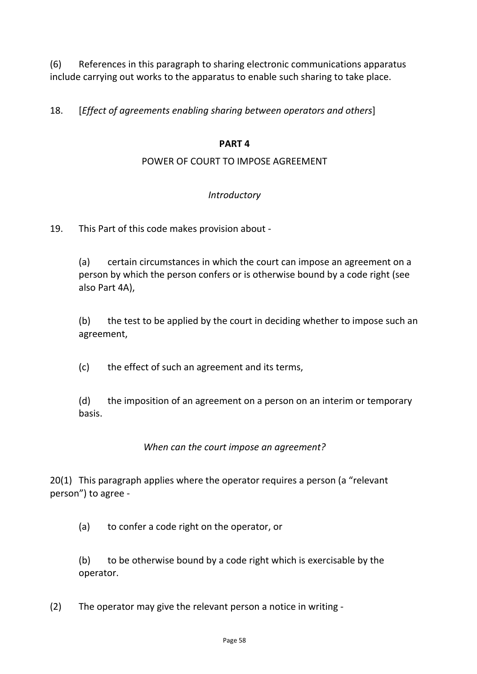(6) References in this paragraph to sharing electronic communications apparatus include carrying out works to the apparatus to enable such sharing to take place.

18. [*Effect of agreements enabling sharing between operators and others*]

#### **PART 4**

#### POWER OF COURT TO IMPOSE AGREEMENT

## *Introductory*

19. This Part of this code makes provision about -

(a) certain circumstances in which the court can impose an agreement on a person by which the person confers or is otherwise bound by a code right (see also Part 4A),

(b) the test to be applied by the court in deciding whether to impose such an agreement,

(c) the effect of such an agreement and its terms,

(d) the imposition of an agreement on a person on an interim or temporary basis.

*When can the court impose an agreement?*

20(1) This paragraph applies where the operator requires a person (a "relevant person") to agree -

(a) to confer a code right on the operator, or

(b) to be otherwise bound by a code right which is exercisable by the operator.

(2) The operator may give the relevant person a notice in writing -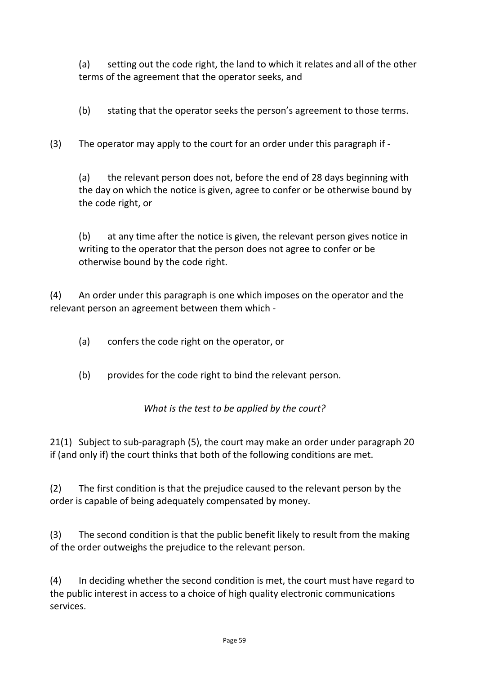(a) setting out the code right, the land to which it relates and all of the other terms of the agreement that the operator seeks, and

(b) stating that the operator seeks the person's agreement to those terms.

(3) The operator may apply to the court for an order under this paragraph if -

(a) the relevant person does not, before the end of 28 days beginning with the day on which the notice is given, agree to confer or be otherwise bound by the code right, or

(b) at any time after the notice is given, the relevant person gives notice in writing to the operator that the person does not agree to confer or be otherwise bound by the code right.

(4) An order under this paragraph is one which imposes on the operator and the relevant person an agreement between them which -

- (a) confers the code right on the operator, or
- (b) provides for the code right to bind the relevant person.

*What is the test to be applied by the court?*

21(1) Subject to sub-paragraph (5), the court may make an order under paragraph 20 if (and only if) the court thinks that both of the following conditions are met.

(2) The first condition is that the prejudice caused to the relevant person by the order is capable of being adequately compensated by money.

(3) The second condition is that the public benefit likely to result from the making of the order outweighs the prejudice to the relevant person.

(4) In deciding whether the second condition is met, the court must have regard to the public interest in access to a choice of high quality electronic communications services.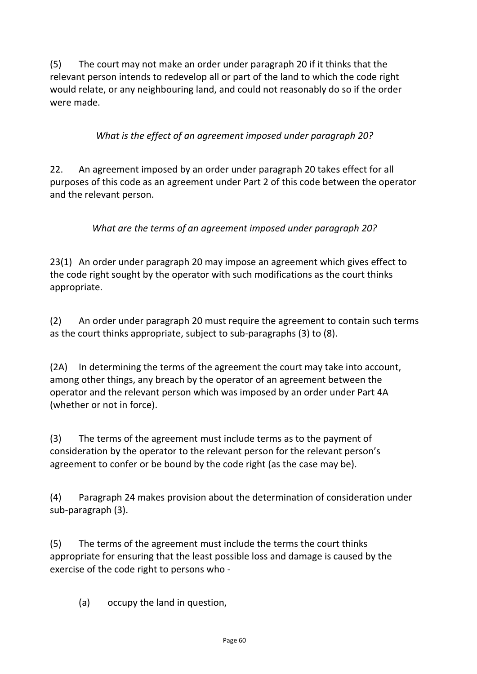(5) The court may not make an order under paragraph 20 if it thinks that the relevant person intends to redevelop all or part of the land to which the code right would relate, or any neighbouring land, and could not reasonably do so if the order were made.

## *What is the effect of an agreement imposed under paragraph 20?*

22. An agreement imposed by an order under paragraph 20 takes effect for all purposes of this code as an agreement under Part 2 of this code between the operator and the relevant person.

## *What are the terms of an agreement imposed under paragraph 20?*

23(1) An order under paragraph 20 may impose an agreement which gives effect to the code right sought by the operator with such modifications as the court thinks appropriate.

(2) An order under paragraph 20 must require the agreement to contain such terms as the court thinks appropriate, subject to sub-paragraphs (3) to (8).

(2A) In determining the terms of the agreement the court may take into account, among other things, any breach by the operator of an agreement between the operator and the relevant person which was imposed by an order under Part 4A (whether or not in force).

(3) The terms of the agreement must include terms as to the payment of consideration by the operator to the relevant person for the relevant person's agreement to confer or be bound by the code right (as the case may be).

(4) Paragraph 24 makes provision about the determination of consideration under sub-paragraph (3).

(5) The terms of the agreement must include the terms the court thinks appropriate for ensuring that the least possible loss and damage is caused by the exercise of the code right to persons who -

(a) occupy the land in question,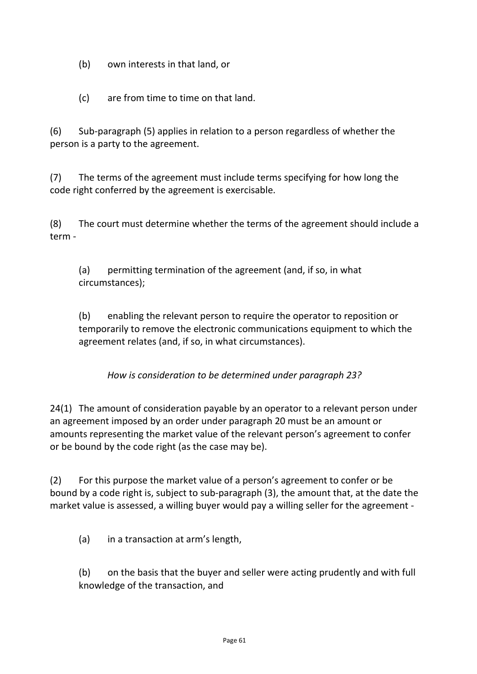(b) own interests in that land, or

(c) are from time to time on that land.

(6) Sub-paragraph (5) applies in relation to a person regardless of whether the person is a party to the agreement.

(7) The terms of the agreement must include terms specifying for how long the code right conferred by the agreement is exercisable.

(8) The court must determine whether the terms of the agreement should include a term -

(a) permitting termination of the agreement (and, if so, in what circumstances);

(b) enabling the relevant person to require the operator to reposition or temporarily to remove the electronic communications equipment to which the agreement relates (and, if so, in what circumstances).

*How is consideration to be determined under paragraph 23?*

24(1) The amount of consideration payable by an operator to a relevant person under an agreement imposed by an order under paragraph 20 must be an amount or amounts representing the market value of the relevant person's agreement to confer or be bound by the code right (as the case may be).

(2) For this purpose the market value of a person's agreement to confer or be bound by a code right is, subject to sub-paragraph (3), the amount that, at the date the market value is assessed, a willing buyer would pay a willing seller for the agreement -

(a) in a transaction at arm's length,

(b) on the basis that the buyer and seller were acting prudently and with full knowledge of the transaction, and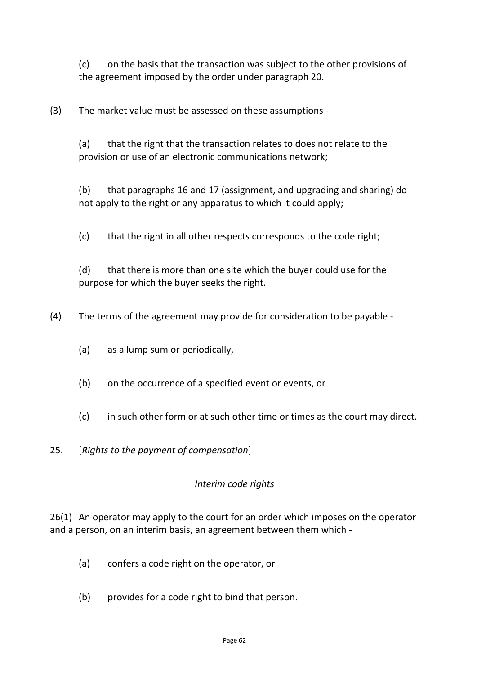(c) on the basis that the transaction was subject to the other provisions of the agreement imposed by the order under paragraph 20.

(3) The market value must be assessed on these assumptions -

(a) that the right that the transaction relates to does not relate to the provision or use of an electronic communications network;

(b) that paragraphs 16 and 17 (assignment, and upgrading and sharing) do not apply to the right or any apparatus to which it could apply;

(c) that the right in all other respects corresponds to the code right;

(d) that there is more than one site which the buyer could use for the purpose for which the buyer seeks the right.

(4) The terms of the agreement may provide for consideration to be payable -

- (a) as a lump sum or periodically,
- (b) on the occurrence of a specified event or events, or
- (c) in such other form or at such other time or times as the court may direct.

25. [*Rights to the payment of compensation*]

#### *Interim code rights*

26(1) An operator may apply to the court for an order which imposes on the operator and a person, on an interim basis, an agreement between them which -

- (a) confers a code right on the operator, or
- (b) provides for a code right to bind that person.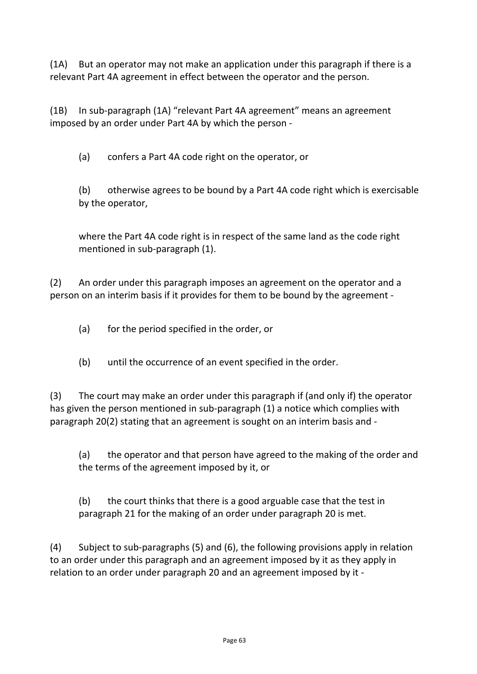(1A) But an operator may not make an application under this paragraph if there is a relevant Part 4A agreement in effect between the operator and the person.

(1B) In sub-paragraph (1A) "relevant Part 4A agreement" means an agreement imposed by an order under Part 4A by which the person -

(a) confers a Part 4A code right on the operator, or

(b) otherwise agrees to be bound by a Part 4A code right which is exercisable by the operator,

where the Part 4A code right is in respect of the same land as the code right mentioned in sub-paragraph (1).

(2) An order under this paragraph imposes an agreement on the operator and a person on an interim basis if it provides for them to be bound by the agreement -

- (a) for the period specified in the order, or
- (b) until the occurrence of an event specified in the order.

(3) The court may make an order under this paragraph if (and only if) the operator has given the person mentioned in sub-paragraph (1) a notice which complies with paragraph 20(2) stating that an agreement is sought on an interim basis and -

(a) the operator and that person have agreed to the making of the order and the terms of the agreement imposed by it, or

(b) the court thinks that there is a good arguable case that the test in paragraph 21 for the making of an order under paragraph 20 is met.

(4) Subject to sub-paragraphs (5) and (6), the following provisions apply in relation to an order under this paragraph and an agreement imposed by it as they apply in relation to an order under paragraph 20 and an agreement imposed by it -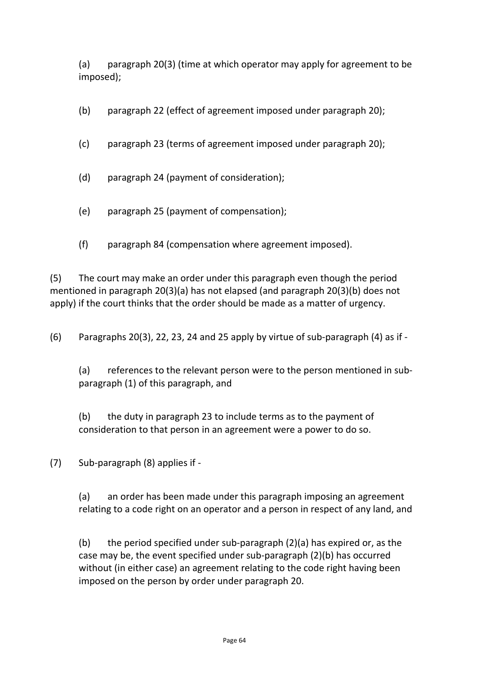(a) paragraph 20(3) (time at which operator may apply for agreement to be imposed);

- (b) paragraph 22 (effect of agreement imposed under paragraph 20);
- (c) paragraph 23 (terms of agreement imposed under paragraph 20);
- (d) paragraph 24 (payment of consideration);
- (e) paragraph 25 (payment of compensation);
- (f) paragraph 84 (compensation where agreement imposed).

(5) The court may make an order under this paragraph even though the period mentioned in paragraph 20(3)(a) has not elapsed (and paragraph 20(3)(b) does not apply) if the court thinks that the order should be made as a matter of urgency.

(6) Paragraphs 20(3), 22, 23, 24 and 25 apply by virtue of sub-paragraph (4) as if -

(a) references to the relevant person were to the person mentioned in subparagraph (1) of this paragraph, and

(b) the duty in paragraph 23 to include terms as to the payment of consideration to that person in an agreement were a power to do so.

(7) Sub-paragraph (8) applies if -

(a) an order has been made under this paragraph imposing an agreement relating to a code right on an operator and a person in respect of any land, and

(b) the period specified under sub-paragraph (2)(a) has expired or, as the case may be, the event specified under sub-paragraph (2)(b) has occurred without (in either case) an agreement relating to the code right having been imposed on the person by order under paragraph 20.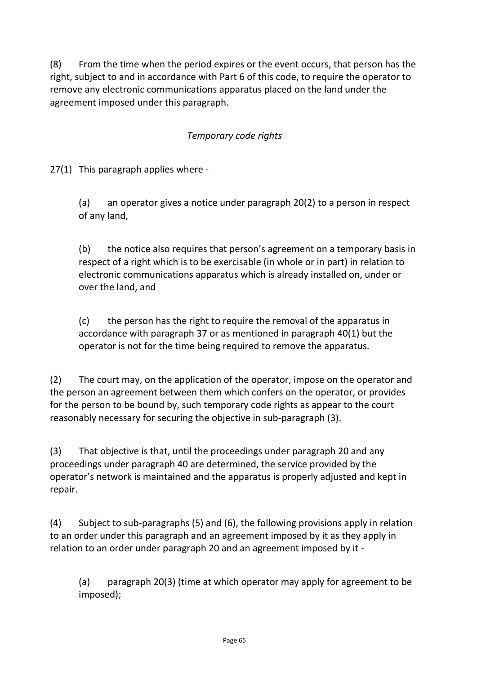(8) From the time when the period expires or the event occurs, that person has the right, subject to and in accordance with Part 6 of this code, to require the operator to remove any electronic communications apparatus placed on the land under the agreement imposed under this paragraph.

## *Temporary code rights*

27(1) This paragraph applies where -

(a) an operator gives a notice under paragraph 20(2) to a person in respect of any land,

(b) the notice also requires that person's agreement on a temporary basis in respect of a right which is to be exercisable (in whole or in part) in relation to electronic communications apparatus which is already installed on, under or over the land, and

(c) the person has the right to require the removal of the apparatus in accordance with paragraph 37 or as mentioned in paragraph 40(1) but the operator is not for the time being required to remove the apparatus.

(2) The court may, on the application of the operator, impose on the operator and the person an agreement between them which confers on the operator, or provides for the person to be bound by, such temporary code rights as appear to the court reasonably necessary for securing the objective in sub-paragraph (3).

(3) That objective is that, until the proceedings under paragraph 20 and any proceedings under paragraph 40 are determined, the service provided by the operator's network is maintained and the apparatus is properly adjusted and kept in repair.

(4) Subject to sub-paragraphs (5) and (6), the following provisions apply in relation to an order under this paragraph and an agreement imposed by it as they apply in relation to an order under paragraph 20 and an agreement imposed by it -

(a) paragraph 20(3) (time at which operator may apply for agreement to be imposed);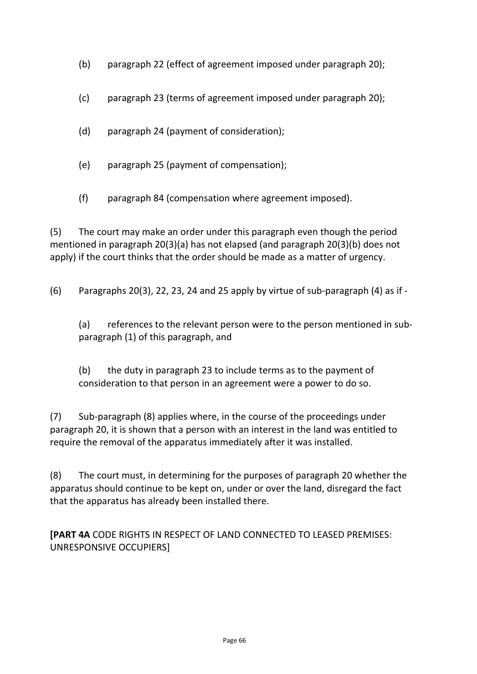- (b) paragraph 22 (effect of agreement imposed under paragraph 20);
- (c) paragraph 23 (terms of agreement imposed under paragraph 20);
- (d) paragraph 24 (payment of consideration);
- (e) paragraph 25 (payment of compensation);
- (f) paragraph 84 (compensation where agreement imposed).

(5) The court may make an order under this paragraph even though the period mentioned in paragraph 20(3)(a) has not elapsed (and paragraph 20(3)(b) does not apply) if the court thinks that the order should be made as a matter of urgency.

(6) Paragraphs 20(3), 22, 23, 24 and 25 apply by virtue of sub-paragraph (4) as if -

(a) references to the relevant person were to the person mentioned in subparagraph (1) of this paragraph, and

(b) the duty in paragraph 23 to include terms as to the payment of consideration to that person in an agreement were a power to do so.

(7) Sub-paragraph (8) applies where, in the course of the proceedings under paragraph 20, it is shown that a person with an interest in the land was entitled to require the removal of the apparatus immediately after it was installed.

(8) The court must, in determining for the purposes of paragraph 20 whether the apparatus should continue to be kept on, under or over the land, disregard the fact that the apparatus has already been installed there.

**[PART 4A** CODE RIGHTS IN RESPECT OF LAND CONNECTED TO LEASED PREMISES: UNRESPONSIVE OCCUPIERS]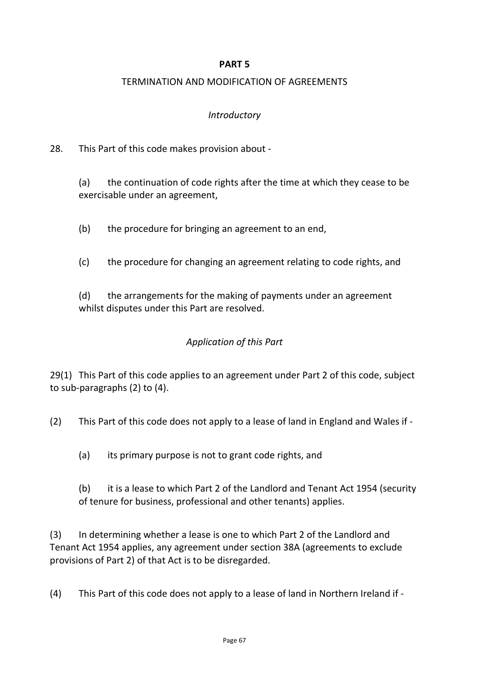#### **PART 5**

#### TERMINATION AND MODIFICATION OF AGREEMENTS

## *Introductory*

28. This Part of this code makes provision about -

(a) the continuation of code rights after the time at which they cease to be exercisable under an agreement,

(b) the procedure for bringing an agreement to an end,

(c) the procedure for changing an agreement relating to code rights, and

(d) the arrangements for the making of payments under an agreement whilst disputes under this Part are resolved.

#### *Application of this Part*

29(1) This Part of this code applies to an agreement under Part 2 of this code, subject to sub-paragraphs (2) to (4).

(2) This Part of this code does not apply to a lease of land in England and Wales if -

(a) its primary purpose is not to grant code rights, and

(b) it is a lease to which Part 2 of the Landlord and Tenant Act 1954 (security of tenure for business, professional and other tenants) applies.

(3) In determining whether a lease is one to which Part 2 of the Landlord and Tenant Act 1954 applies, any agreement under section 38A (agreements to exclude provisions of Part 2) of that Act is to be disregarded.

(4) This Part of this code does not apply to a lease of land in Northern Ireland if -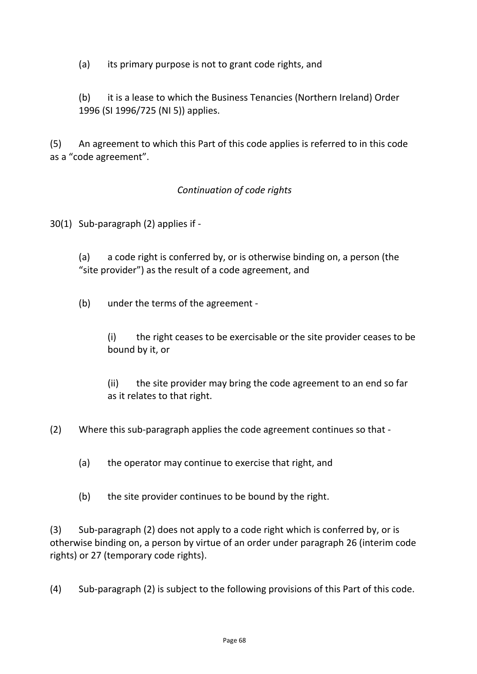(a) its primary purpose is not to grant code rights, and

(b) it is a lease to which the Business Tenancies (Northern Ireland) Order 1996 (SI 1996/725 (NI 5)) applies.

(5) An agreement to which this Part of this code applies is referred to in this code as a "code agreement".

#### *Continuation of code rights*

30(1) Sub-paragraph (2) applies if -

(a) a code right is conferred by, or is otherwise binding on, a person (the "site provider") as the result of a code agreement, and

(b) under the terms of the agreement -

(i) the right ceases to be exercisable or the site provider ceases to be bound by it, or

(ii) the site provider may bring the code agreement to an end so far as it relates to that right.

(2) Where this sub-paragraph applies the code agreement continues so that -

(a) the operator may continue to exercise that right, and

(b) the site provider continues to be bound by the right.

(3) Sub-paragraph (2) does not apply to a code right which is conferred by, or is otherwise binding on, a person by virtue of an order under paragraph 26 (interim code rights) or 27 (temporary code rights).

(4) Sub-paragraph (2) is subject to the following provisions of this Part of this code.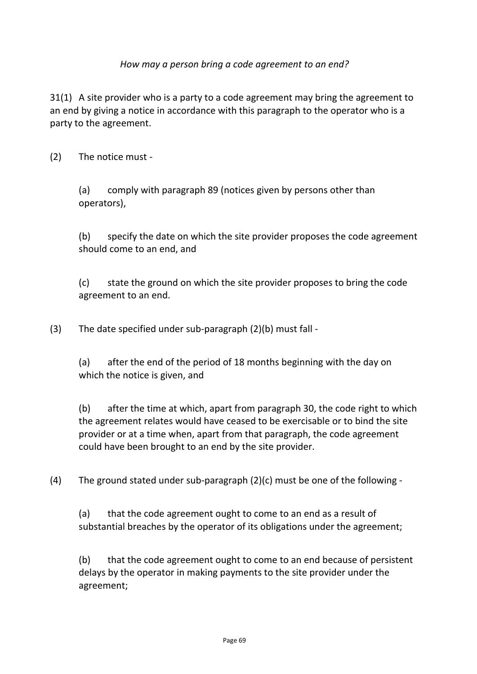#### *How may a person bring a code agreement to an end?*

31(1) A site provider who is a party to a code agreement may bring the agreement to an end by giving a notice in accordance with this paragraph to the operator who is a party to the agreement.

(2) The notice must -

(a) comply with paragraph 89 (notices given by persons other than operators),

(b) specify the date on which the site provider proposes the code agreement should come to an end, and

(c) state the ground on which the site provider proposes to bring the code agreement to an end.

(3) The date specified under sub-paragraph (2)(b) must fall -

(a) after the end of the period of 18 months beginning with the day on which the notice is given, and

(b) after the time at which, apart from paragraph 30, the code right to which the agreement relates would have ceased to be exercisable or to bind the site provider or at a time when, apart from that paragraph, the code agreement could have been brought to an end by the site provider.

(4) The ground stated under sub-paragraph (2)(c) must be one of the following -

(a) that the code agreement ought to come to an end as a result of substantial breaches by the operator of its obligations under the agreement;

(b) that the code agreement ought to come to an end because of persistent delays by the operator in making payments to the site provider under the agreement;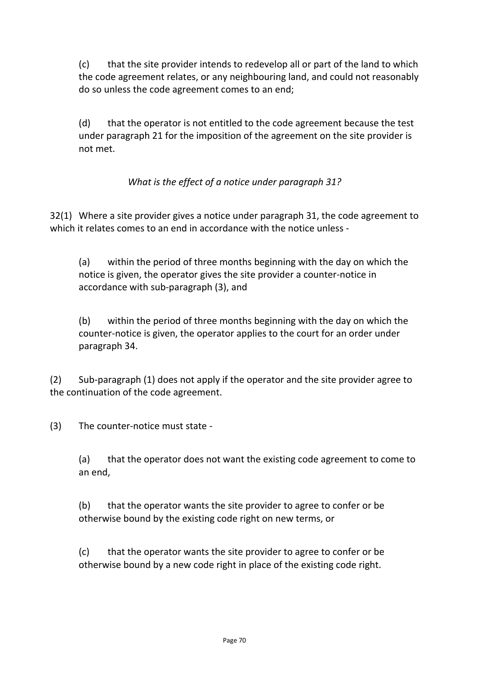(c) that the site provider intends to redevelop all or part of the land to which the code agreement relates, or any neighbouring land, and could not reasonably do so unless the code agreement comes to an end;

(d) that the operator is not entitled to the code agreement because the test under paragraph 21 for the imposition of the agreement on the site provider is not met.

#### *What is the effect of a notice under paragraph 31?*

32(1) Where a site provider gives a notice under paragraph 31, the code agreement to which it relates comes to an end in accordance with the notice unless -

(a) within the period of three months beginning with the day on which the notice is given, the operator gives the site provider a counter-notice in accordance with sub-paragraph (3), and

(b) within the period of three months beginning with the day on which the counter-notice is given, the operator applies to the court for an order under paragraph 34.

(2) Sub-paragraph (1) does not apply if the operator and the site provider agree to the continuation of the code agreement.

(3) The counter-notice must state -

(a) that the operator does not want the existing code agreement to come to an end,

(b) that the operator wants the site provider to agree to confer or be otherwise bound by the existing code right on new terms, or

(c) that the operator wants the site provider to agree to confer or be otherwise bound by a new code right in place of the existing code right.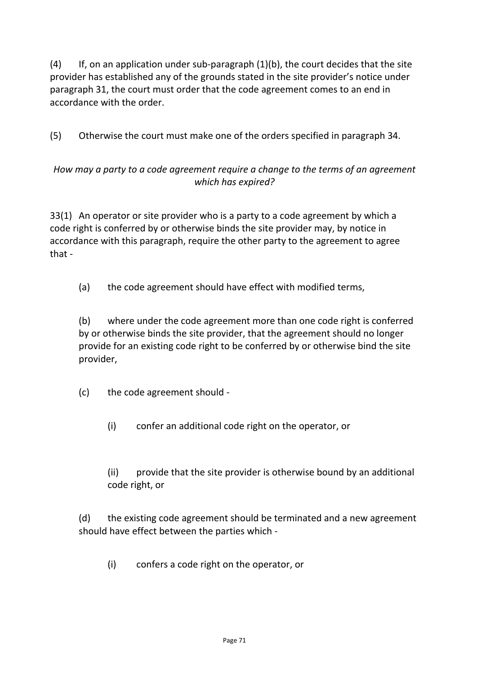$(4)$  If, on an application under sub-paragraph  $(1)(b)$ , the court decides that the site provider has established any of the grounds stated in the site provider's notice under paragraph 31, the court must order that the code agreement comes to an end in accordance with the order.

(5) Otherwise the court must make one of the orders specified in paragraph 34.

*How may a party to a code agreement require a change to the terms of an agreement which has expired?*

33(1) An operator or site provider who is a party to a code agreement by which a code right is conferred by or otherwise binds the site provider may, by notice in accordance with this paragraph, require the other party to the agreement to agree that -

(a) the code agreement should have effect with modified terms,

(b) where under the code agreement more than one code right is conferred by or otherwise binds the site provider, that the agreement should no longer provide for an existing code right to be conferred by or otherwise bind the site provider,

- (c) the code agreement should
	- (i) confer an additional code right on the operator, or

(ii) provide that the site provider is otherwise bound by an additional code right, or

(d) the existing code agreement should be terminated and a new agreement should have effect between the parties which -

(i) confers a code right on the operator, or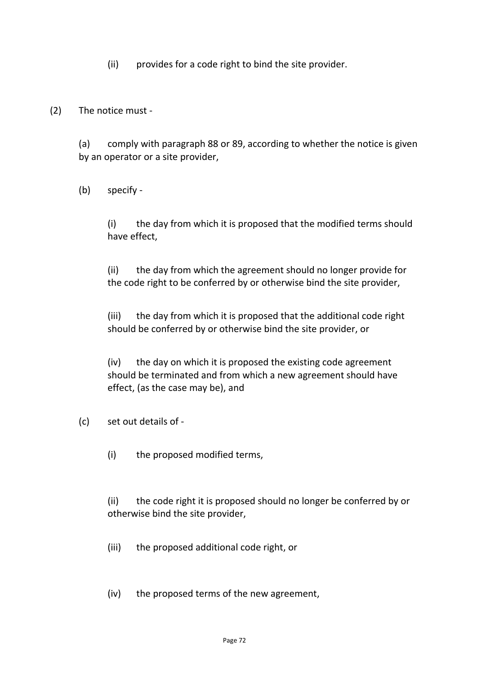(ii) provides for a code right to bind the site provider.

(2) The notice must -

(a) comply with paragraph 88 or 89, according to whether the notice is given by an operator or a site provider,

(b) specify -

(i) the day from which it is proposed that the modified terms should have effect,

(ii) the day from which the agreement should no longer provide for the code right to be conferred by or otherwise bind the site provider,

(iii) the day from which it is proposed that the additional code right should be conferred by or otherwise bind the site provider, or

(iv) the day on which it is proposed the existing code agreement should be terminated and from which a new agreement should have effect, (as the case may be), and

(c) set out details of -

(i) the proposed modified terms,

(ii) the code right it is proposed should no longer be conferred by or otherwise bind the site provider,

(iii) the proposed additional code right, or

(iv) the proposed terms of the new agreement,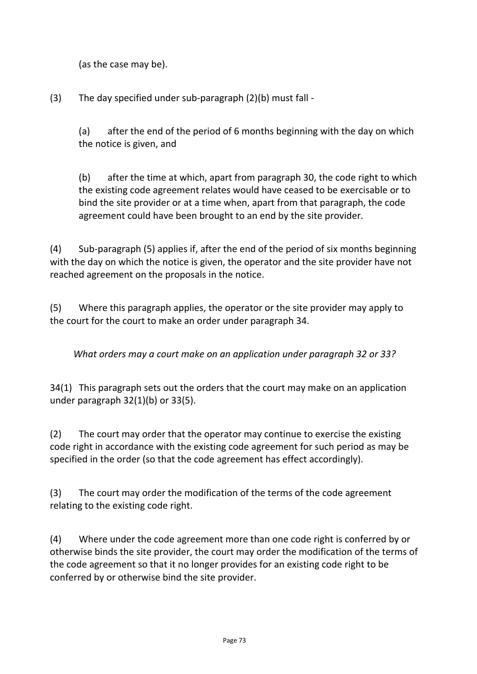(as the case may be).

(3) The day specified under sub-paragraph (2)(b) must fall -

(a) after the end of the period of 6 months beginning with the day on which the notice is given, and

(b) after the time at which, apart from paragraph 30, the code right to which the existing code agreement relates would have ceased to be exercisable or to bind the site provider or at a time when, apart from that paragraph, the code agreement could have been brought to an end by the site provider.

(4) Sub-paragraph (5) applies if, after the end of the period of six months beginning with the day on which the notice is given, the operator and the site provider have not reached agreement on the proposals in the notice.

(5) Where this paragraph applies, the operator or the site provider may apply to the court for the court to make an order under paragraph 34.

*What orders may a court make on an application under paragraph 32 or 33?*

34(1) This paragraph sets out the orders that the court may make on an application under paragraph 32(1)(b) or 33(5).

(2) The court may order that the operator may continue to exercise the existing code right in accordance with the existing code agreement for such period as may be specified in the order (so that the code agreement has effect accordingly).

(3) The court may order the modification of the terms of the code agreement relating to the existing code right.

(4) Where under the code agreement more than one code right is conferred by or otherwise binds the site provider, the court may order the modification of the terms of the code agreement so that it no longer provides for an existing code right to be conferred by or otherwise bind the site provider.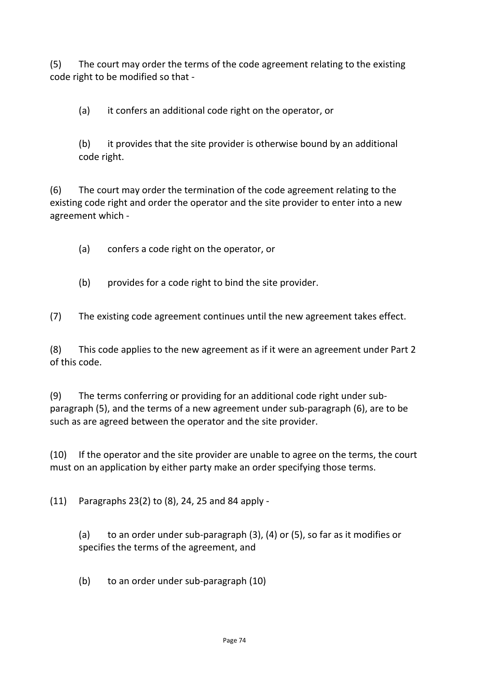(5) The court may order the terms of the code agreement relating to the existing code right to be modified so that -

(a) it confers an additional code right on the operator, or

(b) it provides that the site provider is otherwise bound by an additional code right.

(6) The court may order the termination of the code agreement relating to the existing code right and order the operator and the site provider to enter into a new agreement which -

- (a) confers a code right on the operator, or
- (b) provides for a code right to bind the site provider.

(7) The existing code agreement continues until the new agreement takes effect.

(8) This code applies to the new agreement as if it were an agreement under Part 2 of this code.

(9) The terms conferring or providing for an additional code right under subparagraph (5), and the terms of a new agreement under sub-paragraph (6), are to be such as are agreed between the operator and the site provider.

(10) If the operator and the site provider are unable to agree on the terms, the court must on an application by either party make an order specifying those terms.

(11) Paragraphs 23(2) to (8), 24, 25 and 84 apply -

(a) to an order under sub-paragraph (3), (4) or (5), so far as it modifies or specifies the terms of the agreement, and

(b) to an order under sub-paragraph (10)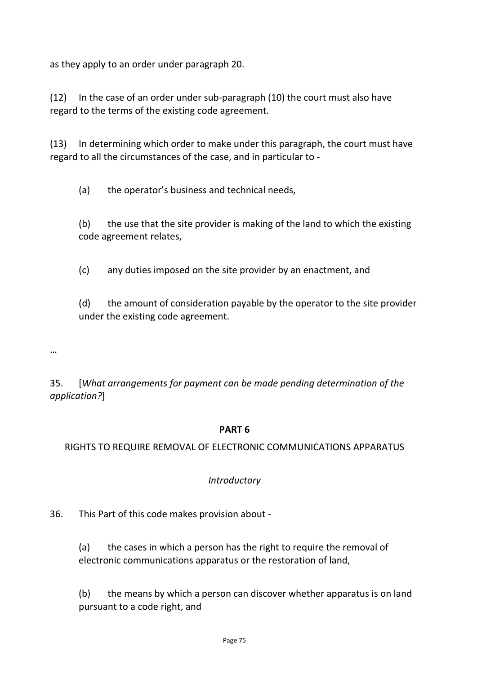as they apply to an order under paragraph 20.

(12) In the case of an order under sub-paragraph (10) the court must also have regard to the terms of the existing code agreement.

(13) In determining which order to make under this paragraph, the court must have regard to all the circumstances of the case, and in particular to -

(a) the operator's business and technical needs,

(b) the use that the site provider is making of the land to which the existing code agreement relates,

(c) any duties imposed on the site provider by an enactment, and

(d) the amount of consideration payable by the operator to the site provider under the existing code agreement.

…

35. [*What arrangements for payment can be made pending determination of the application?*]

#### **PART 6**

#### RIGHTS TO REQUIRE REMOVAL OF ELECTRONIC COMMUNICATIONS APPARATUS

*Introductory*

36. This Part of this code makes provision about -

(a) the cases in which a person has the right to require the removal of electronic communications apparatus or the restoration of land,

(b) the means by which a person can discover whether apparatus is on land pursuant to a code right, and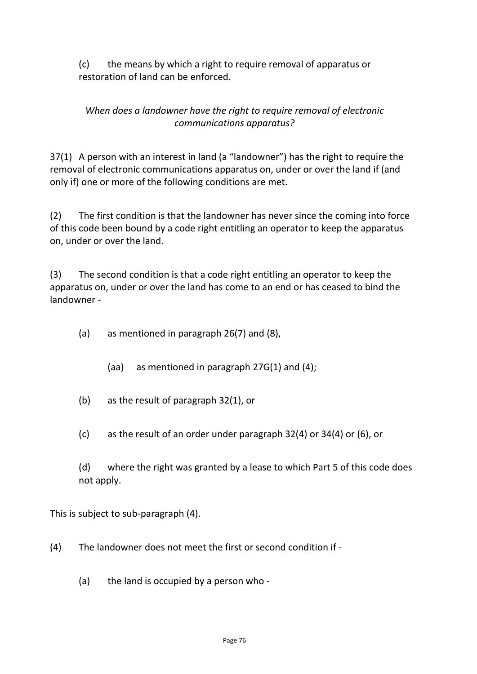(c) the means by which a right to require removal of apparatus or restoration of land can be enforced.

### *When does a landowner have the right to require removal of electronic communications apparatus?*

37(1) A person with an interest in land (a "landowner") has the right to require the removal of electronic communications apparatus on, under or over the land if (and only if) one or more of the following conditions are met.

(2) The first condition is that the landowner has never since the coming into force of this code been bound by a code right entitling an operator to keep the apparatus on, under or over the land.

(3) The second condition is that a code right entitling an operator to keep the apparatus on, under or over the land has come to an end or has ceased to bind the landowner -

- (a) as mentioned in paragraph 26(7) and (8),
	- (aa) as mentioned in paragraph 27G(1) and (4);
- (b) as the result of paragraph 32(1), or
- (c) as the result of an order under paragraph 32(4) or 34(4) or (6), or

(d) where the right was granted by a lease to which Part 5 of this code does not apply.

This is subject to sub-paragraph (4).

(4) The landowner does not meet the first or second condition if -

(a) the land is occupied by a person who -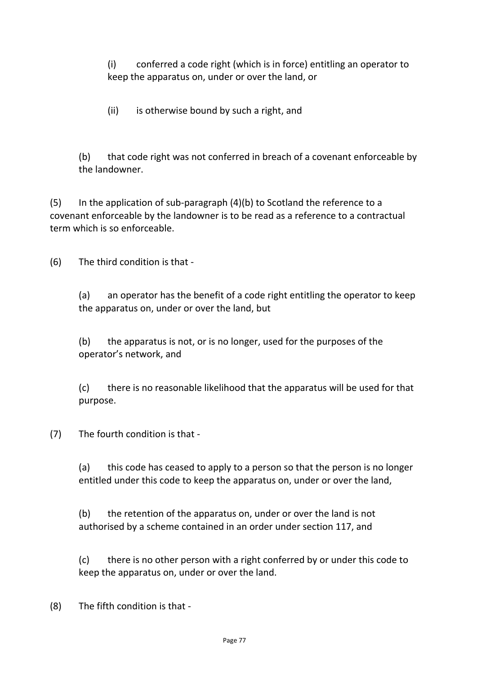(i) conferred a code right (which is in force) entitling an operator to keep the apparatus on, under or over the land, or

(ii) is otherwise bound by such a right, and

(b) that code right was not conferred in breach of a covenant enforceable by the landowner.

(5) In the application of sub-paragraph (4)(b) to Scotland the reference to a covenant enforceable by the landowner is to be read as a reference to a contractual term which is so enforceable.

(6) The third condition is that -

(a) an operator has the benefit of a code right entitling the operator to keep the apparatus on, under or over the land, but

(b) the apparatus is not, or is no longer, used for the purposes of the operator's network, and

(c) there is no reasonable likelihood that the apparatus will be used for that purpose.

(7) The fourth condition is that -

(a) this code has ceased to apply to a person so that the person is no longer entitled under this code to keep the apparatus on, under or over the land,

(b) the retention of the apparatus on, under or over the land is not authorised by a scheme contained in an order under section 117, and

(c) there is no other person with a right conferred by or under this code to keep the apparatus on, under or over the land.

(8) The fifth condition is that -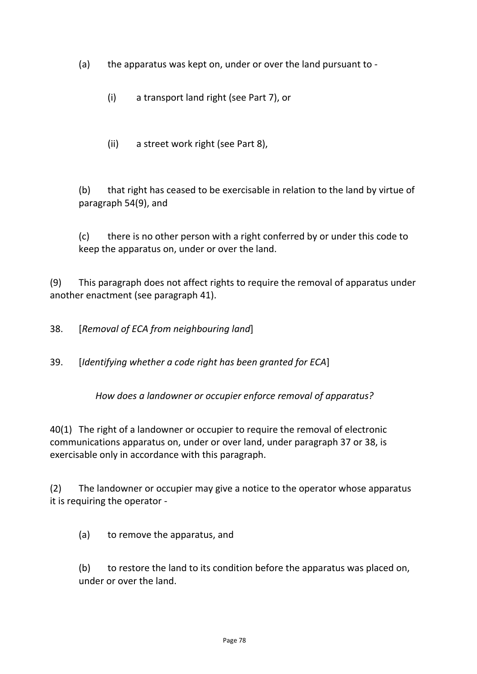(a) the apparatus was kept on, under or over the land pursuant to -

- (i) a transport land right (see Part 7), or
- (ii) a street work right (see Part 8),

(b) that right has ceased to be exercisable in relation to the land by virtue of paragraph 54(9), and

(c) there is no other person with a right conferred by or under this code to keep the apparatus on, under or over the land.

(9) This paragraph does not affect rights to require the removal of apparatus under another enactment (see paragraph 41).

38. [*Removal of ECA from neighbouring land*]

39. [*Identifying whether a code right has been granted for ECA*]

*How does a landowner or occupier enforce removal of apparatus?*

40(1) The right of a landowner or occupier to require the removal of electronic communications apparatus on, under or over land, under paragraph 37 or 38, is exercisable only in accordance with this paragraph.

(2) The landowner or occupier may give a notice to the operator whose apparatus it is requiring the operator -

(a) to remove the apparatus, and

(b) to restore the land to its condition before the apparatus was placed on, under or over the land.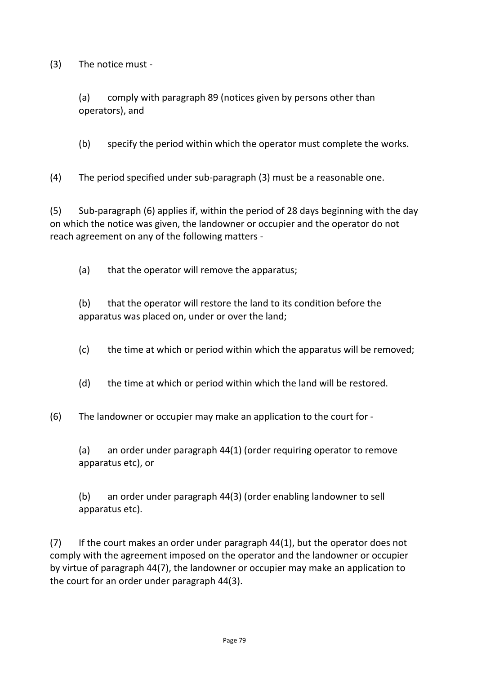(3) The notice must -

(a) comply with paragraph 89 (notices given by persons other than operators), and

(b) specify the period within which the operator must complete the works.

(4) The period specified under sub-paragraph (3) must be a reasonable one.

(5) Sub-paragraph (6) applies if, within the period of 28 days beginning with the day on which the notice was given, the landowner or occupier and the operator do not reach agreement on any of the following matters -

(a) that the operator will remove the apparatus;

(b) that the operator will restore the land to its condition before the apparatus was placed on, under or over the land;

- (c) the time at which or period within which the apparatus will be removed;
- (d) the time at which or period within which the land will be restored.
- (6) The landowner or occupier may make an application to the court for -

(a) an order under paragraph 44(1) (order requiring operator to remove apparatus etc), or

(b) an order under paragraph 44(3) (order enabling landowner to sell apparatus etc).

(7) If the court makes an order under paragraph 44(1), but the operator does not comply with the agreement imposed on the operator and the landowner or occupier by virtue of paragraph 44(7), the landowner or occupier may make an application to the court for an order under paragraph 44(3).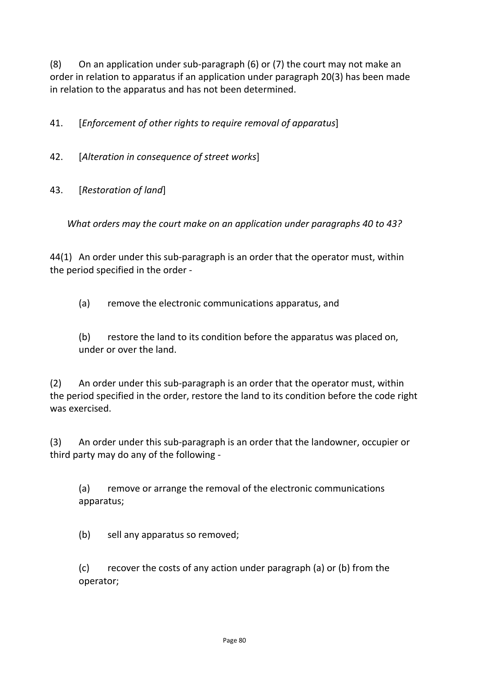(8) On an application under sub-paragraph (6) or (7) the court may not make an order in relation to apparatus if an application under paragraph 20(3) has been made in relation to the apparatus and has not been determined.

41. [*Enforcement of other rights to require removal of apparatus*]

42. [*Alteration in consequence of street works*]

43. [*Restoration of land*]

*What orders may the court make on an application under paragraphs 40 to 43?*

44(1) An order under this sub-paragraph is an order that the operator must, within the period specified in the order -

- (a) remove the electronic communications apparatus, and
- (b) restore the land to its condition before the apparatus was placed on, under or over the land.

(2) An order under this sub-paragraph is an order that the operator must, within the period specified in the order, restore the land to its condition before the code right was exercised.

(3) An order under this sub-paragraph is an order that the landowner, occupier or third party may do any of the following -

(a) remove or arrange the removal of the electronic communications apparatus;

(b) sell any apparatus so removed;

(c) recover the costs of any action under paragraph (a) or (b) from the operator;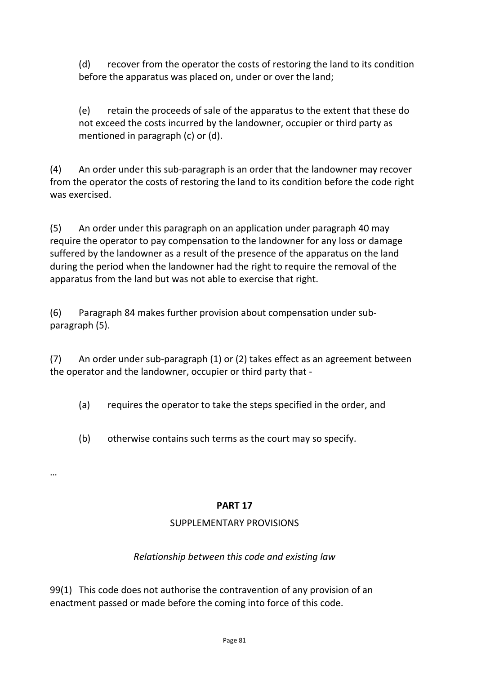(d) recover from the operator the costs of restoring the land to its condition before the apparatus was placed on, under or over the land;

(e) retain the proceeds of sale of the apparatus to the extent that these do not exceed the costs incurred by the landowner, occupier or third party as mentioned in paragraph (c) or (d).

(4) An order under this sub-paragraph is an order that the landowner may recover from the operator the costs of restoring the land to its condition before the code right was exercised.

(5) An order under this paragraph on an application under paragraph 40 may require the operator to pay compensation to the landowner for any loss or damage suffered by the landowner as a result of the presence of the apparatus on the land during the period when the landowner had the right to require the removal of the apparatus from the land but was not able to exercise that right.

(6) Paragraph 84 makes further provision about compensation under subparagraph (5).

(7) An order under sub-paragraph (1) or (2) takes effect as an agreement between the operator and the landowner, occupier or third party that -

- (a) requires the operator to take the steps specified in the order, and
- (b) otherwise contains such terms as the court may so specify.
- …

## **PART 17**

#### SUPPLEMENTARY PROVISIONS

## *Relationship between this code and existing law*

99(1) This code does not authorise the contravention of any provision of an enactment passed or made before the coming into force of this code.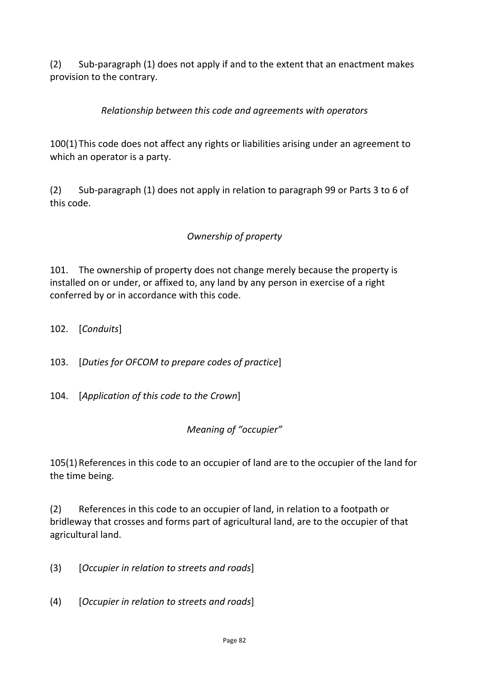(2) Sub-paragraph (1) does not apply if and to the extent that an enactment makes provision to the contrary.

## *Relationship between this code and agreements with operators*

100(1) This code does not affect any rights or liabilities arising under an agreement to which an operator is a party.

(2) Sub-paragraph (1) does not apply in relation to paragraph 99 or Parts 3 to 6 of this code.

# *Ownership of property*

101. The ownership of property does not change merely because the property is installed on or under, or affixed to, any land by any person in exercise of a right conferred by or in accordance with this code.

102. [*Conduits*]

103. [*Duties for OFCOM to prepare codes of practice*]

104. [*Application of this code to the Crown*]

#### *Meaning of "occupier"*

105(1)References in this code to an occupier of land are to the occupier of the land for the time being.

(2) References in this code to an occupier of land, in relation to a footpath or bridleway that crosses and forms part of agricultural land, are to the occupier of that agricultural land.

- (3) [*Occupier in relation to streets and roads*]
- (4) [*Occupier in relation to streets and roads*]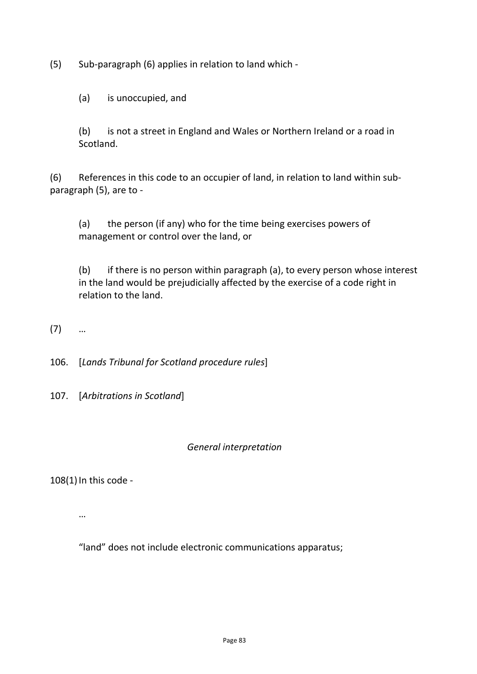(5) Sub-paragraph (6) applies in relation to land which -

(a) is unoccupied, and

(b) is not a street in England and Wales or Northern Ireland or a road in Scotland.

(6) References in this code to an occupier of land, in relation to land within subparagraph (5), are to -

(a) the person (if any) who for the time being exercises powers of management or control over the land, or

(b) if there is no person within paragraph (a), to every person whose interest in the land would be prejudicially affected by the exercise of a code right in relation to the land.

(7) …

106. [*Lands Tribunal for Scotland procedure rules*]

107. [*Arbitrations in Scotland*]

#### *General interpretation*

 $108(1)$  In this code -

…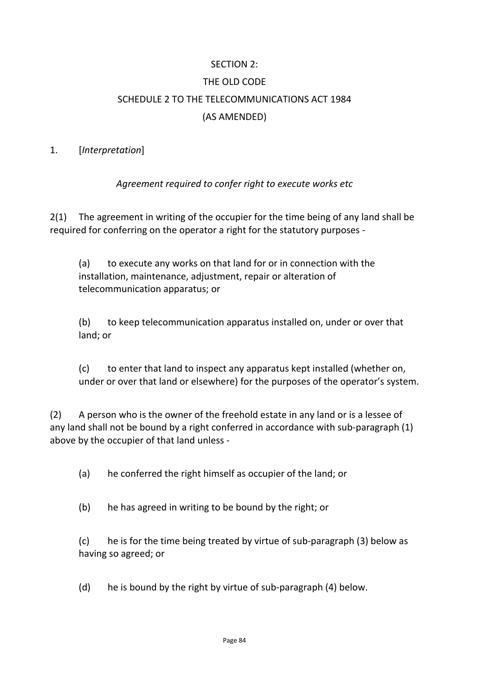# SECTION 2: THE OLD CODE SCHEDULE 2 TO THE TELECOMMUNICATIONS ACT 1984 (AS AMENDED)

#### 1. [*Interpretation*]

#### *Agreement required to confer right to execute works etc*

2(1) The agreement in writing of the occupier for the time being of any land shall be required for conferring on the operator a right for the statutory purposes -

(a) to execute any works on that land for or in connection with the installation, maintenance, adjustment, repair or alteration of telecommunication apparatus; or

(b) to keep telecommunication apparatus installed on, under or over that land; or

(c) to enter that land to inspect any apparatus kept installed (whether on, under or over that land or elsewhere) for the purposes of the operator's system.

(2) A person who is the owner of the freehold estate in any land or is a lessee of any land shall not be bound by a right conferred in accordance with sub-paragraph (1) above by the occupier of that land unless -

(a) he conferred the right himself as occupier of the land; or

(b) he has agreed in writing to be bound by the right; or

(c) he is for the time being treated by virtue of sub-paragraph (3) below as having so agreed; or

(d) he is bound by the right by virtue of sub-paragraph (4) below.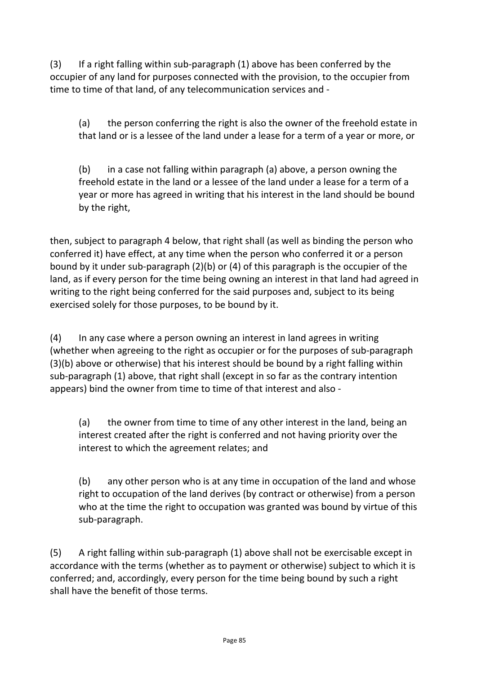(3) If a right falling within sub-paragraph (1) above has been conferred by the occupier of any land for purposes connected with the provision, to the occupier from time to time of that land, of any telecommunication services and -

(a) the person conferring the right is also the owner of the freehold estate in that land or is a lessee of the land under a lease for a term of a year or more, or

(b) in a case not falling within paragraph (a) above, a person owning the freehold estate in the land or a lessee of the land under a lease for a term of a year or more has agreed in writing that his interest in the land should be bound by the right,

then, subject to paragraph 4 below, that right shall (as well as binding the person who conferred it) have effect, at any time when the person who conferred it or a person bound by it under sub-paragraph (2)(b) or (4) of this paragraph is the occupier of the land, as if every person for the time being owning an interest in that land had agreed in writing to the right being conferred for the said purposes and, subject to its being exercised solely for those purposes, to be bound by it.

(4) In any case where a person owning an interest in land agrees in writing (whether when agreeing to the right as occupier or for the purposes of sub-paragraph (3)(b) above or otherwise) that his interest should be bound by a right falling within sub-paragraph (1) above, that right shall (except in so far as the contrary intention appears) bind the owner from time to time of that interest and also -

(a) the owner from time to time of any other interest in the land, being an interest created after the right is conferred and not having priority over the interest to which the agreement relates; and

(b) any other person who is at any time in occupation of the land and whose right to occupation of the land derives (by contract or otherwise) from a person who at the time the right to occupation was granted was bound by virtue of this sub-paragraph.

(5) A right falling within sub-paragraph (1) above shall not be exercisable except in accordance with the terms (whether as to payment or otherwise) subject to which it is conferred; and, accordingly, every person for the time being bound by such a right shall have the benefit of those terms.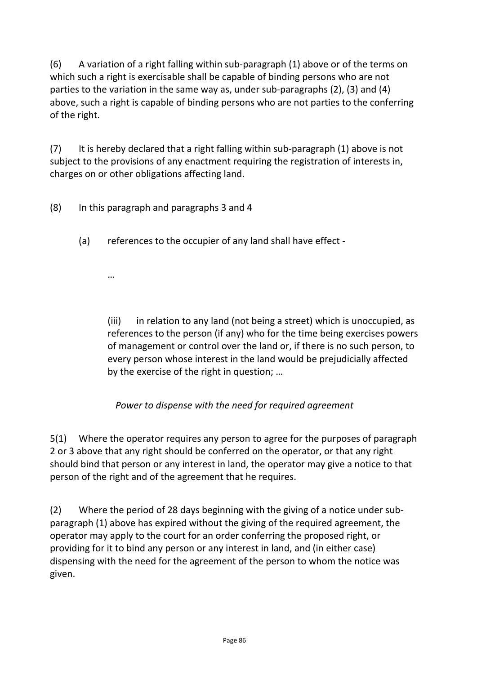(6) A variation of a right falling within sub-paragraph (1) above or of the terms on which such a right is exercisable shall be capable of binding persons who are not parties to the variation in the same way as, under sub-paragraphs (2), (3) and (4) above, such a right is capable of binding persons who are not parties to the conferring of the right.

(7) It is hereby declared that a right falling within sub-paragraph (1) above is not subject to the provisions of any enactment requiring the registration of interests in, charges on or other obligations affecting land.

(8) In this paragraph and paragraphs 3 and 4

(a) references to the occupier of any land shall have effect -

…

(iii) in relation to any land (not being a street) which is unoccupied, as references to the person (if any) who for the time being exercises powers of management or control over the land or, if there is no such person, to every person whose interest in the land would be prejudicially affected by the exercise of the right in question; …

# *Power to dispense with the need for required agreement*

5(1) Where the operator requires any person to agree for the purposes of paragraph 2 or 3 above that any right should be conferred on the operator, or that any right should bind that person or any interest in land, the operator may give a notice to that person of the right and of the agreement that he requires.

(2) Where the period of 28 days beginning with the giving of a notice under subparagraph (1) above has expired without the giving of the required agreement, the operator may apply to the court for an order conferring the proposed right, or providing for it to bind any person or any interest in land, and (in either case) dispensing with the need for the agreement of the person to whom the notice was given.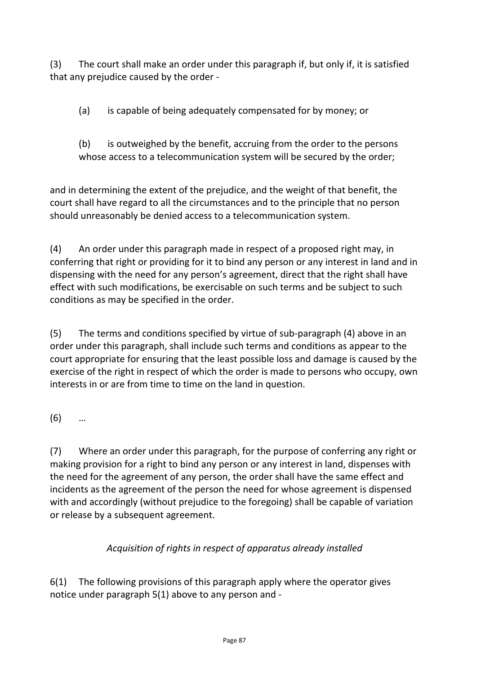(3) The court shall make an order under this paragraph if, but only if, it is satisfied that any prejudice caused by the order -

(a) is capable of being adequately compensated for by money; or

(b) is outweighed by the benefit, accruing from the order to the persons whose access to a telecommunication system will be secured by the order;

and in determining the extent of the prejudice, and the weight of that benefit, the court shall have regard to all the circumstances and to the principle that no person should unreasonably be denied access to a telecommunication system.

(4) An order under this paragraph made in respect of a proposed right may, in conferring that right or providing for it to bind any person or any interest in land and in dispensing with the need for any person's agreement, direct that the right shall have effect with such modifications, be exercisable on such terms and be subject to such conditions as may be specified in the order.

(5) The terms and conditions specified by virtue of sub-paragraph (4) above in an order under this paragraph, shall include such terms and conditions as appear to the court appropriate for ensuring that the least possible loss and damage is caused by the exercise of the right in respect of which the order is made to persons who occupy, own interests in or are from time to time on the land in question.

(6) …

(7) Where an order under this paragraph, for the purpose of conferring any right or making provision for a right to bind any person or any interest in land, dispenses with the need for the agreement of any person, the order shall have the same effect and incidents as the agreement of the person the need for whose agreement is dispensed with and accordingly (without prejudice to the foregoing) shall be capable of variation or release by a subsequent agreement.

# *Acquisition of rights in respect of apparatus already installed*

6(1) The following provisions of this paragraph apply where the operator gives notice under paragraph 5(1) above to any person and -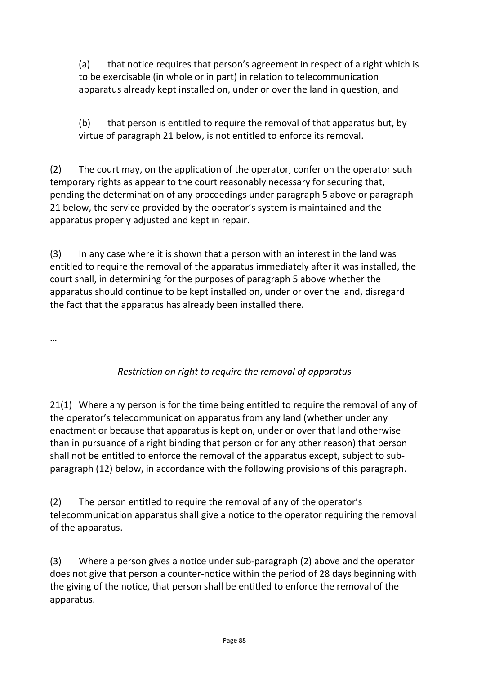(a) that notice requires that person's agreement in respect of a right which is to be exercisable (in whole or in part) in relation to telecommunication apparatus already kept installed on, under or over the land in question, and

(b) that person is entitled to require the removal of that apparatus but, by virtue of paragraph 21 below, is not entitled to enforce its removal.

(2) The court may, on the application of the operator, confer on the operator such temporary rights as appear to the court reasonably necessary for securing that, pending the determination of any proceedings under paragraph 5 above or paragraph 21 below, the service provided by the operator's system is maintained and the apparatus properly adjusted and kept in repair.

(3) In any case where it is shown that a person with an interest in the land was entitled to require the removal of the apparatus immediately after it was installed, the court shall, in determining for the purposes of paragraph 5 above whether the apparatus should continue to be kept installed on, under or over the land, disregard the fact that the apparatus has already been installed there.

…

# *Restriction on right to require the removal of apparatus*

21(1) Where any person is for the time being entitled to require the removal of any of the operator's telecommunication apparatus from any land (whether under any enactment or because that apparatus is kept on, under or over that land otherwise than in pursuance of a right binding that person or for any other reason) that person shall not be entitled to enforce the removal of the apparatus except, subject to subparagraph (12) below, in accordance with the following provisions of this paragraph.

(2) The person entitled to require the removal of any of the operator's telecommunication apparatus shall give a notice to the operator requiring the removal of the apparatus.

(3) Where a person gives a notice under sub-paragraph (2) above and the operator does not give that person a counter-notice within the period of 28 days beginning with the giving of the notice, that person shall be entitled to enforce the removal of the apparatus.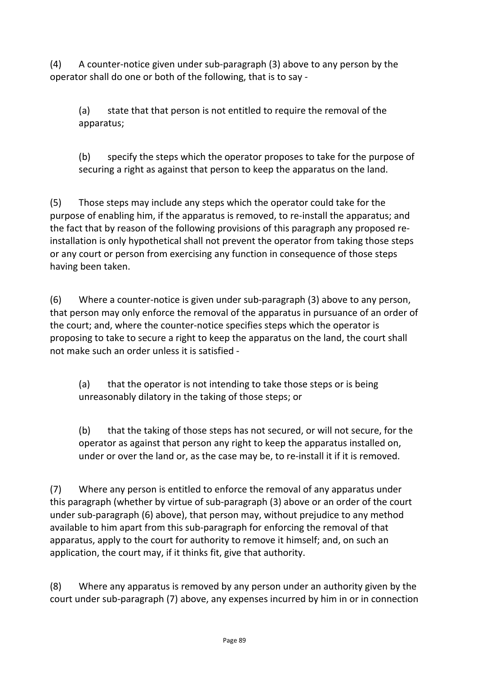(4) A counter-notice given under sub-paragraph (3) above to any person by the operator shall do one or both of the following, that is to say -

(a) state that that person is not entitled to require the removal of the apparatus;

(b) specify the steps which the operator proposes to take for the purpose of securing a right as against that person to keep the apparatus on the land.

(5) Those steps may include any steps which the operator could take for the purpose of enabling him, if the apparatus is removed, to re-install the apparatus; and the fact that by reason of the following provisions of this paragraph any proposed reinstallation is only hypothetical shall not prevent the operator from taking those steps or any court or person from exercising any function in consequence of those steps having been taken.

(6) Where a counter-notice is given under sub-paragraph (3) above to any person, that person may only enforce the removal of the apparatus in pursuance of an order of the court; and, where the counter-notice specifies steps which the operator is proposing to take to secure a right to keep the apparatus on the land, the court shall not make such an order unless it is satisfied -

(a) that the operator is not intending to take those steps or is being unreasonably dilatory in the taking of those steps; or

(b) that the taking of those steps has not secured, or will not secure, for the operator as against that person any right to keep the apparatus installed on, under or over the land or, as the case may be, to re-install it if it is removed.

(7) Where any person is entitled to enforce the removal of any apparatus under this paragraph (whether by virtue of sub-paragraph (3) above or an order of the court under sub-paragraph (6) above), that person may, without prejudice to any method available to him apart from this sub-paragraph for enforcing the removal of that apparatus, apply to the court for authority to remove it himself; and, on such an application, the court may, if it thinks fit, give that authority.

(8) Where any apparatus is removed by any person under an authority given by the court under sub-paragraph (7) above, any expenses incurred by him in or in connection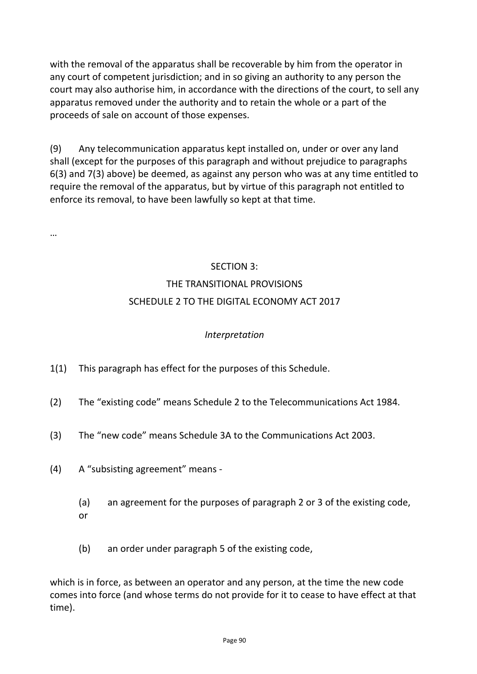with the removal of the apparatus shall be recoverable by him from the operator in any court of competent jurisdiction; and in so giving an authority to any person the court may also authorise him, in accordance with the directions of the court, to sell any apparatus removed under the authority and to retain the whole or a part of the proceeds of sale on account of those expenses.

(9) Any telecommunication apparatus kept installed on, under or over any land shall (except for the purposes of this paragraph and without prejudice to paragraphs 6(3) and 7(3) above) be deemed, as against any person who was at any time entitled to require the removal of the apparatus, but by virtue of this paragraph not entitled to enforce its removal, to have been lawfully so kept at that time.

# SECTION 3: THE TRANSITIONAL PROVISIONS SCHEDULE 2 TO THE DIGITAL ECONOMY ACT 2017

### *Interpretation*

- 1(1) This paragraph has effect for the purposes of this Schedule.
- (2) The "existing code" means Schedule 2 to the Telecommunications Act 1984.
- (3) The "new code" means Schedule 3A to the Communications Act 2003.
- (4) A "subsisting agreement" means -

…

- (a) an agreement for the purposes of paragraph 2 or 3 of the existing code, or
- (b) an order under paragraph 5 of the existing code,

which is in force, as between an operator and any person, at the time the new code comes into force (and whose terms do not provide for it to cease to have effect at that time).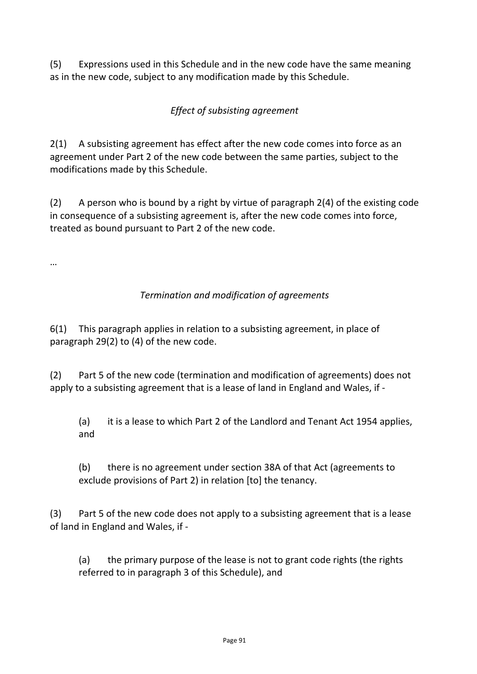(5) Expressions used in this Schedule and in the new code have the same meaning as in the new code, subject to any modification made by this Schedule.

## *Effect of subsisting agreement*

2(1) A subsisting agreement has effect after the new code comes into force as an agreement under Part 2 of the new code between the same parties, subject to the modifications made by this Schedule.

(2) A person who is bound by a right by virtue of paragraph 2(4) of the existing code in consequence of a subsisting agreement is, after the new code comes into force, treated as bound pursuant to Part 2 of the new code.

…

# *Termination and modification of agreements*

6(1) This paragraph applies in relation to a subsisting agreement, in place of paragraph 29(2) to (4) of the new code.

(2) Part 5 of the new code (termination and modification of agreements) does not apply to a subsisting agreement that is a lease of land in England and Wales, if -

(a) it is a lease to which Part 2 of the Landlord and Tenant Act 1954 applies, and

(b) there is no agreement under section 38A of that Act (agreements to exclude provisions of Part 2) in relation [to] the tenancy.

(3) Part 5 of the new code does not apply to a subsisting agreement that is a lease of land in England and Wales, if -

(a) the primary purpose of the lease is not to grant code rights (the rights referred to in paragraph 3 of this Schedule), and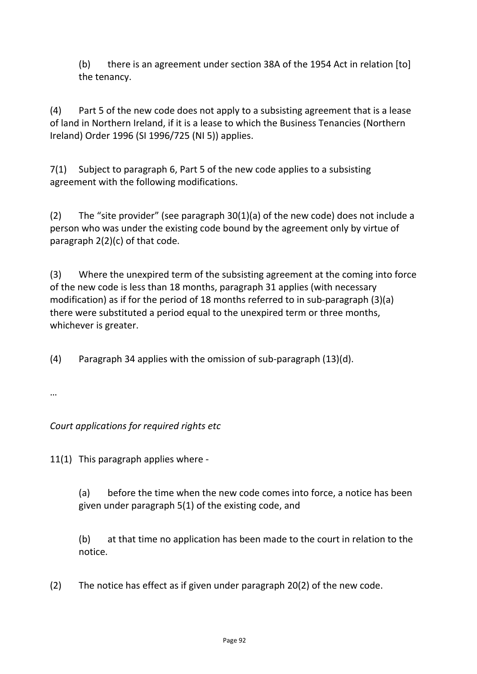(b) there is an agreement under section 38A of the 1954 Act in relation [to] the tenancy.

(4) Part 5 of the new code does not apply to a subsisting agreement that is a lease of land in Northern Ireland, if it is a lease to which the Business Tenancies (Northern Ireland) Order 1996 (SI 1996/725 (NI 5)) applies.

7(1) Subject to paragraph 6, Part 5 of the new code applies to a subsisting agreement with the following modifications.

(2) The "site provider" (see paragraph 30(1)(a) of the new code) does not include a person who was under the existing code bound by the agreement only by virtue of paragraph 2(2)(c) of that code.

(3) Where the unexpired term of the subsisting agreement at the coming into force of the new code is less than 18 months, paragraph 31 applies (with necessary modification) as if for the period of 18 months referred to in sub-paragraph (3)(a) there were substituted a period equal to the unexpired term or three months, whichever is greater.

(4) Paragraph 34 applies with the omission of sub-paragraph (13)(d).

…

*Court applications for required rights etc*

11(1) This paragraph applies where -

(a) before the time when the new code comes into force, a notice has been given under paragraph 5(1) of the existing code, and

(b) at that time no application has been made to the court in relation to the notice.

(2) The notice has effect as if given under paragraph 20(2) of the new code.